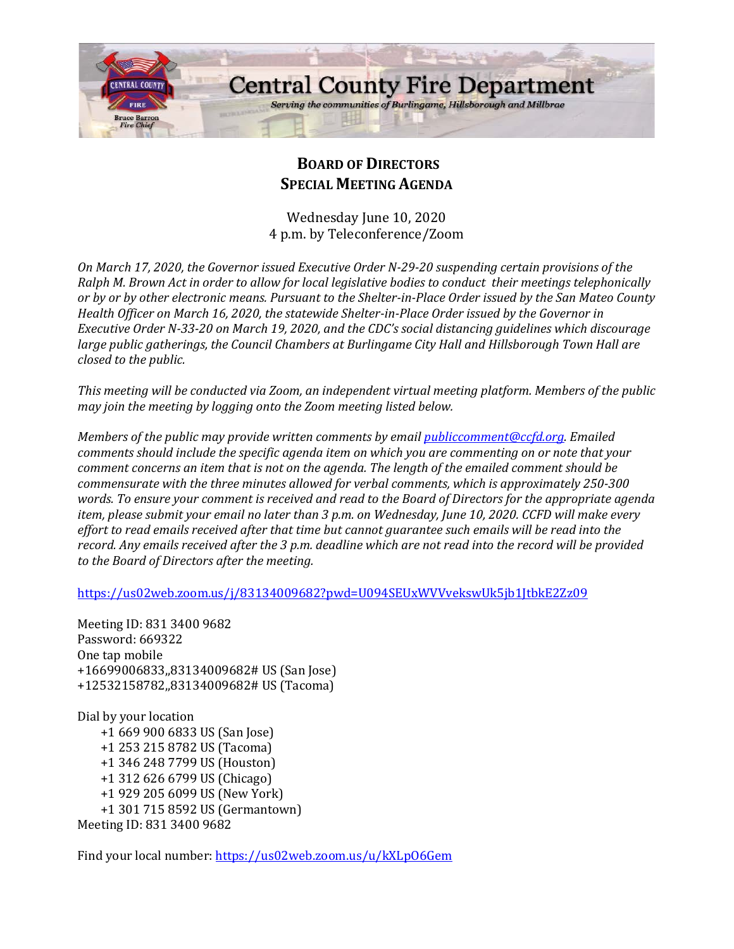

# **BOARD OF DIRECTORS SPECIAL MEETING AGENDA**

Wednesday June 10, 2020 4 p.m. by Teleconference/Zoom

*On March 17, 2020, the Governor issued Executive Order N-29-20 suspending certain provisions of the Ralph M. Brown Act in order to allow for local legislative bodies to conduct their meetings telephonically or by or by other electronic means. Pursuant to the Shelter-in-Place Order issued by the San Mateo County Health Officer on March 16, 2020, the statewide Shelter-in-Place Order issued by the Governor in Executive Order N-33-20 on March 19, 2020, and the CDC's social distancing guidelines which discourage large public gatherings, the Council Chambers at Burlingame City Hall and Hillsborough Town Hall are closed to the public.*

*This meeting will be conducted via Zoom, an independent virtual meeting platform. Members of the public may join the meeting by logging onto the Zoom meeting listed below.* 

*Members of the public may provide written comments by email [publiccomment@ccfd.org.](mailto:publiccomment@ccfd.org) Emailed comments should include the specific agenda item on which you are commenting on or note that your comment concerns an item that is not on the agenda. The length of the emailed comment should be commensurate with the three minutes allowed for verbal comments, which is approximately 250-300 words. To ensure your comment is received and read to the Board of Directors for the appropriate agenda item, please submit your email no later than 3 p.m. on Wednesday, June 10, 2020. CCFD will make every effort to read emails received after that time but cannot guarantee such emails will be read into the record. Any emails received after the 3 p.m. deadline which are not read into the record will be provided to the Board of Directors after the meeting.*

<https://us02web.zoom.us/j/83134009682?pwd=U094SEUxWVVvekswUk5jb1JtbkE2Zz09>

Meeting ID: 831 3400 9682 Password: 669322 One tap mobile +16699006833,,83134009682# US (San Jose) +12532158782,,83134009682# US (Tacoma)

Dial by your location +1 669 900 6833 US (San Jose) +1 253 215 8782 US (Tacoma) +1 346 248 7799 US (Houston) +1 312 626 6799 US (Chicago) +1 929 205 6099 US (New York) +1 301 715 8592 US (Germantown) Meeting ID: 831 3400 9682

Find your local number: https://us02web.zoom.us/u/kXLp06Gem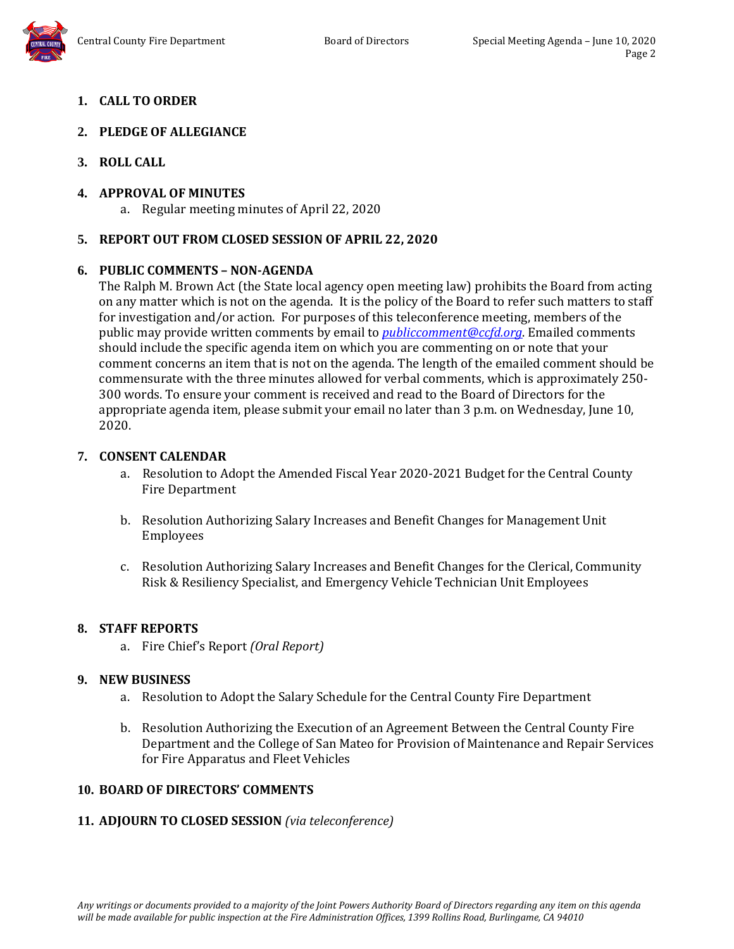### **1. CALL TO ORDER**

### **2. PLEDGE OF ALLEGIANCE**

**3. ROLL CALL**

#### **4. APPROVAL OF MINUTES**

a. Regular meeting minutes of April 22, 2020

#### **5. REPORT OUT FROM CLOSED SESSION OF APRIL 22, 2020**

#### **6. PUBLIC COMMENTS – NON-AGENDA**

The Ralph M. Brown Act (the State local agency open meeting law) prohibits the Board from acting on any matter which is not on the agenda. It is the policy of the Board to refer such matters to staff for investigation and/or action. For purposes of this teleconference meeting, members of the public may provide written comments by email to *[publiccomment@ccfd.org](mailto:publiccomment@ccfd.org)*. Emailed comments should include the specific agenda item on which you are commenting on or note that your comment concerns an item that is not on the agenda. The length of the emailed comment should be commensurate with the three minutes allowed for verbal comments, which is approximately 250- 300 words. To ensure your comment is received and read to the Board of Directors for the appropriate agenda item, please submit your email no later than 3 p.m. on Wednesday, June 10, 2020.

#### **7. CONSENT CALENDAR**

- a. Resolution to Adopt the Amended Fiscal Year 2020-2021 Budget for the Central County Fire Department
- b. Resolution Authorizing Salary Increases and Benefit Changes for Management Unit Employees
- c. Resolution Authorizing Salary Increases and Benefit Changes for the Clerical, Community Risk & Resiliency Specialist, and Emergency Vehicle Technician Unit Employees

#### **8. STAFF REPORTS**

a. Fire Chief's Report *(Oral Report)*

#### **9. NEW BUSINESS**

- a. Resolution to Adopt the Salary Schedule for the Central County Fire Department
- b. Resolution Authorizing the Execution of an Agreement Between the Central County Fire Department and the College of San Mateo for Provision of Maintenance and Repair Services for Fire Apparatus and Fleet Vehicles

#### **10. BOARD OF DIRECTORS' COMMENTS**

#### **11. ADJOURN TO CLOSED SESSION** *(via teleconference)*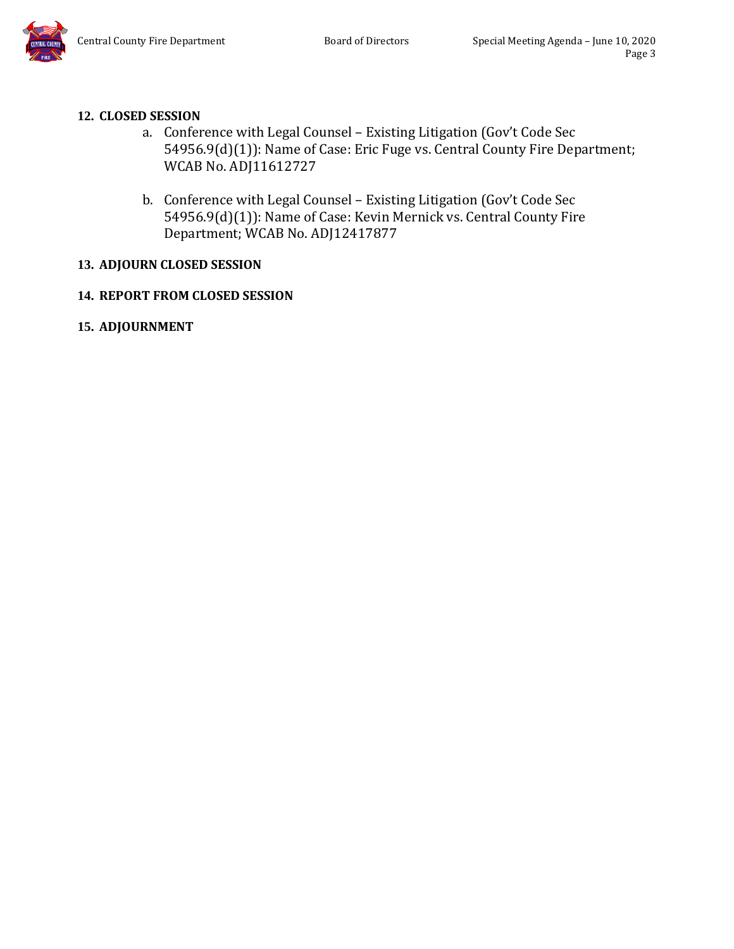# **12. CLOSED SESSION**

- a. Conference with Legal Counsel Existing Litigation (Gov't Code Sec 54956.9(d)(1)): Name of Case: Eric Fuge vs. Central County Fire Department; WCAB No. ADJ11612727
- b. Conference with Legal Counsel Existing Litigation (Gov't Code Sec 54956.9(d)(1)): Name of Case: Kevin Mernick vs. Central County Fire Department; WCAB No. ADJ12417877

# **13. ADJOURN CLOSED SESSION**

# **14. REPORT FROM CLOSED SESSION**

**15. ADJOURNMENT**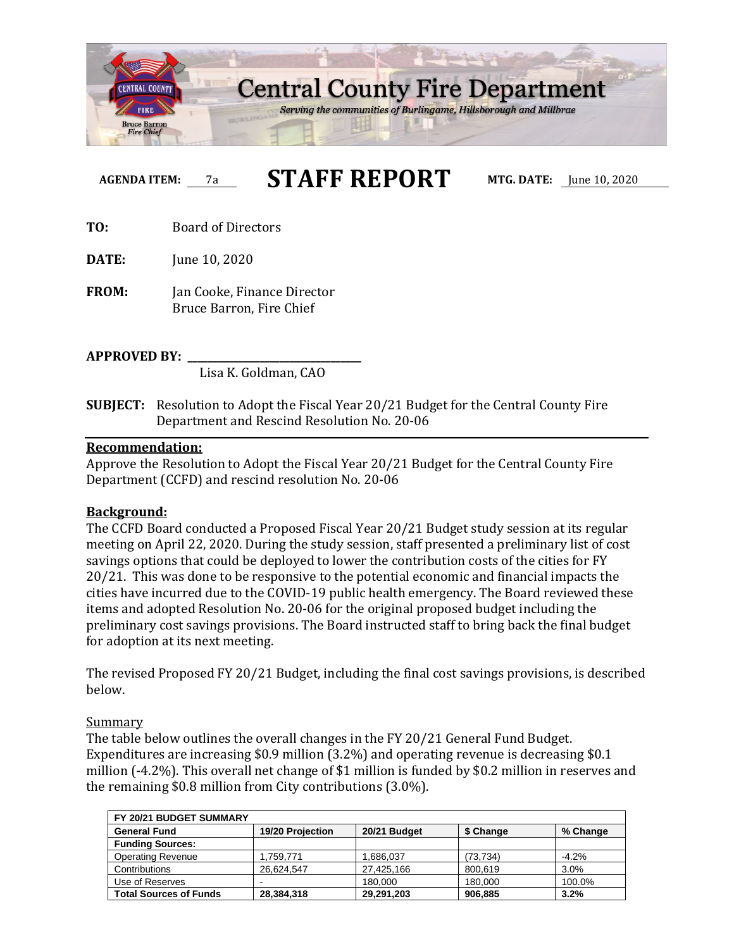

# **AGENDA ITEM:** 7a **STAFF REPORT MTG. DATE:** June 10, 2020

**TO:** Board of Directors

**DATE:** June 10, 2020

**FROM:** Jan Cooke, Finance Director Bruce Barron, Fire Chief

**APPROVED BY: \_\_\_\_\_\_\_\_\_\_\_\_\_\_\_\_\_\_\_\_\_\_\_\_\_\_\_\_\_\_\_\_\_\_**

Lisa K. Goldman, CAO

**SUBJECT:** Resolution to Adopt the Fiscal Year 20/21 Budget for the Central County Fire Department and Rescind Resolution No. 20-06

#### **Recommendation:**

Approve the Resolution to Adopt the Fiscal Year 20/21 Budget for the Central County Fire Department (CCFD) and rescind resolution No. 20-06

#### **Background:**

The CCFD Board conducted a Proposed Fiscal Year 20/21 Budget study session at its regular meeting on April 22, 2020. During the study session, staff presented a preliminary list of cost savings options that could be deployed to lower the contribution costs of the cities for FY 20/21. This was done to be responsive to the potential economic and financial impacts the cities have incurred due to the COVID-19 public health emergency. The Board reviewed these items and adopted Resolution No. 20-06 for the original proposed budget including the preliminary cost savings provisions. The Board instructed staff to bring back the final budget for adoption at its next meeting.

The revised Proposed FY 20/21 Budget, including the final cost savings provisions, is described below.

#### Summary

The table below outlines the overall changes in the FY 20/21 General Fund Budget. Expenditures are increasing \$0.9 million (3.2%) and operating revenue is decreasing \$0.1 million (-4.2%). This overall net change of \$1 million is funded by \$0.2 million in reserves and the remaining \$0.8 million from City contributions (3.0%).

| FY 20/21 BUDGET SUMMARY       |                          |              |           |          |
|-------------------------------|--------------------------|--------------|-----------|----------|
| <b>General Fund</b>           | 19/20 Projection         | 20/21 Budget | \$ Change | % Change |
| <b>Funding Sources:</b>       |                          |              |           |          |
| <b>Operating Revenue</b>      | 1.759.771                | .686.037     | (73, 734) | $-4.2\%$ |
| Contributions                 | 26.624.547               | 27,425,166   | 800.619   | 3.0%     |
| Use of Reserves               | $\overline{\phantom{a}}$ | 180,000      | 180,000   | 100.0%   |
| <b>Total Sources of Funds</b> | 28,384,318               | 29,291,203   | 906.885   | 3.2%     |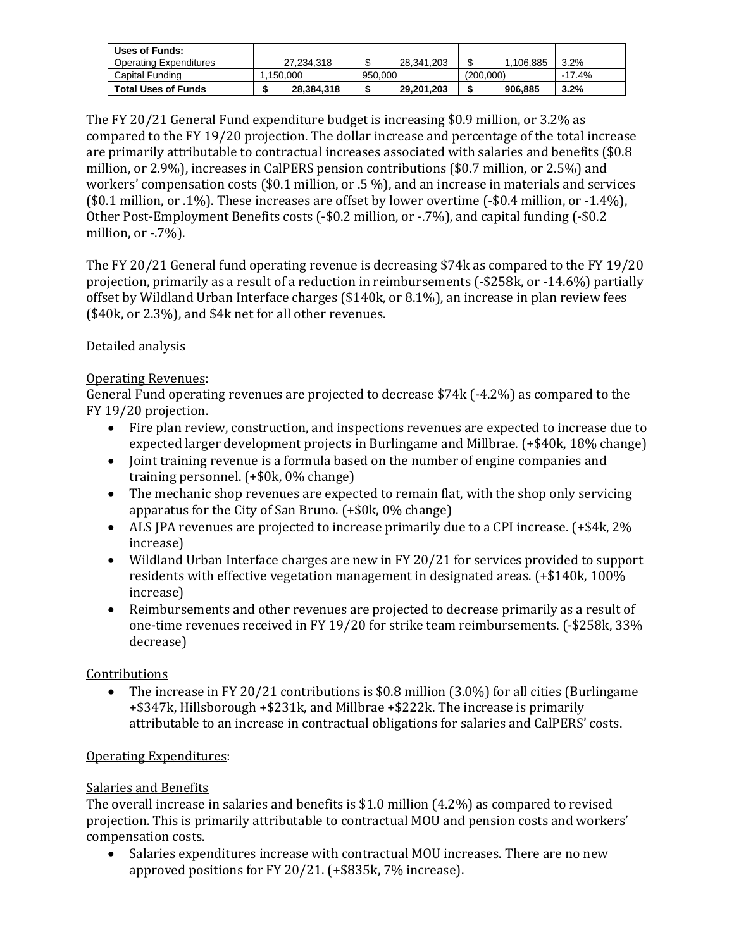| Uses of Funds:                |            |            |                |          |
|-------------------------------|------------|------------|----------------|----------|
| <b>Operating Expenditures</b> | 27.234.318 | 28.341.203 | 1.106.885<br>D | 3.2%     |
| Capital Funding               | 1.150.000  | 950,000    | (200.000)      | $-17.4%$ |
| <b>Total Uses of Funds</b>    | 28.384.318 | 29,201,203 | 906.885<br>Ð   | 3.2%     |

The FY 20/21 General Fund expenditure budget is increasing \$0.9 million, or 3.2% as compared to the FY 19/20 projection. The dollar increase and percentage of the total increase are primarily attributable to contractual increases associated with salaries and benefits (\$0.8 million, or 2.9%), increases in CalPERS pension contributions (\$0.7 million, or 2.5%) and workers' compensation costs (\$0.1 million, or .5 %), and an increase in materials and services (\$0.1 million, or .1%). These increases are offset by lower overtime (-\$0.4 million, or -1.4%), Other Post-Employment Benefits costs (-\$0.2 million, or -.7%), and capital funding (-\$0.2 million, or  $-7\%$ ).

The FY 20/21 General fund operating revenue is decreasing \$74k as compared to the FY 19/20 projection, primarily as a result of a reduction in reimbursements (-\$258k, or -14.6%) partially offset by Wildland Urban Interface charges (\$140k, or 8.1%), an increase in plan review fees (\$40k, or 2.3%), and \$4k net for all other revenues.

### Detailed analysis

### Operating Revenues:

General Fund operating revenues are projected to decrease \$74k (-4.2%) as compared to the FY 19/20 projection.

- Fire plan review, construction, and inspections revenues are expected to increase due to expected larger development projects in Burlingame and Millbrae. (+\$40k, 18% change)
- Joint training revenue is a formula based on the number of engine companies and training personnel. (+\$0k, 0% change)
- The mechanic shop revenues are expected to remain flat, with the shop only servicing apparatus for the City of San Bruno. (+\$0k, 0% change)
- ALS JPA revenues are projected to increase primarily due to a CPI increase. (+\$4k, 2% increase)
- Wildland Urban Interface charges are new in FY 20/21 for services provided to support residents with effective vegetation management in designated areas. (+\$140k, 100% increase)
- Reimbursements and other revenues are projected to decrease primarily as a result of one-time revenues received in FY 19/20 for strike team reimbursements. (-\$258k, 33% decrease)

### Contributions

• The increase in FY 20/21 contributions is \$0.8 million (3.0%) for all cities (Burlingame +\$347k, Hillsborough +\$231k, and Millbrae +\$222k. The increase is primarily attributable to an increase in contractual obligations for salaries and CalPERS' costs.

### Operating Expenditures:

### Salaries and Benefits

The overall increase in salaries and benefits is \$1.0 million (4.2%) as compared to revised projection. This is primarily attributable to contractual MOU and pension costs and workers' compensation costs.

• Salaries expenditures increase with contractual MOU increases. There are no new approved positions for FY 20/21. (+\$835k, 7% increase).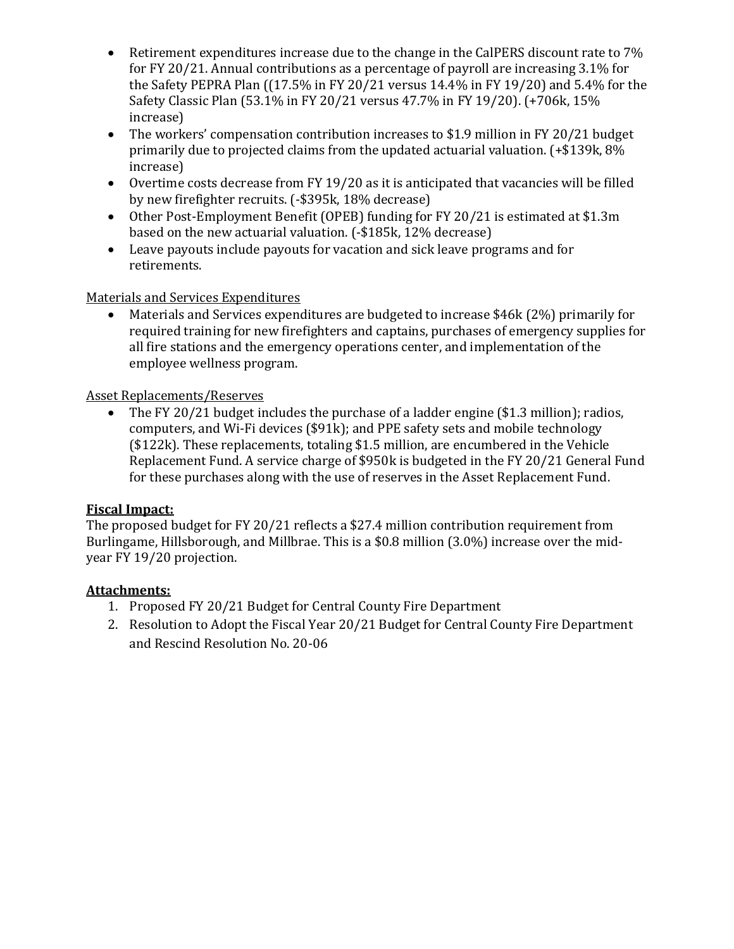- Retirement expenditures increase due to the change in the CalPERS discount rate to 7% for FY 20/21. Annual contributions as a percentage of payroll are increasing 3.1% for the Safety PEPRA Plan ((17.5% in FY 20/21 versus 14.4% in FY 19/20) and 5.4% for the Safety Classic Plan (53.1% in FY 20/21 versus 47.7% in FY 19/20). (+706k, 15% increase)
- The workers' compensation contribution increases to \$1.9 million in FY 20/21 budget primarily due to projected claims from the updated actuarial valuation. (+\$139k, 8% increase)
- Overtime costs decrease from FY 19/20 as it is anticipated that vacancies will be filled by new firefighter recruits. (-\$395k, 18% decrease)
- Other Post-Employment Benefit (OPEB) funding for FY 20/21 is estimated at \$1.3m based on the new actuarial valuation. (-\$185k, 12% decrease)
- Leave payouts include payouts for vacation and sick leave programs and for retirements.

### Materials and Services Expenditures

• Materials and Services expenditures are budgeted to increase \$46k (2%) primarily for required training for new firefighters and captains, purchases of emergency supplies for all fire stations and the emergency operations center, and implementation of the employee wellness program.

#### Asset Replacements/Reserves

• The FY 20/21 budget includes the purchase of a ladder engine (\$1.3 million); radios, computers, and Wi-Fi devices (\$91k); and PPE safety sets and mobile technology (\$122k). These replacements, totaling \$1.5 million, are encumbered in the Vehicle Replacement Fund. A service charge of \$950k is budgeted in the FY 20/21 General Fund for these purchases along with the use of reserves in the Asset Replacement Fund.

#### **Fiscal Impact:**

The proposed budget for FY 20/21 reflects a \$27.4 million contribution requirement from Burlingame, Hillsborough, and Millbrae. This is a \$0.8 million (3.0%) increase over the midyear FY 19/20 projection.

#### **Attachments:**

- 1. Proposed FY 20/21 Budget for Central County Fire Department
- 2. Resolution to Adopt the Fiscal Year 20/21 Budget for Central County Fire Department and Rescind Resolution No. 20-06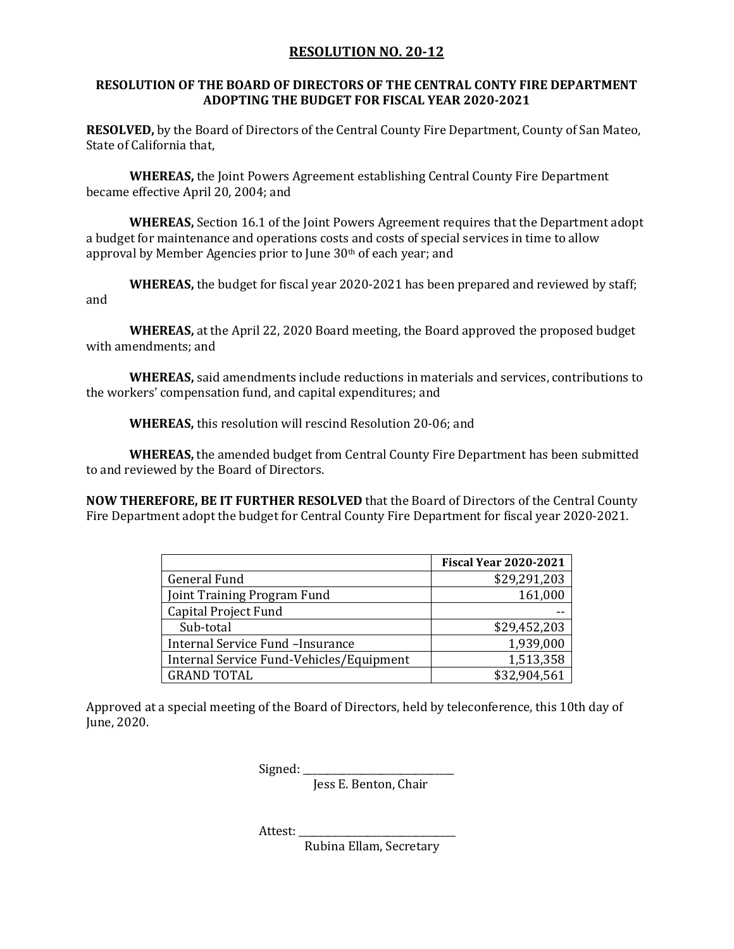#### **RESOLUTION NO. 20-12**

#### **RESOLUTION OF THE BOARD OF DIRECTORS OF THE CENTRAL CONTY FIRE DEPARTMENT ADOPTING THE BUDGET FOR FISCAL YEAR 2020-2021**

**RESOLVED,** by the Board of Directors of the Central County Fire Department, County of San Mateo, State of California that,

**WHEREAS,** the Joint Powers Agreement establishing Central County Fire Department became effective April 20, 2004; and

**WHEREAS,** Section 16.1 of the Joint Powers Agreement requires that the Department adopt a budget for maintenance and operations costs and costs of special services in time to allow approval by Member Agencies prior to June 30th of each year; and

**WHEREAS,** the budget for fiscal year 2020-2021 has been prepared and reviewed by staff; and

**WHEREAS,** at the April 22, 2020 Board meeting, the Board approved the proposed budget with amendments; and

**WHEREAS,** said amendments include reductions in materials and services, contributions to the workers' compensation fund, and capital expenditures; and

**WHEREAS,** this resolution will rescind Resolution 20-06; and

**WHEREAS,** the amended budget from Central County Fire Department has been submitted to and reviewed by the Board of Directors.

**NOW THEREFORE, BE IT FURTHER RESOLVED** that the Board of Directors of the Central County Fire Department adopt the budget for Central County Fire Department for fiscal year 2020-2021.

|                                          | <b>Fiscal Year 2020-2021</b> |
|------------------------------------------|------------------------------|
| <b>General Fund</b>                      | \$29,291,203                 |
| Joint Training Program Fund              | 161,000                      |
| Capital Project Fund                     |                              |
| Sub-total                                | \$29,452,203                 |
| Internal Service Fund - Insurance        | 1,939,000                    |
| Internal Service Fund-Vehicles/Equipment | 1,513,358                    |
| <b>GRAND TOTAL</b>                       | \$32,904,561                 |

Approved at a special meeting of the Board of Directors, held by teleconference, this 10th day of June, 2020.

Signed:

Jess E. Benton, Chair

Attest: \_\_\_\_\_\_\_\_\_\_\_\_\_\_\_\_\_\_\_\_\_\_\_\_\_\_\_\_\_\_\_\_

Rubina Ellam, Secretary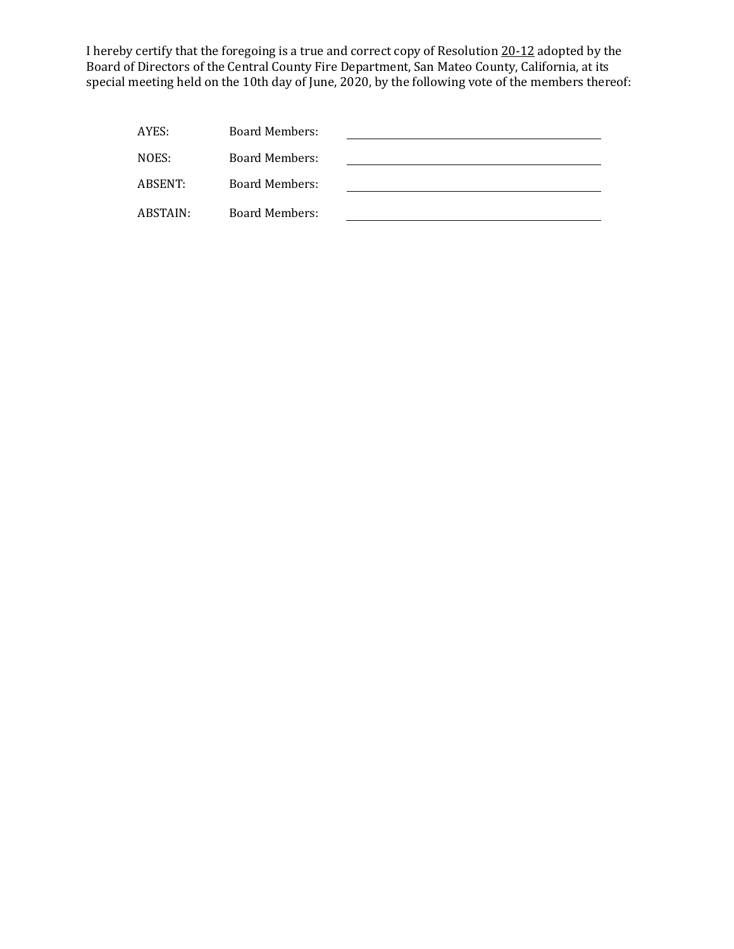I hereby certify that the foregoing is a true and correct copy of Resolution 20-12 adopted by the Board of Directors of the Central County Fire Department, San Mateo County, California, at its special meeting held on the 10th day of June, 2020, by the following vote of the members thereof:

| AYES:    | Board Members: |  |
|----------|----------------|--|
| NOES:    | Board Members: |  |
| ABSENT:  | Board Members: |  |
| ABSTAIN: | Board Members: |  |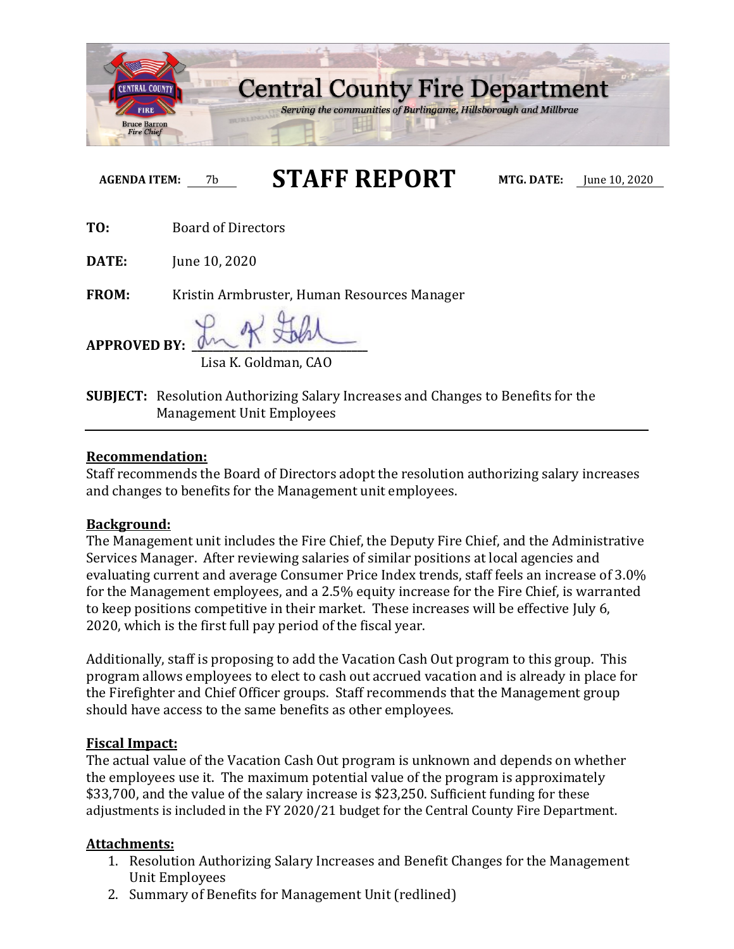

**AGENDA ITEM:** 7b **STAFF REPORT MTG. DATE:** June 10, 2020

**TO:** Board of Directors

**DATE:** June 10, 2020

**FROM:** Kristin Armbruster, Human Resources Manager

**APPROVED BY: \_\_\_\_\_\_\_\_\_\_\_\_\_\_\_\_\_\_\_\_\_\_\_\_\_\_\_\_\_\_\_\_\_**

Lisa K. Goldman, CAO

**SUBJECT:** Resolution Authorizing Salary Increases and Changes to Benefits for the Management Unit Employees

### **Recommendation:**

Staff recommends the Board of Directors adopt the resolution authorizing salary increases and changes to benefits for the Management unit employees.

### **Background:**

The Management unit includes the Fire Chief, the Deputy Fire Chief, and the Administrative Services Manager. After reviewing salaries of similar positions at local agencies and evaluating current and average Consumer Price Index trends, staff feels an increase of 3.0% for the Management employees, and a 2.5% equity increase for the Fire Chief, is warranted to keep positions competitive in their market. These increases will be effective July 6, 2020, which is the first full pay period of the fiscal year.

Additionally, staff is proposing to add the Vacation Cash Out program to this group. This program allows employees to elect to cash out accrued vacation and is already in place for the Firefighter and Chief Officer groups. Staff recommends that the Management group should have access to the same benefits as other employees.

# **Fiscal Impact:**

The actual value of the Vacation Cash Out program is unknown and depends on whether the employees use it. The maximum potential value of the program is approximately \$33,700, and the value of the salary increase is \$23,250. Sufficient funding for these adjustments is included in the FY 2020/21 budget for the Central County Fire Department.

# **Attachments:**

- 1. Resolution Authorizing Salary Increases and Benefit Changes for the Management Unit Employees
- 2. Summary of Benefits for Management Unit (redlined)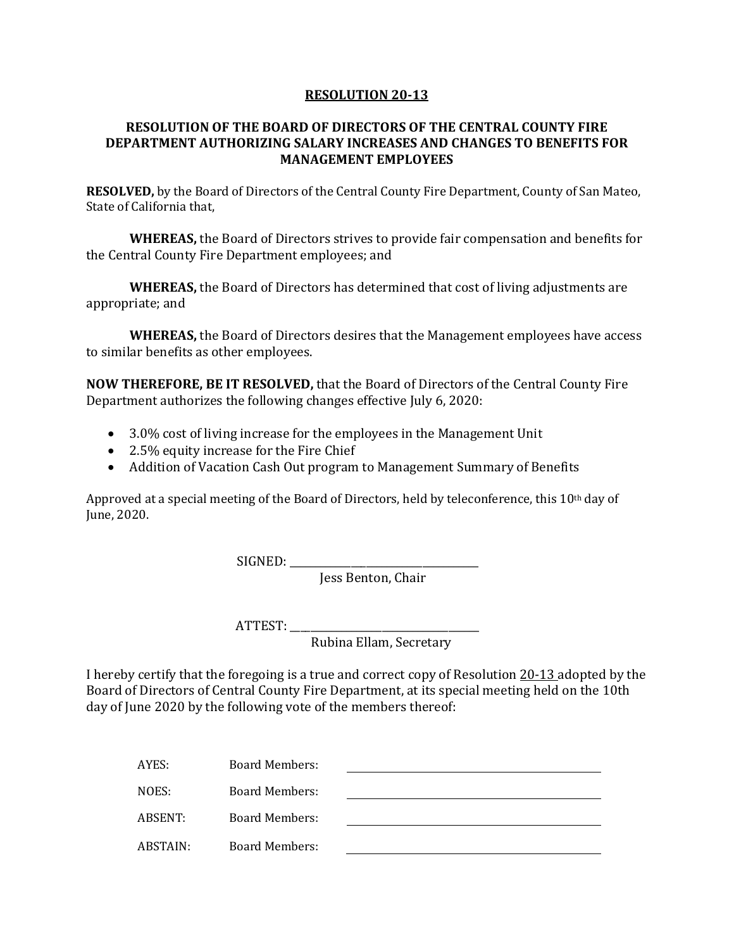#### **RESOLUTION 20-13**

#### **RESOLUTION OF THE BOARD OF DIRECTORS OF THE CENTRAL COUNTY FIRE DEPARTMENT AUTHORIZING SALARY INCREASES AND CHANGES TO BENEFITS FOR MANAGEMENT EMPLOYEES**

**RESOLVED,** by the Board of Directors of the Central County Fire Department, County of San Mateo, State of California that,

**WHEREAS,** the Board of Directors strives to provide fair compensation and benefits for the Central County Fire Department employees; and

**WHEREAS,** the Board of Directors has determined that cost of living adjustments are appropriate; and

**WHEREAS,** the Board of Directors desires that the Management employees have access to similar benefits as other employees.

**NOW THEREFORE, BE IT RESOLVED,** that the Board of Directors of the Central County Fire Department authorizes the following changes effective July 6, 2020:

- 3.0% cost of living increase for the employees in the Management Unit
- 2.5% equity increase for the Fire Chief
- Addition of Vacation Cash Out program to Management Summary of Benefits

Approved at a special meeting of the Board of Directors, held by teleconference, this 10th day of June, 2020.

SIGNED: \_\_\_\_\_\_\_\_\_\_\_\_\_\_\_\_\_\_\_\_\_\_\_\_\_\_\_\_\_\_\_\_\_\_\_\_\_

Jess Benton, Chair

ATTEST: \_\_\_\_\_\_\_\_\_\_\_\_\_\_\_\_\_\_\_\_\_\_\_\_\_\_\_\_\_\_\_\_\_\_\_\_\_

Rubina Ellam, Secretary

I hereby certify that the foregoing is a true and correct copy of Resolution 20-13 adopted by the Board of Directors of Central County Fire Department, at its special meeting held on the 10th day of June 2020 by the following vote of the members thereof:

| AYES:    | Board Members:        |  |
|----------|-----------------------|--|
| NOES:    | Board Members:        |  |
| ABSENT:  | Board Members:        |  |
| ABSTAIN: | <b>Board Members:</b> |  |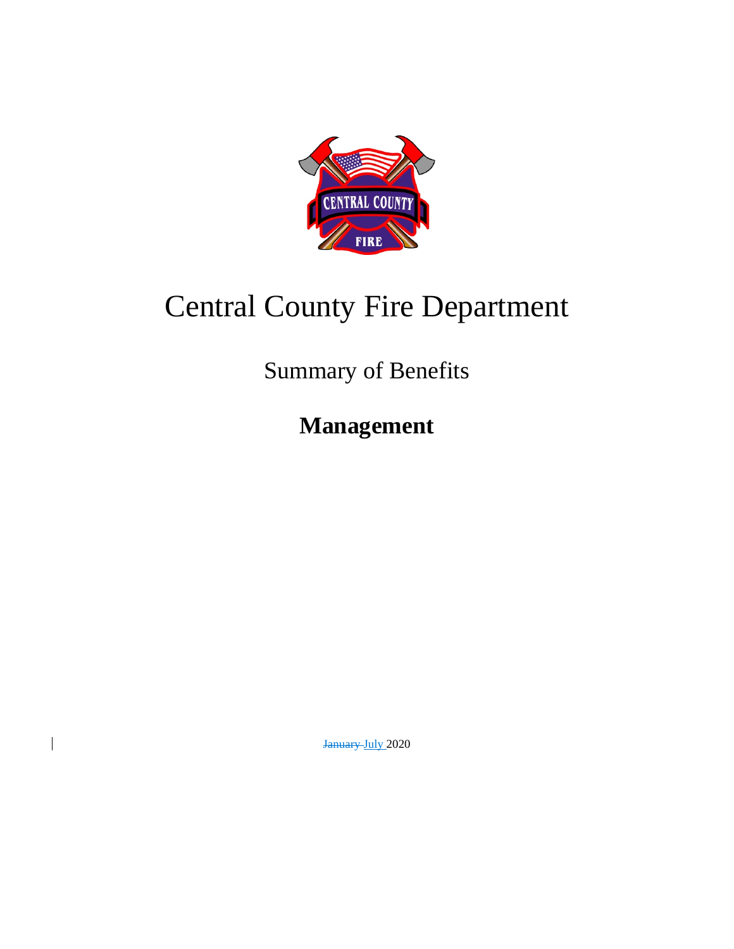

# Central County Fire Department

Summary of Benefits

**Management**

January-July 2020

 $\overline{\phantom{a}}$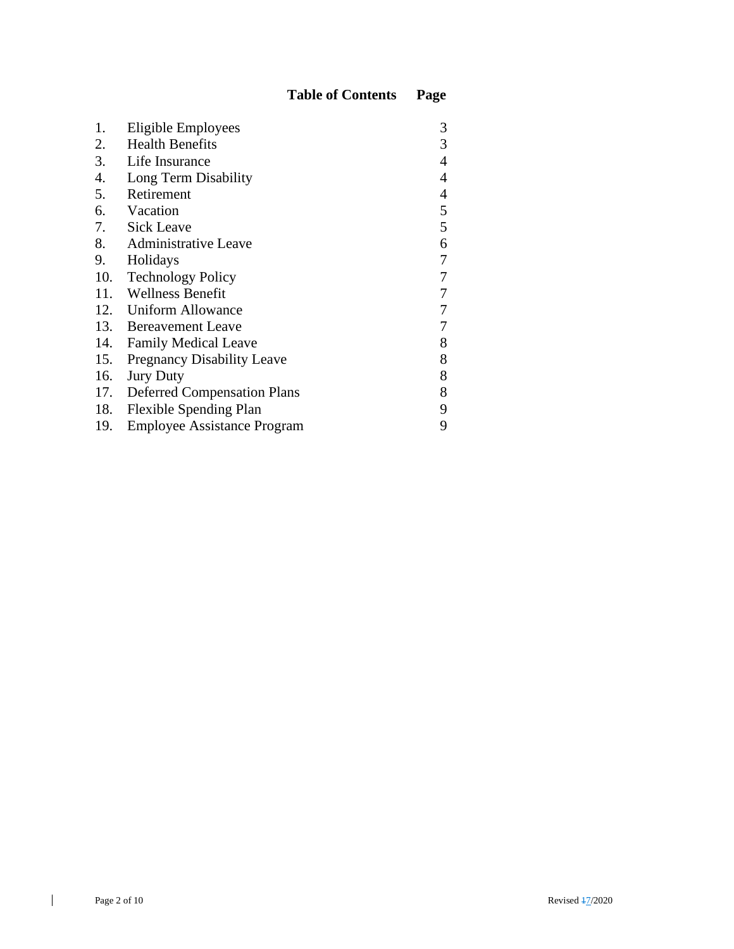| 1.  | Eligible Employees                 | 3 |
|-----|------------------------------------|---|
| 2.  | <b>Health Benefits</b>             | 3 |
| 3.  | Life Insurance                     | 4 |
| 4.  | Long Term Disability               | 4 |
| 5.  | Retirement                         | 4 |
|     | 6. Vacation                        | 5 |
|     | 7. Sick Leave                      | 5 |
|     | 8. Administrative Leave            | 6 |
| 9.  | Holidays                           | 7 |
| 10. | <b>Technology Policy</b>           | 7 |
|     | 11. Wellness Benefit               |   |
|     | 12. Uniform Allowance              | 7 |
|     | 13. Bereavement Leave              | 7 |
|     | 14. Family Medical Leave           | 8 |
| 15. | <b>Pregnancy Disability Leave</b>  | 8 |
| 16. | <b>Jury Duty</b>                   | 8 |
|     | 17. Deferred Compensation Plans    | 8 |
| 18. | <b>Flexible Spending Plan</b>      | 9 |
| 19. | <b>Employee Assistance Program</b> | 9 |

 $\mathbf{I}$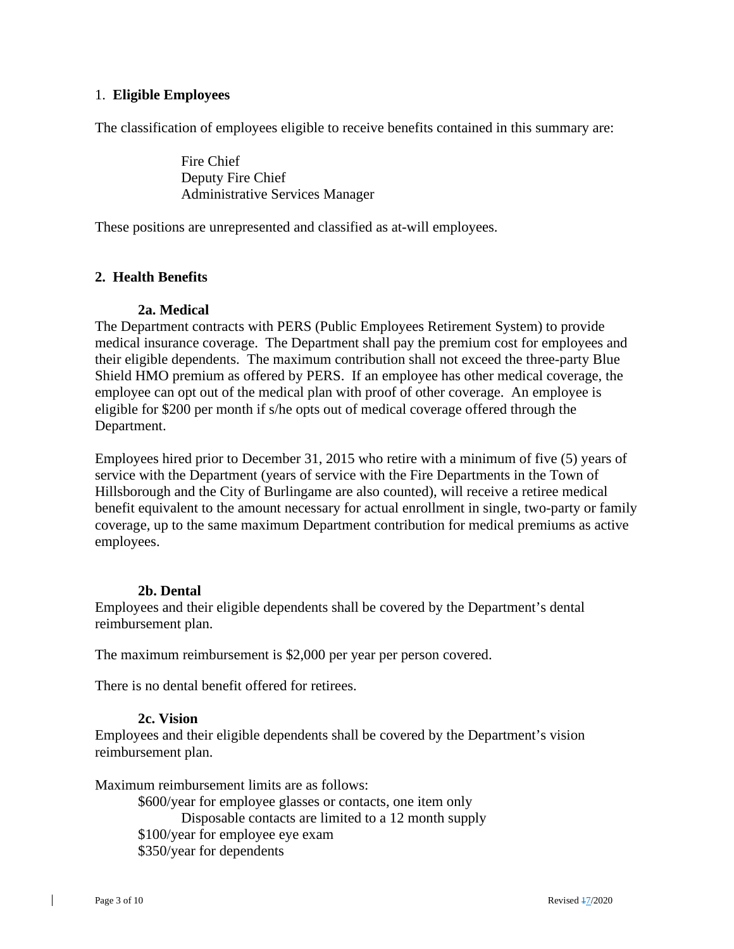#### 1. **Eligible Employees**

The classification of employees eligible to receive benefits contained in this summary are:

Fire Chief Deputy Fire Chief Administrative Services Manager

These positions are unrepresented and classified as at-will employees.

#### **2. Health Benefits**

#### **2a. Medical**

The Department contracts with PERS (Public Employees Retirement System) to provide medical insurance coverage. The Department shall pay the premium cost for employees and their eligible dependents. The maximum contribution shall not exceed the three-party Blue Shield HMO premium as offered by PERS. If an employee has other medical coverage, the employee can opt out of the medical plan with proof of other coverage. An employee is eligible for \$200 per month if s/he opts out of medical coverage offered through the Department.

Employees hired prior to December 31, 2015 who retire with a minimum of five (5) years of service with the Department (years of service with the Fire Departments in the Town of Hillsborough and the City of Burlingame are also counted), will receive a retiree medical benefit equivalent to the amount necessary for actual enrollment in single, two-party or family coverage, up to the same maximum Department contribution for medical premiums as active employees.

#### **2b. Dental**

Employees and their eligible dependents shall be covered by the Department's dental reimbursement plan.

The maximum reimbursement is \$2,000 per year per person covered.

There is no dental benefit offered for retirees.

#### **2c. Vision**

Employees and their eligible dependents shall be covered by the Department's vision reimbursement plan.

Maximum reimbursement limits are as follows:

\$600/year for employee glasses or contacts, one item only Disposable contacts are limited to a 12 month supply \$100/year for employee eye exam \$350/year for dependents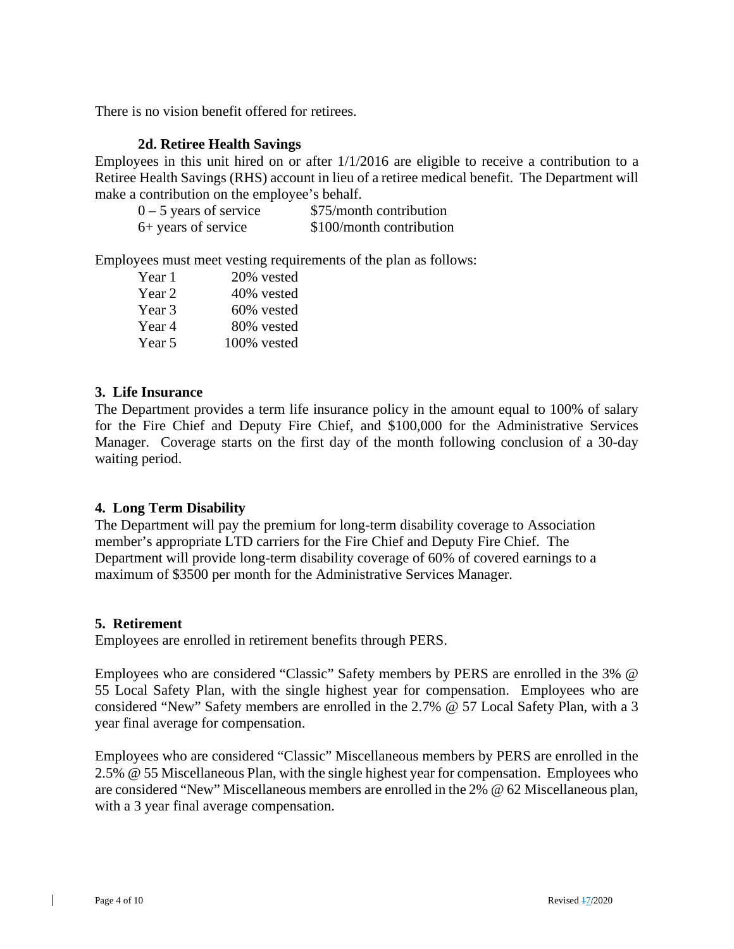There is no vision benefit offered for retirees.

#### **2d. Retiree Health Savings**

Employees in this unit hired on or after 1/1/2016 are eligible to receive a contribution to a Retiree Health Savings (RHS) account in lieu of a retiree medical benefit. The Department will make a contribution on the employee's behalf.

| $0 - 5$ years of service | \$75/month contribution  |
|--------------------------|--------------------------|
| 6+ years of service      | \$100/month contribution |

Employees must meet vesting requirements of the plan as follows:

| Year 1 | 20% vested  |
|--------|-------------|
| Year 2 | 40% vested  |
| Year 3 | 60% vested  |
| Year 4 | 80% vested  |
| Year 5 | 100% vested |

#### **3. Life Insurance**

The Department provides a term life insurance policy in the amount equal to 100% of salary for the Fire Chief and Deputy Fire Chief, and \$100,000 for the Administrative Services Manager. Coverage starts on the first day of the month following conclusion of a 30-day waiting period.

#### **4. Long Term Disability**

The Department will pay the premium for long-term disability coverage to Association member's appropriate LTD carriers for the Fire Chief and Deputy Fire Chief. The Department will provide long-term disability coverage of 60% of covered earnings to a maximum of \$3500 per month for the Administrative Services Manager.

#### **5. Retirement**

Employees are enrolled in retirement benefits through PERS.

Employees who are considered "Classic" Safety members by PERS are enrolled in the 3% @ 55 Local Safety Plan, with the single highest year for compensation. Employees who are considered "New" Safety members are enrolled in the 2.7% @ 57 Local Safety Plan, with a 3 year final average for compensation.

Employees who are considered "Classic" Miscellaneous members by PERS are enrolled in the 2.5% @ 55 Miscellaneous Plan, with the single highest year for compensation. Employees who are considered "New" Miscellaneous members are enrolled in the 2% @ 62 Miscellaneous plan, with a 3 year final average compensation.

 $\perp$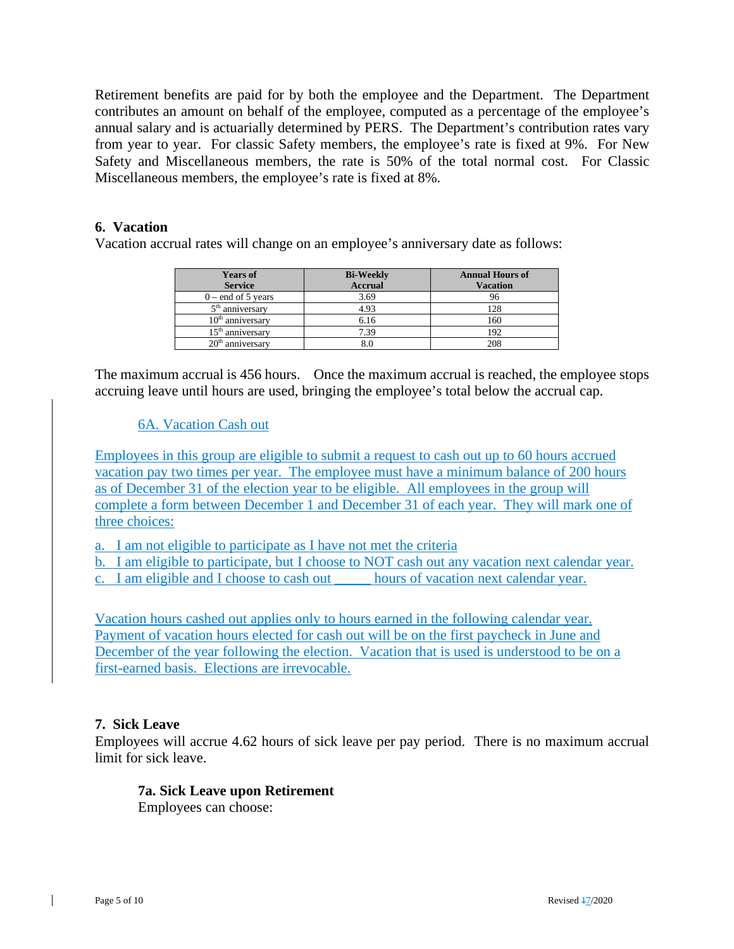Retirement benefits are paid for by both the employee and the Department. The Department contributes an amount on behalf of the employee, computed as a percentage of the employee's annual salary and is actuarially determined by PERS. The Department's contribution rates vary from year to year. For classic Safety members, the employee's rate is fixed at 9%. For New Safety and Miscellaneous members, the rate is 50% of the total normal cost. For Classic Miscellaneous members, the employee's rate is fixed at 8%.

#### **6. Vacation**

Vacation accrual rates will change on an employee's anniversary date as follows:

| <b>Years of</b>      | <b>Bi-Weekly</b> | <b>Annual Hours of</b> |
|----------------------|------------------|------------------------|
| <b>Service</b>       | <b>Accrual</b>   | <b>Vacation</b>        |
| $0$ – end of 5 years | 3.69             |                        |
| $5th$ anniversary    | 4.93             | 128                    |
| $10th$ anniversary   | 6.16             | 160                    |
| $15th$ anniversary   | 7.39             | 192                    |
| $20th$ anniversary   |                  | 208                    |

The maximum accrual is 456 hours. Once the maximum accrual is reached, the employee stops accruing leave until hours are used, bringing the employee's total below the accrual cap.

#### 6A. Vacation Cash out

Employees in this group are eligible to submit a request to cash out up to 60 hours accrued vacation pay two times per year. The employee must have a minimum balance of 200 hours as of December 31 of the election year to be eligible. All employees in the group will complete a form between December 1 and December 31 of each year. They will mark one of three choices:

a. I am not eligible to participate as I have not met the criteria

- b. I am eligible to participate, but I choose to NOT cash out any vacation next calendar year.
- c. I am eligible and I choose to cash out \_\_\_\_\_ hours of vacation next calendar year.

Vacation hours cashed out applies only to hours earned in the following calendar year. Payment of vacation hours elected for cash out will be on the first paycheck in June and December of the year following the election. Vacation that is used is understood to be on a first-earned basis. Elections are irrevocable.

#### **7. Sick Leave**

Employees will accrue 4.62 hours of sick leave per pay period. There is no maximum accrual limit for sick leave.

#### **7a. Sick Leave upon Retirement**

Employees can choose: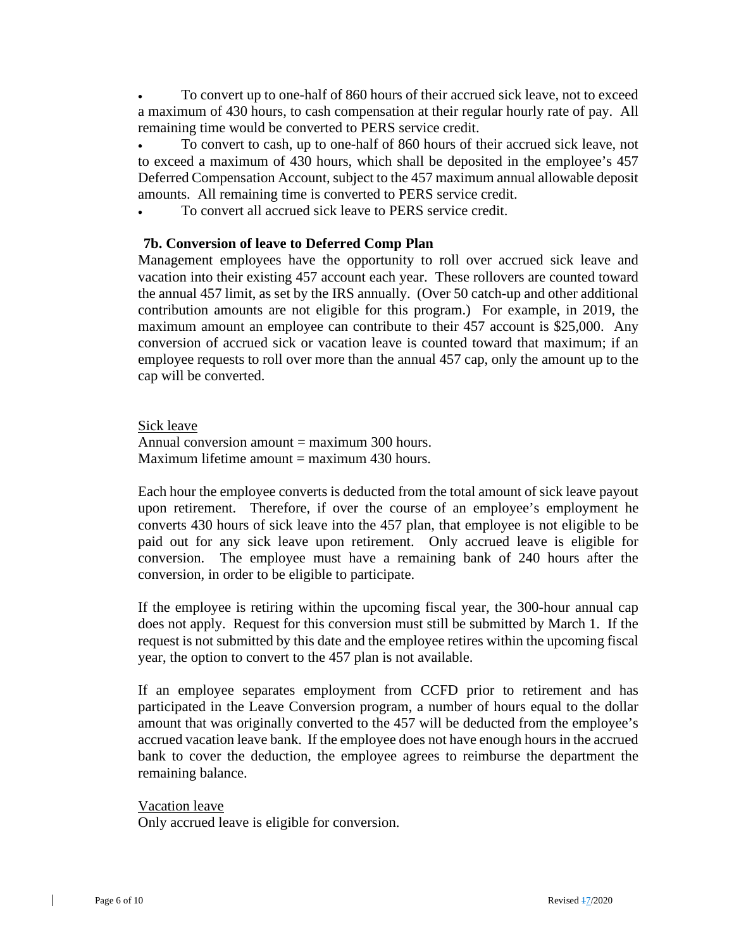• To convert up to one-half of 860 hours of their accrued sick leave, not to exceed a maximum of 430 hours, to cash compensation at their regular hourly rate of pay. All remaining time would be converted to PERS service credit.

• To convert to cash, up to one-half of 860 hours of their accrued sick leave, not to exceed a maximum of 430 hours, which shall be deposited in the employee's 457 Deferred Compensation Account, subject to the 457 maximum annual allowable deposit amounts. All remaining time is converted to PERS service credit.

To convert all accrued sick leave to PERS service credit.

#### **7b. Conversion of leave to Deferred Comp Plan**

Management employees have the opportunity to roll over accrued sick leave and vacation into their existing 457 account each year. These rollovers are counted toward the annual 457 limit, as set by the IRS annually. (Over 50 catch-up and other additional contribution amounts are not eligible for this program.) For example, in 2019, the maximum amount an employee can contribute to their 457 account is \$25,000. Any conversion of accrued sick or vacation leave is counted toward that maximum; if an employee requests to roll over more than the annual 457 cap, only the amount up to the cap will be converted.

Sick leave

Annual conversion amount  $=$  maximum 300 hours. Maximum lifetime amount  $=$  maximum 430 hours.

Each hour the employee converts is deducted from the total amount of sick leave payout upon retirement. Therefore, if over the course of an employee's employment he converts 430 hours of sick leave into the 457 plan, that employee is not eligible to be paid out for any sick leave upon retirement. Only accrued leave is eligible for conversion. The employee must have a remaining bank of 240 hours after the conversion, in order to be eligible to participate.

If the employee is retiring within the upcoming fiscal year, the 300-hour annual cap does not apply. Request for this conversion must still be submitted by March 1. If the request is not submitted by this date and the employee retires within the upcoming fiscal year, the option to convert to the 457 plan is not available.

If an employee separates employment from CCFD prior to retirement and has participated in the Leave Conversion program, a number of hours equal to the dollar amount that was originally converted to the 457 will be deducted from the employee's accrued vacation leave bank. If the employee does not have enough hours in the accrued bank to cover the deduction, the employee agrees to reimburse the department the remaining balance.

Vacation leave

Only accrued leave is eligible for conversion.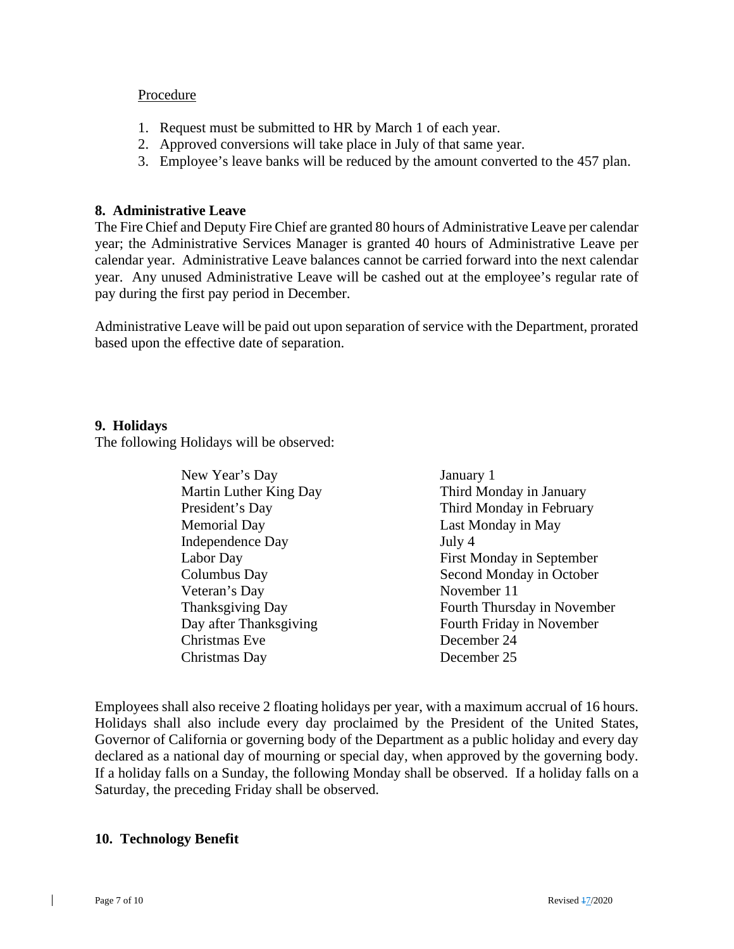#### **Procedure**

- 1. Request must be submitted to HR by March 1 of each year.
- 2. Approved conversions will take place in July of that same year.
- 3. Employee's leave banks will be reduced by the amount converted to the 457 plan.

#### **8. Administrative Leave**

The Fire Chief and Deputy Fire Chief are granted 80 hours of Administrative Leave per calendar year; the Administrative Services Manager is granted 40 hours of Administrative Leave per calendar year. Administrative Leave balances cannot be carried forward into the next calendar year. Any unused Administrative Leave will be cashed out at the employee's regular rate of pay during the first pay period in December.

Administrative Leave will be paid out upon separation of service with the Department, prorated based upon the effective date of separation.

#### **9. Holidays**

The following Holidays will be observed:

| New Year's Day          | January 1                   |
|-------------------------|-----------------------------|
| Martin Luther King Day  | Third Monday in January     |
| President's Day         | Third Monday in February    |
| <b>Memorial Day</b>     | Last Monday in May          |
| <b>Independence Day</b> | July 4                      |
| Labor Day               | First Monday in September   |
| Columbus Day            | Second Monday in October    |
| Veteran's Day           | November 11                 |
| Thanksgiving Day        | Fourth Thursday in November |
| Day after Thanksgiving  | Fourth Friday in November   |
| Christmas Eve           | December 24                 |
| Christmas Day           | December 25                 |

Employees shall also receive 2 floating holidays per year, with a maximum accrual of 16 hours. Holidays shall also include every day proclaimed by the President of the United States, Governor of California or governing body of the Department as a public holiday and every day declared as a national day of mourning or special day, when approved by the governing body. If a holiday falls on a Sunday, the following Monday shall be observed. If a holiday falls on a Saturday, the preceding Friday shall be observed.

#### **10. Technology Benefit**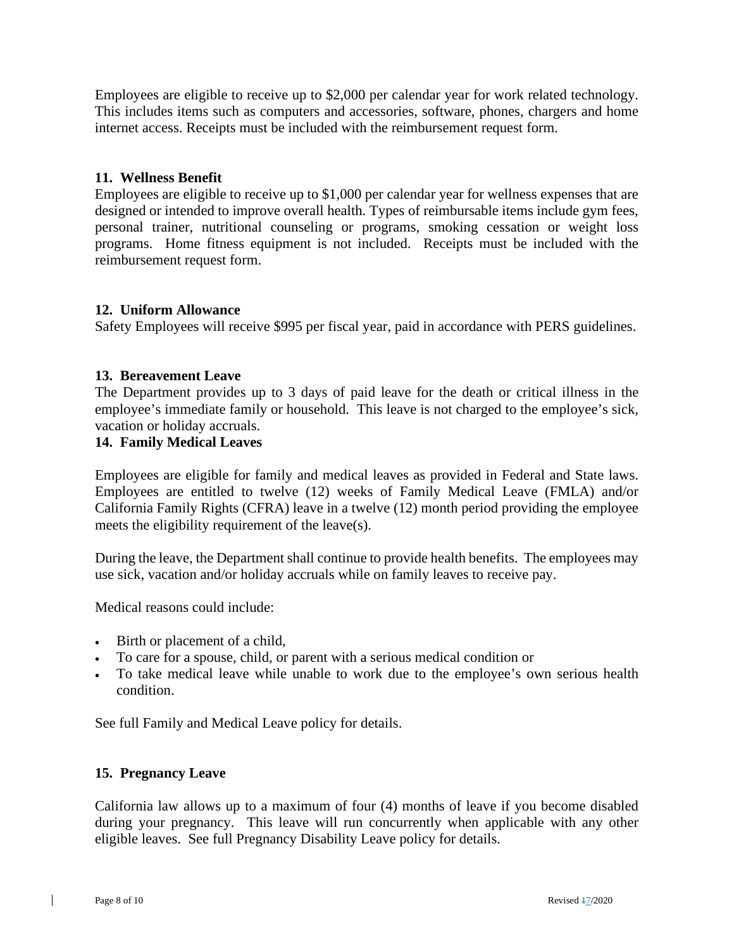Employees are eligible to receive up to \$2,000 per calendar year for work related technology. This includes items such as computers and accessories, software, phones, chargers and home internet access. Receipts must be included with the reimbursement request form.

#### **11. Wellness Benefit**

Employees are eligible to receive up to \$1,000 per calendar year for wellness expenses that are designed or intended to improve overall health. Types of reimbursable items include gym fees, personal trainer, nutritional counseling or programs, smoking cessation or weight loss programs. Home fitness equipment is not included. Receipts must be included with the reimbursement request form.

#### **12. Uniform Allowance**

Safety Employees will receive \$995 per fiscal year, paid in accordance with PERS guidelines.

#### **13. Bereavement Leave**

The Department provides up to 3 days of paid leave for the death or critical illness in the employee's immediate family or household. This leave is not charged to the employee's sick, vacation or holiday accruals.

#### **14. Family Medical Leaves**

Employees are eligible for family and medical leaves as provided in Federal and State laws. Employees are entitled to twelve (12) weeks of Family Medical Leave (FMLA) and/or California Family Rights (CFRA) leave in a twelve (12) month period providing the employee meets the eligibility requirement of the leave(s).

During the leave, the Department shall continue to provide health benefits. The employees may use sick, vacation and/or holiday accruals while on family leaves to receive pay.

Medical reasons could include:

- Birth or placement of a child,
- To care for a spouse, child, or parent with a serious medical condition or
- To take medical leave while unable to work due to the employee's own serious health condition.

See full Family and Medical Leave policy for details.

#### **15. Pregnancy Leave**

California law allows up to a maximum of four (4) months of leave if you become disabled during your pregnancy. This leave will run concurrently when applicable with any other eligible leaves. See full Pregnancy Disability Leave policy for details.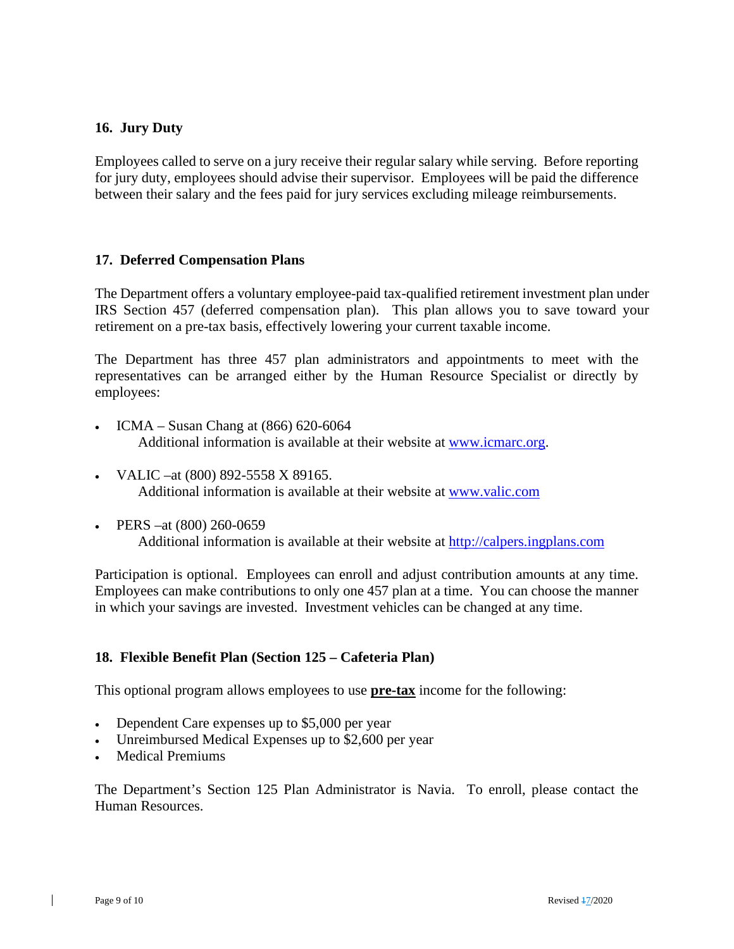#### **16. Jury Duty**

Employees called to serve on a jury receive their regular salary while serving. Before reporting for jury duty, employees should advise their supervisor. Employees will be paid the difference between their salary and the fees paid for jury services excluding mileage reimbursements.

#### **17. Deferred Compensation Plans**

The Department offers a voluntary employee-paid tax-qualified retirement investment plan under IRS Section 457 (deferred compensation plan). This plan allows you to save toward your retirement on a pre-tax basis, effectively lowering your current taxable income.

The Department has three 457 plan administrators and appointments to meet with the representatives can be arranged either by the Human Resource Specialist or directly by employees:

- ICMA Susan Chang at (866) 620-6064 Additional information is available at their website at [www.icmarc.org.](http://www.icmarc.org/)
- VALIC –at (800) 892-5558 X 89165. Additional information is available at their website at [www.valic.com](http://www.valic.com/)
- PERS –at (800) 260-0659 Additional information is available at their website at [http://calpers.ingplans.com](http://calpers.ingplans.com/)

Participation is optional. Employees can enroll and adjust contribution amounts at any time. Employees can make contributions to only one 457 plan at a time. You can choose the manner in which your savings are invested. Investment vehicles can be changed at any time.

#### **18. Flexible Benefit Plan (Section 125 – Cafeteria Plan)**

This optional program allows employees to use **pre-tax** income for the following:

- Dependent Care expenses up to \$5,000 per year
- Unreimbursed Medical Expenses up to \$2,600 per year
- Medical Premiums

The Department's Section 125 Plan Administrator is Navia. To enroll, please contact the Human Resources.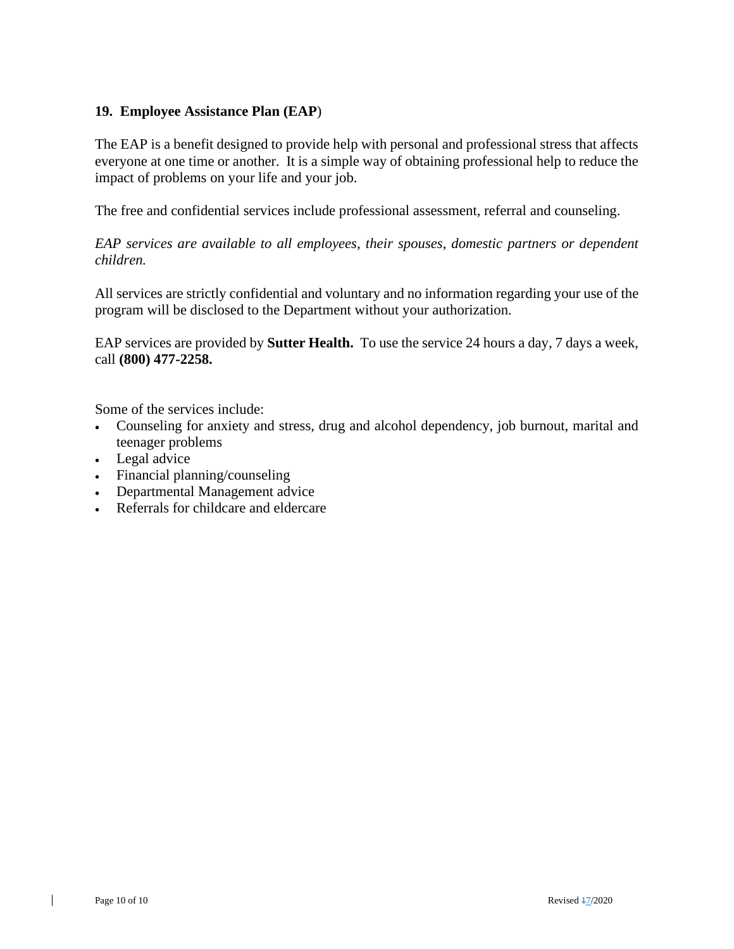#### **19. Employee Assistance Plan (EAP**)

The EAP is a benefit designed to provide help with personal and professional stress that affects everyone at one time or another. It is a simple way of obtaining professional help to reduce the impact of problems on your life and your job.

The free and confidential services include professional assessment, referral and counseling.

*EAP services are available to all employees, their spouses, domestic partners or dependent children.*

All services are strictly confidential and voluntary and no information regarding your use of the program will be disclosed to the Department without your authorization.

EAP services are provided by **Sutter Health.** To use the service 24 hours a day, 7 days a week, call **(800) 477-2258.**

Some of the services include:

- Counseling for anxiety and stress, drug and alcohol dependency, job burnout, marital and teenager problems
- Legal advice
- Financial planning/counseling
- Departmental Management advice
- Referrals for childcare and eldercare

 $\perp$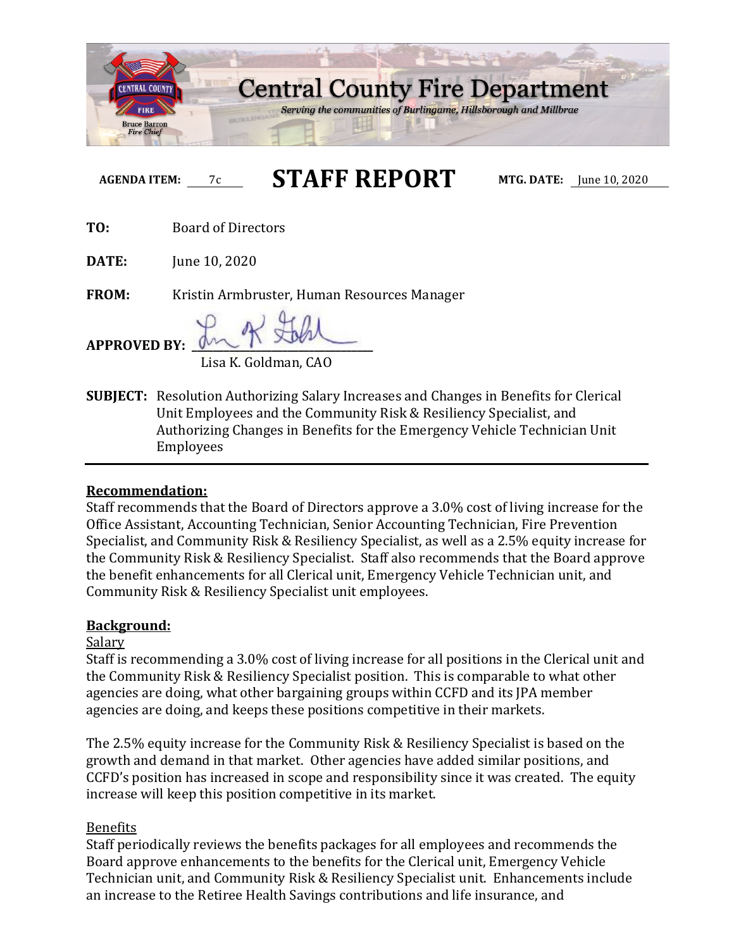

**AGENDA ITEM:** 7c **STAFF REPORT MTG. DATE:** June 10, 2020

**TO:** Board of Directors

**DATE:** June 10, 2020

**FROM:** Kristin Armbruster, Human Resources Manager

**APPROVED BY: \_\_\_\_\_\_\_\_\_\_\_\_\_\_\_\_\_\_\_\_\_\_\_\_\_\_\_\_\_\_\_\_\_\_**

Lisa K. Goldman, CAO

**SUBJECT:** Resolution Authorizing Salary Increases and Changes in Benefits for Clerical Unit Employees and the Community Risk & Resiliency Specialist, and Authorizing Changes in Benefits for the Emergency Vehicle Technician Unit Employees

### **Recommendation:**

Staff recommends that the Board of Directors approve a 3.0% cost of living increase for the Office Assistant, Accounting Technician, Senior Accounting Technician, Fire Prevention Specialist, and Community Risk & Resiliency Specialist, as well as a 2.5% equity increase for the Community Risk & Resiliency Specialist. Staff also recommends that the Board approve the benefit enhancements for all Clerical unit, Emergency Vehicle Technician unit, and Community Risk & Resiliency Specialist unit employees.

### **Background:**

# Salary

Staff is recommending a 3.0% cost of living increase for all positions in the Clerical unit and the Community Risk & Resiliency Specialist position. This is comparable to what other agencies are doing, what other bargaining groups within CCFD and its JPA member agencies are doing, and keeps these positions competitive in their markets.

The 2.5% equity increase for the Community Risk & Resiliency Specialist is based on the growth and demand in that market. Other agencies have added similar positions, and CCFD's position has increased in scope and responsibility since it was created. The equity increase will keep this position competitive in its market.

# Benefits

Staff periodically reviews the benefits packages for all employees and recommends the Board approve enhancements to the benefits for the Clerical unit, Emergency Vehicle Technician unit, and Community Risk & Resiliency Specialist unit. Enhancements include an increase to the Retiree Health Savings contributions and life insurance, and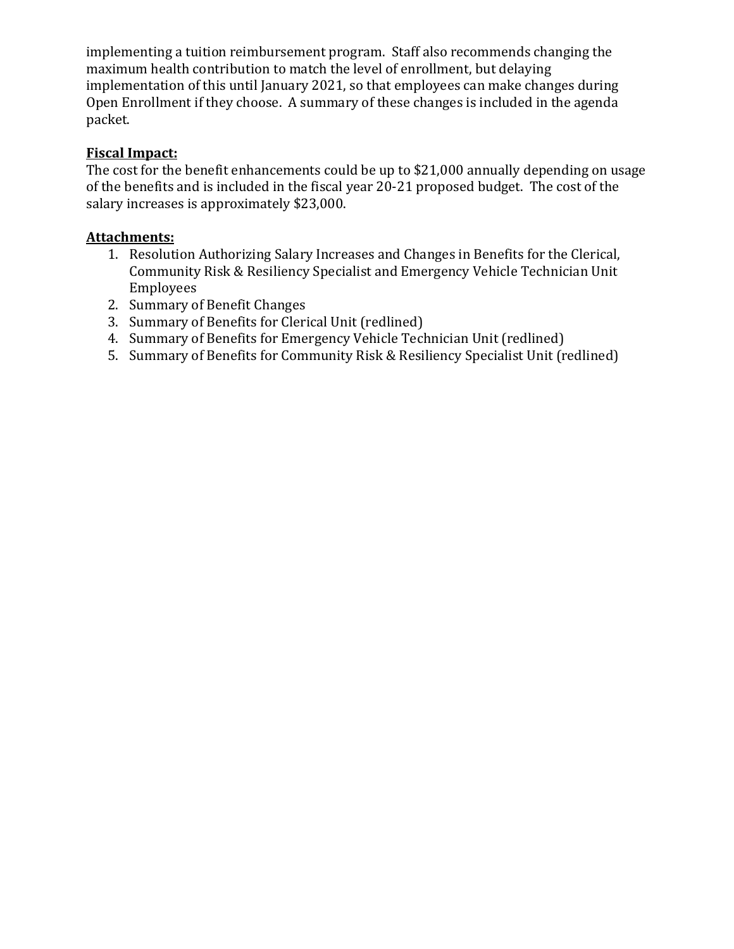implementing a tuition reimbursement program. Staff also recommends changing the maximum health contribution to match the level of enrollment, but delaying implementation of this until January 2021, so that employees can make changes during Open Enrollment if they choose. A summary of these changes is included in the agenda packet.

### **Fiscal Impact:**

The cost for the benefit enhancements could be up to \$21,000 annually depending on usage of the benefits and is included in the fiscal year 20-21 proposed budget. The cost of the salary increases is approximately \$23,000.

# **Attachments:**

- 1. Resolution Authorizing Salary Increases and Changes in Benefits for the Clerical, Community Risk & Resiliency Specialist and Emergency Vehicle Technician Unit Employees
- 2. Summary of Benefit Changes
- 3. Summary of Benefits for Clerical Unit (redlined)
- 4. Summary of Benefits for Emergency Vehicle Technician Unit (redlined)
- 5. Summary of Benefits for Community Risk & Resiliency Specialist Unit (redlined)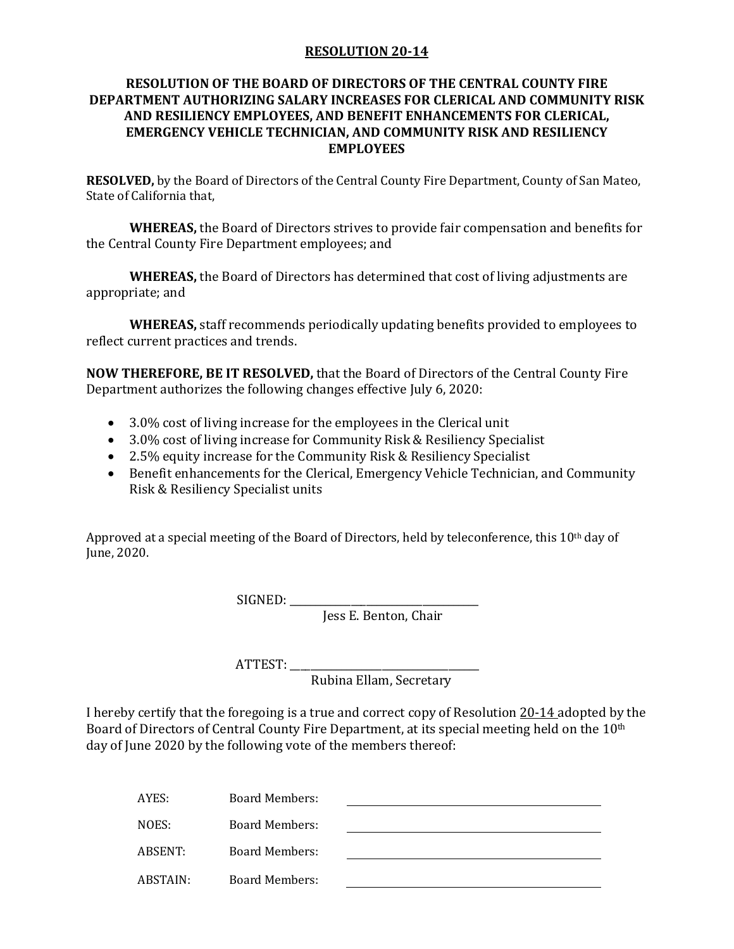#### **RESOLUTION 20-14**

#### **RESOLUTION OF THE BOARD OF DIRECTORS OF THE CENTRAL COUNTY FIRE DEPARTMENT AUTHORIZING SALARY INCREASES FOR CLERICAL AND COMMUNITY RISK AND RESILIENCY EMPLOYEES, AND BENEFIT ENHANCEMENTS FOR CLERICAL, EMERGENCY VEHICLE TECHNICIAN, AND COMMUNITY RISK AND RESILIENCY EMPLOYEES**

**RESOLVED,** by the Board of Directors of the Central County Fire Department, County of San Mateo, State of California that,

**WHEREAS,** the Board of Directors strives to provide fair compensation and benefits for the Central County Fire Department employees; and

**WHEREAS,** the Board of Directors has determined that cost of living adjustments are appropriate; and

**WHEREAS,** staff recommends periodically updating benefits provided to employees to reflect current practices and trends.

**NOW THEREFORE, BE IT RESOLVED,** that the Board of Directors of the Central County Fire Department authorizes the following changes effective July 6, 2020:

- 3.0% cost of living increase for the employees in the Clerical unit
- 3.0% cost of living increase for Community Risk & Resiliency Specialist
- 2.5% equity increase for the Community Risk & Resiliency Specialist
- Benefit enhancements for the Clerical, Emergency Vehicle Technician, and Community Risk & Resiliency Specialist units

Approved at a special meeting of the Board of Directors, held by teleconference, this 10th day of June, 2020.

SIGNED: \_\_\_\_\_\_\_\_\_\_\_\_\_\_\_\_\_\_\_\_\_\_\_\_\_\_\_\_\_\_\_\_\_\_\_\_\_

Jess E. Benton, Chair

ATTEST: \_\_\_\_\_\_\_\_\_\_\_\_\_\_\_\_\_\_\_\_\_\_\_\_\_\_\_\_\_\_\_\_\_\_\_\_\_

Rubina Ellam, Secretary

I hereby certify that the foregoing is a true and correct copy of Resolution 20-14 adopted by the Board of Directors of Central County Fire Department, at its special meeting held on the 10<sup>th</sup> day of June 2020 by the following vote of the members thereof:

| AYES:    | <b>Board Members:</b> |  |
|----------|-----------------------|--|
| NOES:    | Board Members:        |  |
| ABSENT:  | Board Members:        |  |
| ABSTAIN: | Board Members:        |  |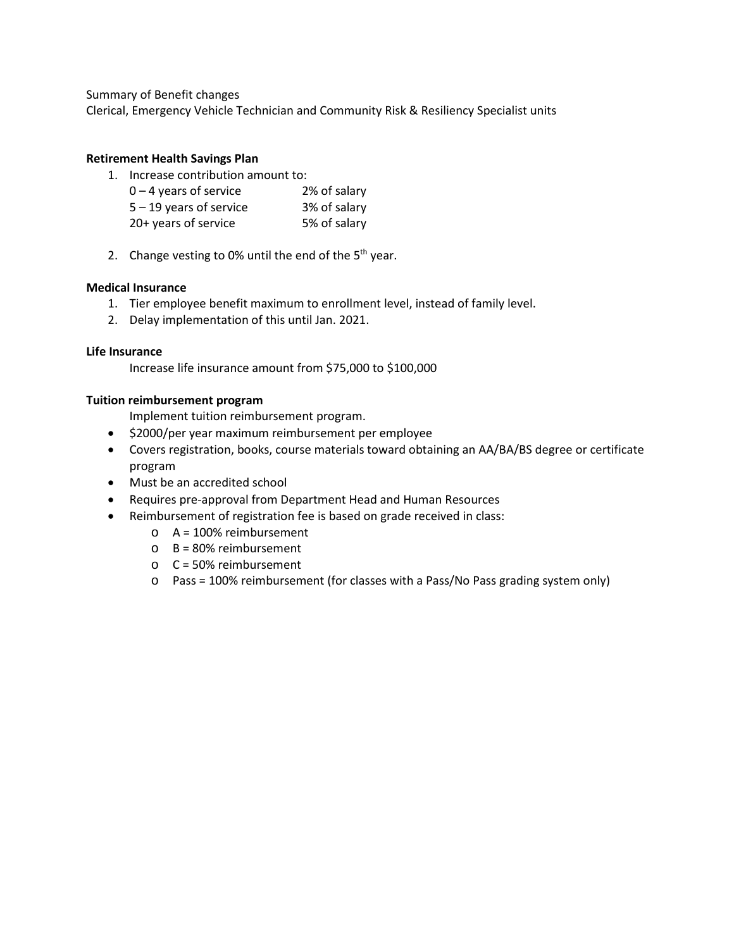Summary of Benefit changes

Clerical, Emergency Vehicle Technician and Community Risk & Resiliency Specialist units

#### **Retirement Health Savings Plan**

1. Increase contribution amount to:

| $0 - 4$ years of service  | 2% of salary |
|---------------------------|--------------|
| $5 - 19$ years of service | 3% of salary |
| 20+ years of service      | 5% of salary |

2. Change vesting to 0% until the end of the  $5<sup>th</sup>$  year.

#### **Medical Insurance**

- 1. Tier employee benefit maximum to enrollment level, instead of family level.
- 2. Delay implementation of this until Jan. 2021.

#### **Life Insurance**

Increase life insurance amount from \$75,000 to \$100,000

#### **Tuition reimbursement program**

Implement tuition reimbursement program.

- \$2000/per year maximum reimbursement per employee
- Covers registration, books, course materials toward obtaining an AA/BA/BS degree or certificate program
- Must be an accredited school
- Requires pre-approval from Department Head and Human Resources
- Reimbursement of registration fee is based on grade received in class:
	- o A = 100% reimbursement
	- $O$  B = 80% reimbursement
	- $O$  C = 50% reimbursement
	- $\circ$  Pass = 100% reimbursement (for classes with a Pass/No Pass grading system only)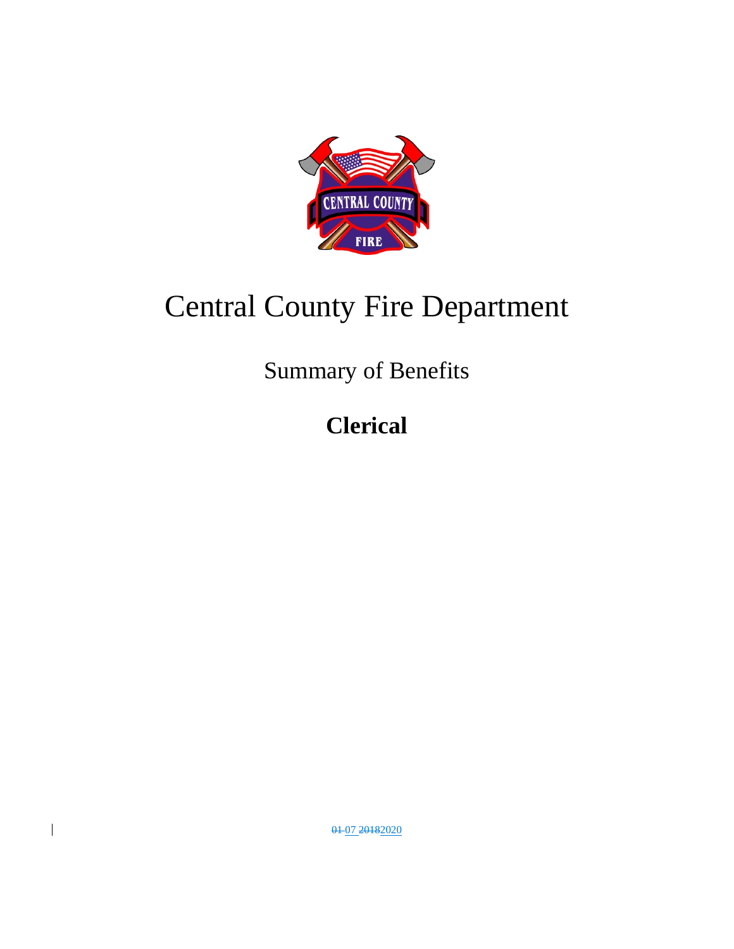

# Central County Fire Department

Summary of Benefits

**Clerical**

01 07 20182020

 $\overline{\phantom{a}}$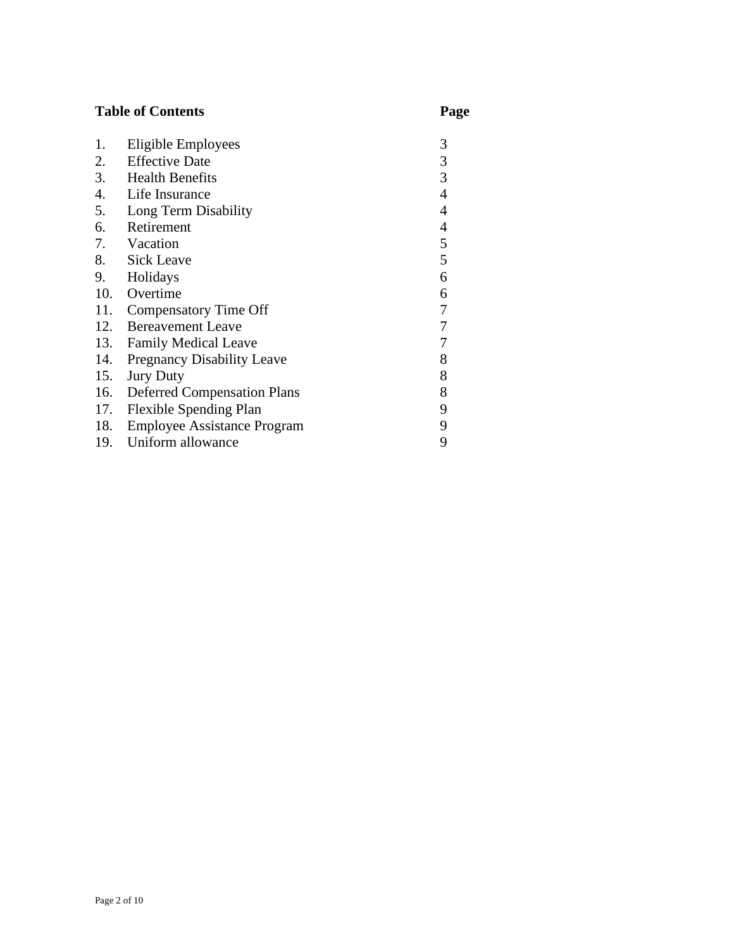# **Table of Contents Page**

| 1.  | Eligible Employees                 | 3              |
|-----|------------------------------------|----------------|
| 2.  | <b>Effective Date</b>              | 3              |
| 3.  | <b>Health Benefits</b>             | 3              |
| 4.  | Life Insurance                     | 4              |
| 5.  | Long Term Disability               | $\overline{4}$ |
| 6.  | Retirement                         | 4              |
| 7.  | Vacation                           | 5              |
| 8.  | <b>Sick Leave</b>                  | 5              |
| 9.  | Holidays                           | 6              |
|     | 10. Overtime                       | 6              |
| 11. | <b>Compensatory Time Off</b>       | 7              |
| 12. | <b>Bereavement Leave</b>           | 7              |
| 13. | <b>Family Medical Leave</b>        | 7              |
| 14. | <b>Pregnancy Disability Leave</b>  | 8              |
| 15. | <b>Jury Duty</b>                   | 8              |
| 16. | <b>Deferred Compensation Plans</b> | 8              |
| 17. | <b>Flexible Spending Plan</b>      | 9              |
| 18. | <b>Employee Assistance Program</b> | 9              |
|     | 19. Uniform allowance              | 9              |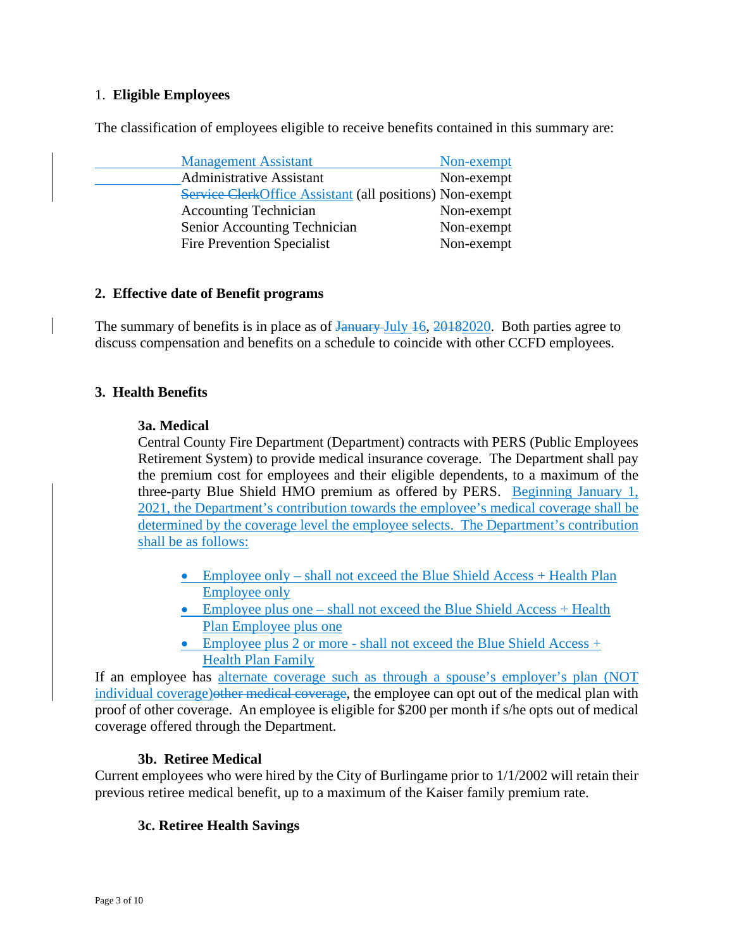#### 1. **Eligible Employees**

The classification of employees eligible to receive benefits contained in this summary are:

| <b>Management Assistant</b>                              | Non-exempt |
|----------------------------------------------------------|------------|
| <b>Administrative Assistant</b>                          | Non-exempt |
| Service ClerkOffice Assistant (all positions) Non-exempt |            |
| <b>Accounting Technician</b>                             | Non-exempt |
| Senior Accounting Technician                             | Non-exempt |
| <b>Fire Prevention Specialist</b>                        | Non-exempt |

#### **2. Effective date of Benefit programs**

The summary of benefits is in place as of <del>January</del> July 46, 20182020. Both parties agree to discuss compensation and benefits on a schedule to coincide with other CCFD employees.

#### **3. Health Benefits**

#### **3a. Medical**

Central County Fire Department (Department) contracts with PERS (Public Employees Retirement System) to provide medical insurance coverage. The Department shall pay the premium cost for employees and their eligible dependents, to a maximum of the three-party Blue Shield HMO premium as offered by PERS. Beginning January 1, 2021, the Department's contribution towards the employee's medical coverage shall be determined by the coverage level the employee selects. The Department's contribution shall be as follows:

- Employee only shall not exceed the Blue Shield Access + Health Plan Employee only
- Employee plus one shall not exceed the Blue Shield Access + Health Plan Employee plus one
- Employee plus 2 or more shall not exceed the Blue Shield Access + Health Plan Family

If an employee has alternate coverage such as through a spouse's employer's plan (NOT individual coverage) other medical coverage, the employee can opt out of the medical plan with proof of other coverage. An employee is eligible for \$200 per month if s/he opts out of medical coverage offered through the Department.

#### **3b. Retiree Medical**

Current employees who were hired by the City of Burlingame prior to 1/1/2002 will retain their previous retiree medical benefit, up to a maximum of the Kaiser family premium rate.

#### **3c. Retiree Health Savings**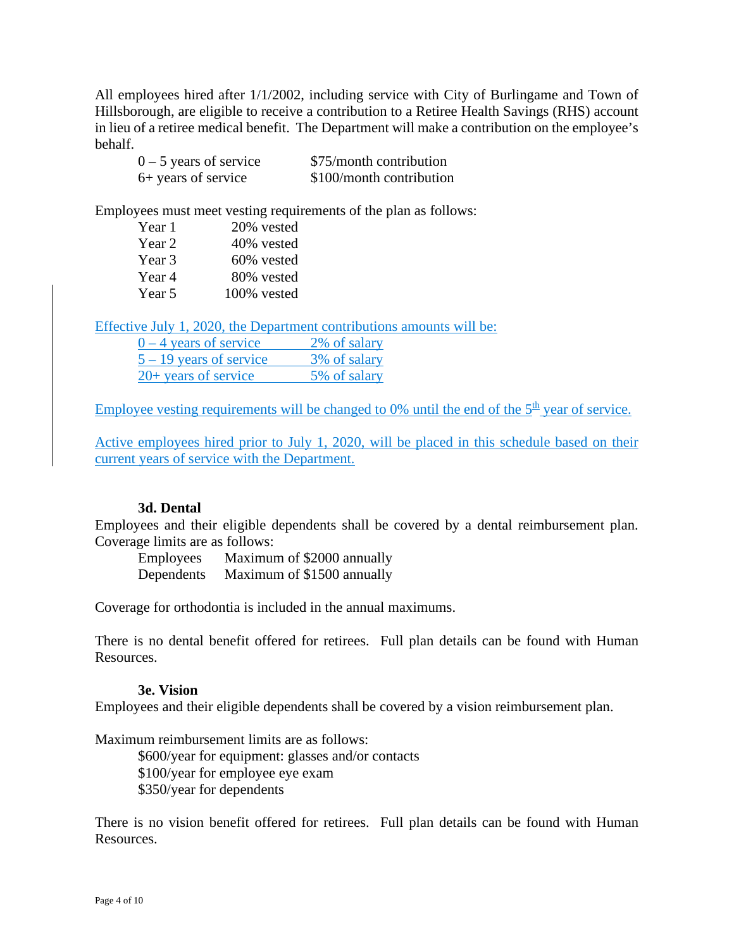All employees hired after 1/1/2002, including service with City of Burlingame and Town of Hillsborough, are eligible to receive a contribution to a Retiree Health Savings (RHS) account in lieu of a retiree medical benefit. The Department will make a contribution on the employee's behalf.

| $0 - 5$ years of service | \$75/month contribution  |
|--------------------------|--------------------------|
| 6+ years of service      | \$100/month contribution |

Employees must meet vesting requirements of the plan as follows:

| Year 1 | 20% vested  |
|--------|-------------|
| Year 2 | 40% vested  |
| Year 3 | 60% vested  |
| Year 4 | 80% vested  |
| Year 5 | 100% vested |

Effective July 1, 2020, the Department contributions amounts will be:

| $0 - 4$ years of service  | 2% of salary |
|---------------------------|--------------|
| $5 - 19$ years of service | 3% of salary |
| $20+$ years of service    | 5% of salary |

Employee vesting requirements will be changed to 0% until the end of the  $5<sup>th</sup>$  year of service.

Active employees hired prior to July 1, 2020, will be placed in this schedule based on their current years of service with the Department.

#### **3d. Dental**

Employees and their eligible dependents shall be covered by a dental reimbursement plan. Coverage limits are as follows:

Employees Maximum of \$2000 annually Dependents Maximum of \$1500 annually

Coverage for orthodontia is included in the annual maximums.

There is no dental benefit offered for retirees. Full plan details can be found with Human Resources.

#### **3e. Vision**

Employees and their eligible dependents shall be covered by a vision reimbursement plan.

Maximum reimbursement limits are as follows:

\$600/year for equipment: glasses and/or contacts \$100/year for employee eye exam \$350/year for dependents

There is no vision benefit offered for retirees. Full plan details can be found with Human Resources.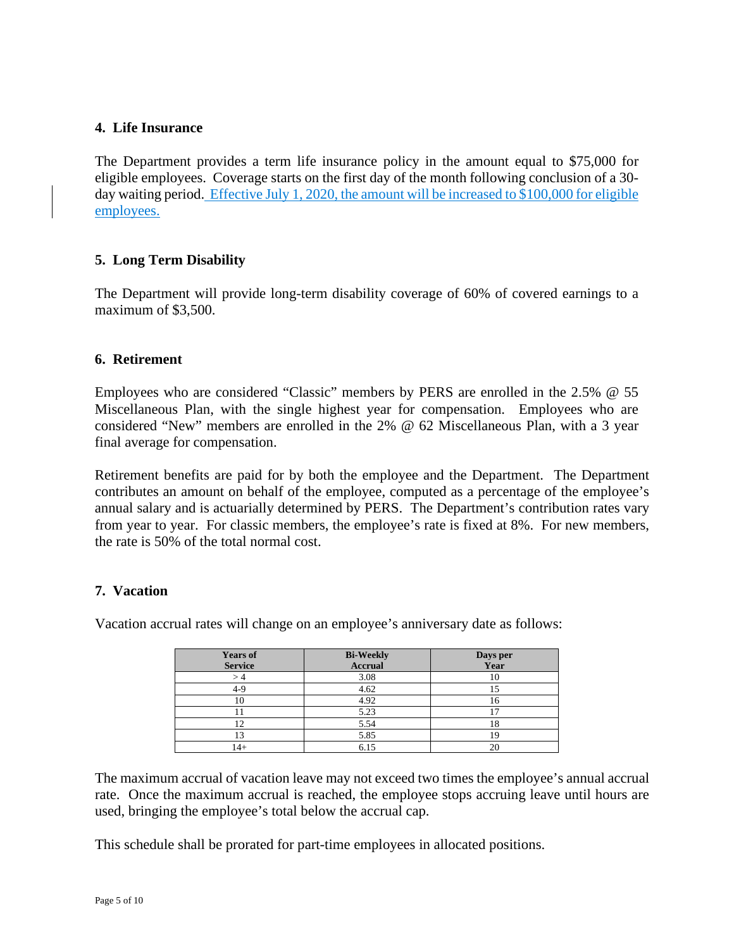#### **4. Life Insurance**

The Department provides a term life insurance policy in the amount equal to \$75,000 for eligible employees. Coverage starts on the first day of the month following conclusion of a 30 day waiting period. Effective July 1, 2020, the amount will be increased to \$100,000 for eligible employees.

#### **5. Long Term Disability**

The Department will provide long-term disability coverage of 60% of covered earnings to a maximum of \$3,500.

#### **6. Retirement**

Employees who are considered "Classic" members by PERS are enrolled in the 2.5% @ 55 Miscellaneous Plan, with the single highest year for compensation. Employees who are considered "New" members are enrolled in the 2% @ 62 Miscellaneous Plan, with a 3 year final average for compensation.

Retirement benefits are paid for by both the employee and the Department. The Department contributes an amount on behalf of the employee, computed as a percentage of the employee's annual salary and is actuarially determined by PERS. The Department's contribution rates vary from year to year. For classic members, the employee's rate is fixed at 8%. For new members, the rate is 50% of the total normal cost.

#### **7. Vacation**

Vacation accrual rates will change on an employee's anniversary date as follows:

| <b>Years of</b><br><b>Service</b> | <b>Bi-Weekly</b><br><b>Accrual</b> | Days per<br>Year |
|-----------------------------------|------------------------------------|------------------|
|                                   | 3.08                               | 10               |
| 4-9                               | 4.62                               |                  |
| ΙU                                | 4.92                               | 16               |
|                                   | 5.23                               |                  |
| 12                                | 5.54                               | 18               |
| 13                                | 5.85                               | ١ç               |
| $14+$                             | 6.15                               | 20               |

The maximum accrual of vacation leave may not exceed two times the employee's annual accrual rate. Once the maximum accrual is reached, the employee stops accruing leave until hours are used, bringing the employee's total below the accrual cap.

This schedule shall be prorated for part-time employees in allocated positions.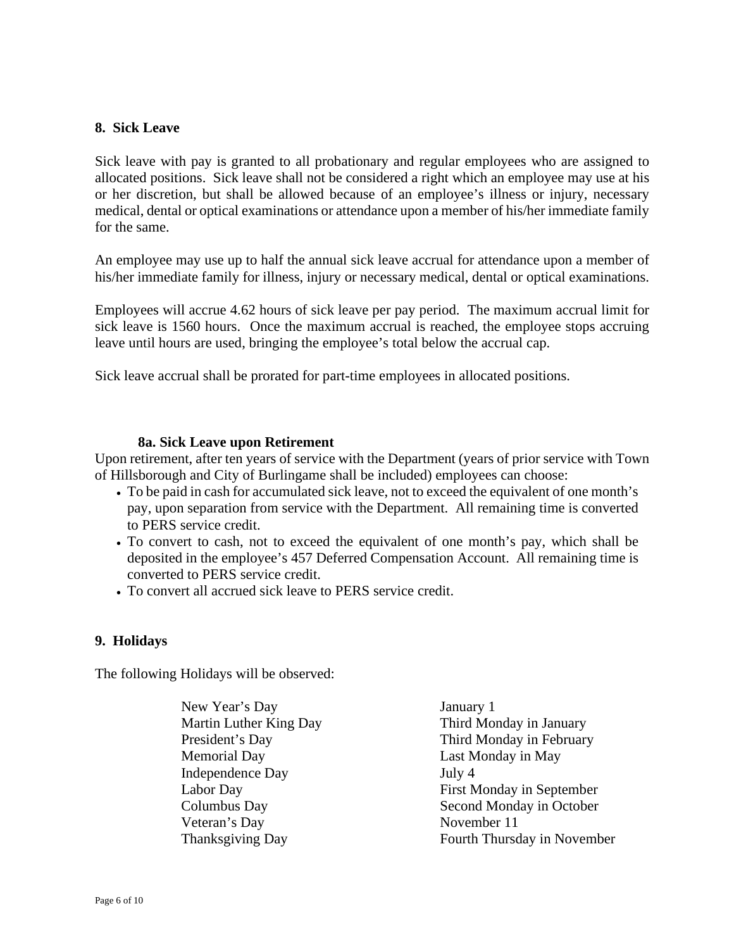#### **8. Sick Leave**

Sick leave with pay is granted to all probationary and regular employees who are assigned to allocated positions. Sick leave shall not be considered a right which an employee may use at his or her discretion, but shall be allowed because of an employee's illness or injury, necessary medical, dental or optical examinations or attendance upon a member of his/her immediate family for the same.

An employee may use up to half the annual sick leave accrual for attendance upon a member of his/her immediate family for illness, injury or necessary medical, dental or optical examinations.

Employees will accrue 4.62 hours of sick leave per pay period. The maximum accrual limit for sick leave is 1560 hours. Once the maximum accrual is reached, the employee stops accruing leave until hours are used, bringing the employee's total below the accrual cap.

Sick leave accrual shall be prorated for part-time employees in allocated positions.

#### **8a. Sick Leave upon Retirement**

Upon retirement, after ten years of service with the Department (years of prior service with Town of Hillsborough and City of Burlingame shall be included) employees can choose:

- To be paid in cash for accumulated sick leave, not to exceed the equivalent of one month's pay, upon separation from service with the Department. All remaining time is converted to PERS service credit.
- To convert to cash, not to exceed the equivalent of one month's pay, which shall be deposited in the employee's 457 Deferred Compensation Account. All remaining time is converted to PERS service credit.
- To convert all accrued sick leave to PERS service credit.

#### **9. Holidays**

The following Holidays will be observed:

| New Year's Day                | January 1                   |
|-------------------------------|-----------------------------|
| <b>Martin Luther King Day</b> | Third Monday in January     |
| President's Day               | Third Monday in February    |
| Memorial Day                  | Last Monday in May          |
| <b>Independence Day</b>       | July 4                      |
| Labor Day                     | First Monday in September   |
| Columbus Day                  | Second Monday in October    |
| Veteran's Day                 | November 11                 |
| <b>Thanksgiving Day</b>       | Fourth Thursday in November |
|                               |                             |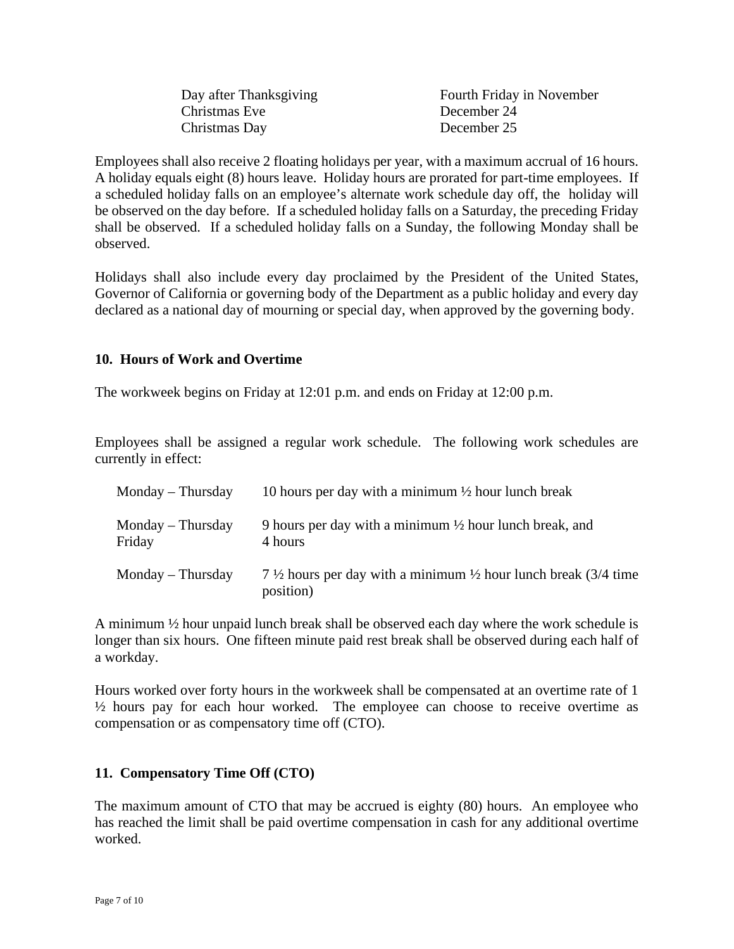| Day after Thanksgiving | Fourth Friday in November |
|------------------------|---------------------------|
| Christmas Eve          | December 24               |
| Christmas Day          | December 25               |

Employees shall also receive 2 floating holidays per year, with a maximum accrual of 16 hours. A holiday equals eight (8) hours leave. Holiday hours are prorated for part-time employees. If a scheduled holiday falls on an employee's alternate work schedule day off, the holiday will be observed on the day before. If a scheduled holiday falls on a Saturday, the preceding Friday shall be observed. If a scheduled holiday falls on a Sunday, the following Monday shall be observed.

Holidays shall also include every day proclaimed by the President of the United States, Governor of California or governing body of the Department as a public holiday and every day declared as a national day of mourning or special day, when approved by the governing body.

#### **10. Hours of Work and Overtime**

The workweek begins on Friday at 12:01 p.m. and ends on Friday at 12:00 p.m.

Employees shall be assigned a regular work schedule. The following work schedules are currently in effect:

| $Monday$ – Thursday           | 10 hours per day with a minimum $\frac{1}{2}$ hour lunch break                                     |
|-------------------------------|----------------------------------------------------------------------------------------------------|
| $Monday$ – Thursday<br>Friday | 9 hours per day with a minimum $\frac{1}{2}$ hour lunch break, and<br>4 hours                      |
| $Monday$ – Thursday           | 7 $\frac{1}{2}$ hours per day with a minimum $\frac{1}{2}$ hour lunch break (3/4 time<br>position) |

A minimum ½ hour unpaid lunch break shall be observed each day where the work schedule is longer than six hours. One fifteen minute paid rest break shall be observed during each half of a workday.

Hours worked over forty hours in the workweek shall be compensated at an overtime rate of 1 ½ hours pay for each hour worked. The employee can choose to receive overtime as compensation or as compensatory time off (CTO).

#### **11. Compensatory Time Off (CTO)**

The maximum amount of CTO that may be accrued is eighty (80) hours. An employee who has reached the limit shall be paid overtime compensation in cash for any additional overtime worked.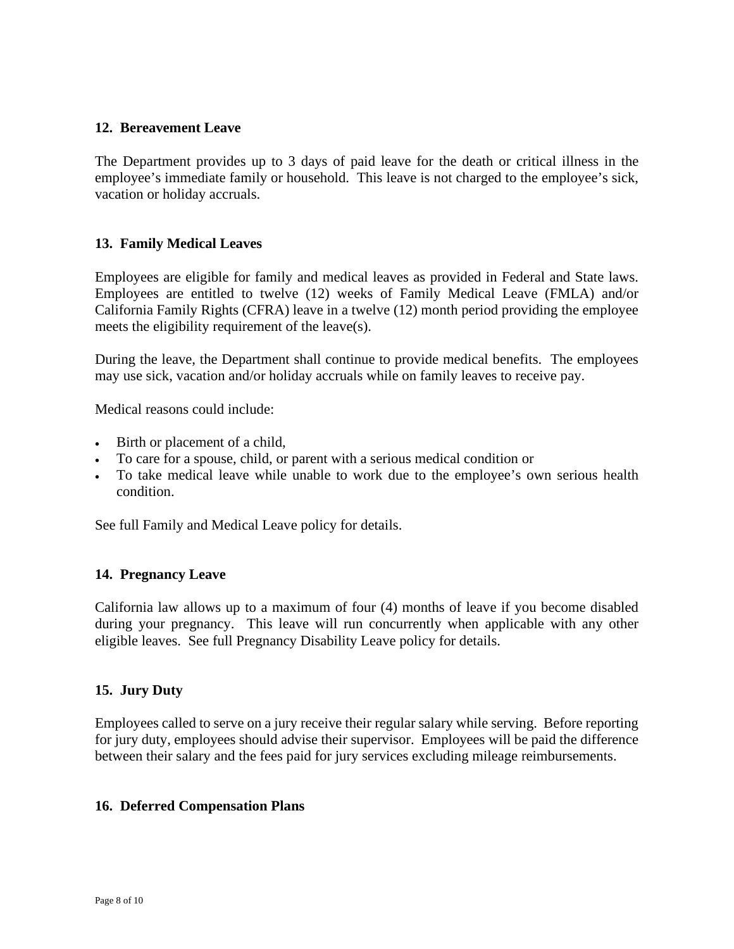#### **12. Bereavement Leave**

The Department provides up to 3 days of paid leave for the death or critical illness in the employee's immediate family or household. This leave is not charged to the employee's sick, vacation or holiday accruals.

#### **13. Family Medical Leaves**

Employees are eligible for family and medical leaves as provided in Federal and State laws. Employees are entitled to twelve (12) weeks of Family Medical Leave (FMLA) and/or California Family Rights (CFRA) leave in a twelve (12) month period providing the employee meets the eligibility requirement of the leave(s).

During the leave, the Department shall continue to provide medical benefits. The employees may use sick, vacation and/or holiday accruals while on family leaves to receive pay.

Medical reasons could include:

- Birth or placement of a child,
- To care for a spouse, child, or parent with a serious medical condition or
- To take medical leave while unable to work due to the employee's own serious health condition.

See full Family and Medical Leave policy for details.

#### **14. Pregnancy Leave**

California law allows up to a maximum of four (4) months of leave if you become disabled during your pregnancy. This leave will run concurrently when applicable with any other eligible leaves. See full Pregnancy Disability Leave policy for details.

#### **15. Jury Duty**

Employees called to serve on a jury receive their regular salary while serving. Before reporting for jury duty, employees should advise their supervisor. Employees will be paid the difference between their salary and the fees paid for jury services excluding mileage reimbursements.

#### **16. Deferred Compensation Plans**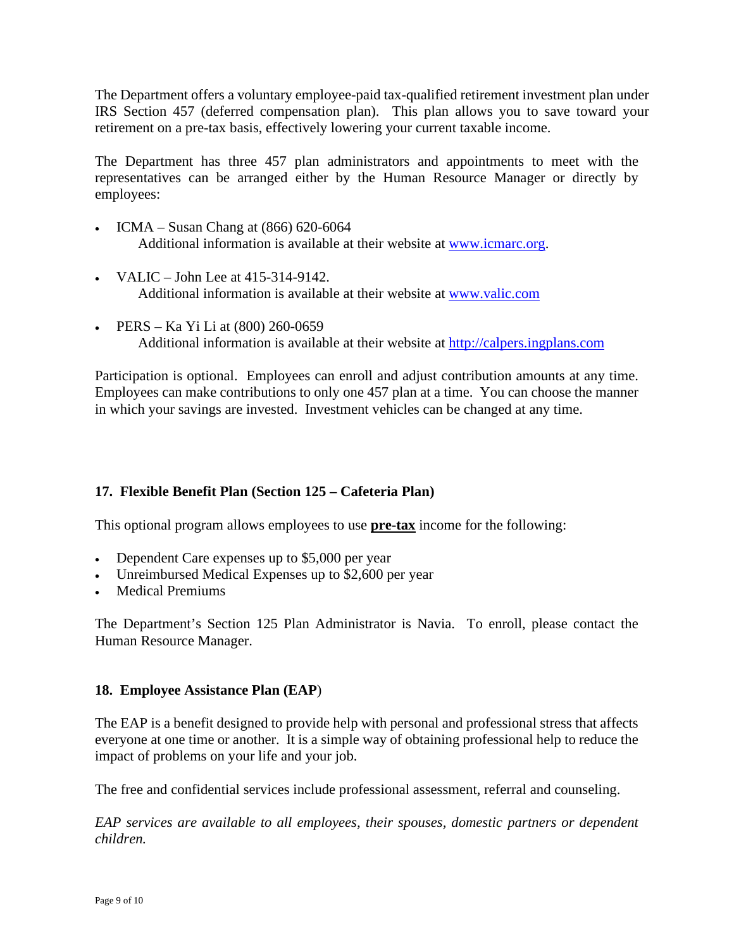The Department offers a voluntary employee-paid tax-qualified retirement investment plan under IRS Section 457 (deferred compensation plan). This plan allows you to save toward your retirement on a pre-tax basis, effectively lowering your current taxable income.

The Department has three 457 plan administrators and appointments to meet with the representatives can be arranged either by the Human Resource Manager or directly by employees:

- ICMA Susan Chang at (866) 620-6064 Additional information is available at their website at [www.icmarc.org.](http://www.icmarc.org/)
- VALIC John Lee at 415-314-9142. Additional information is available at their website at [www.valic.com](http://www.valic.com/)
- PERS Ka Yi Li at (800) 260-0659 Additional information is available at their website at [http://calpers.ingplans.com](http://calpers.ingplans.com/)

Participation is optional. Employees can enroll and adjust contribution amounts at any time. Employees can make contributions to only one 457 plan at a time. You can choose the manner in which your savings are invested. Investment vehicles can be changed at any time.

### **17. Flexible Benefit Plan (Section 125 – Cafeteria Plan)**

This optional program allows employees to use **pre-tax** income for the following:

- Dependent Care expenses up to \$5,000 per year
- Unreimbursed Medical Expenses up to \$2,600 per year
- Medical Premiums

The Department's Section 125 Plan Administrator is Navia. To enroll, please contact the Human Resource Manager.

#### **18. Employee Assistance Plan (EAP**)

The EAP is a benefit designed to provide help with personal and professional stress that affects everyone at one time or another. It is a simple way of obtaining professional help to reduce the impact of problems on your life and your job.

The free and confidential services include professional assessment, referral and counseling.

*EAP services are available to all employees, their spouses, domestic partners or dependent children.*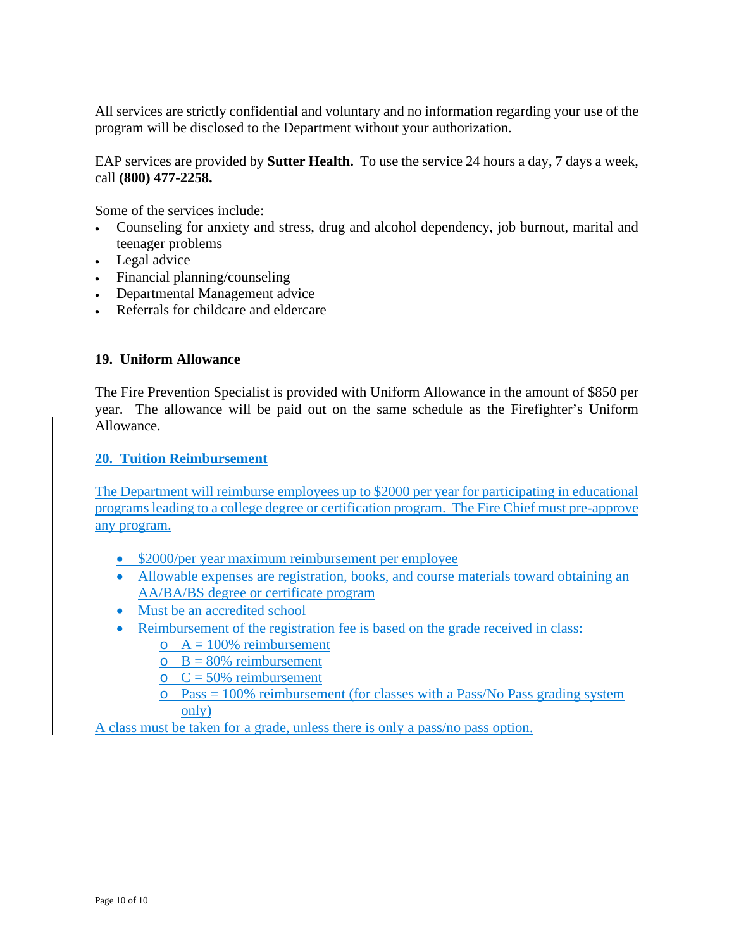All services are strictly confidential and voluntary and no information regarding your use of the program will be disclosed to the Department without your authorization.

EAP services are provided by **Sutter Health.** To use the service 24 hours a day, 7 days a week, call **(800) 477-2258.**

Some of the services include:

- Counseling for anxiety and stress, drug and alcohol dependency, job burnout, marital and teenager problems
- Legal advice
- Financial planning/counseling
- Departmental Management advice
- Referrals for childcare and eldercare

#### **19. Uniform Allowance**

The Fire Prevention Specialist is provided with Uniform Allowance in the amount of \$850 per year. The allowance will be paid out on the same schedule as the Firefighter's Uniform Allowance.

#### **20. Tuition Reimbursement**

The Department will reimburse employees up to \$2000 per year for participating in educational programs leading to a college degree or certification program. The Fire Chief must pre-approve any program.

- \$2000/per year maximum reimbursement per employee
- Allowable expenses are registration, books, and course materials toward obtaining an AA/BA/BS degree or certificate program
- Must be an accredited school
- Reimbursement of the registration fee is based on the grade received in class:
	- $\circ$  A = 100% reimbursement
		- $\circ$  B = 80% reimbursement
		- $C = 50\%$  reimbursement
		- $\circ$  Pass = 100% reimbursement (for classes with a Pass/No Pass grading system only)

A class must be taken for a grade, unless there is only a pass/no pass option.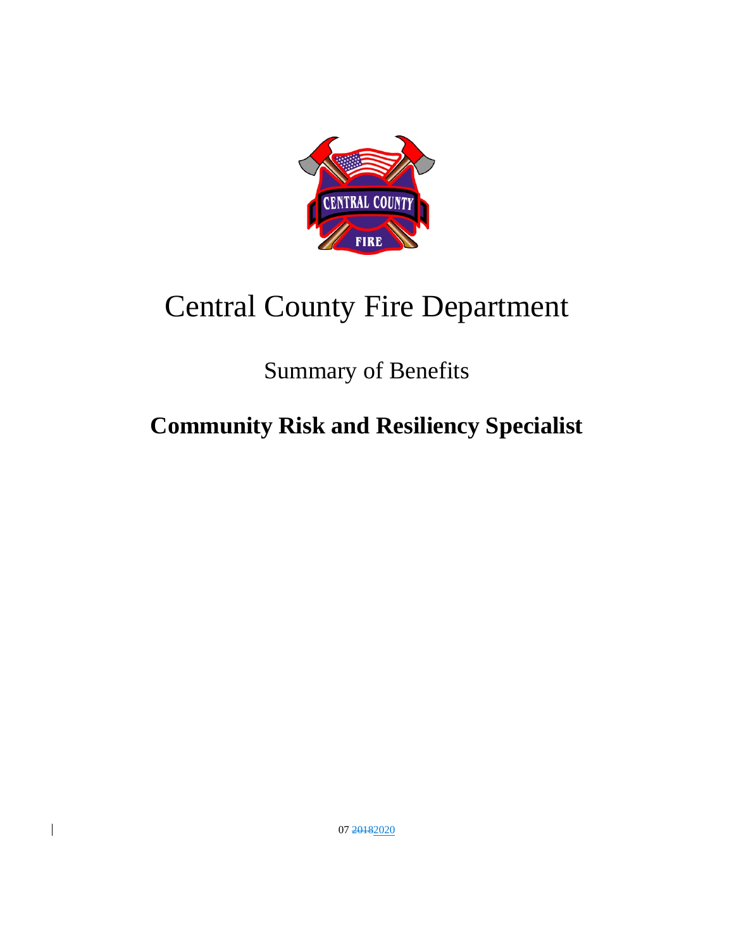

# Central County Fire Department

# Summary of Benefits

# **Community Risk and Resiliency Specialist**

07 20182020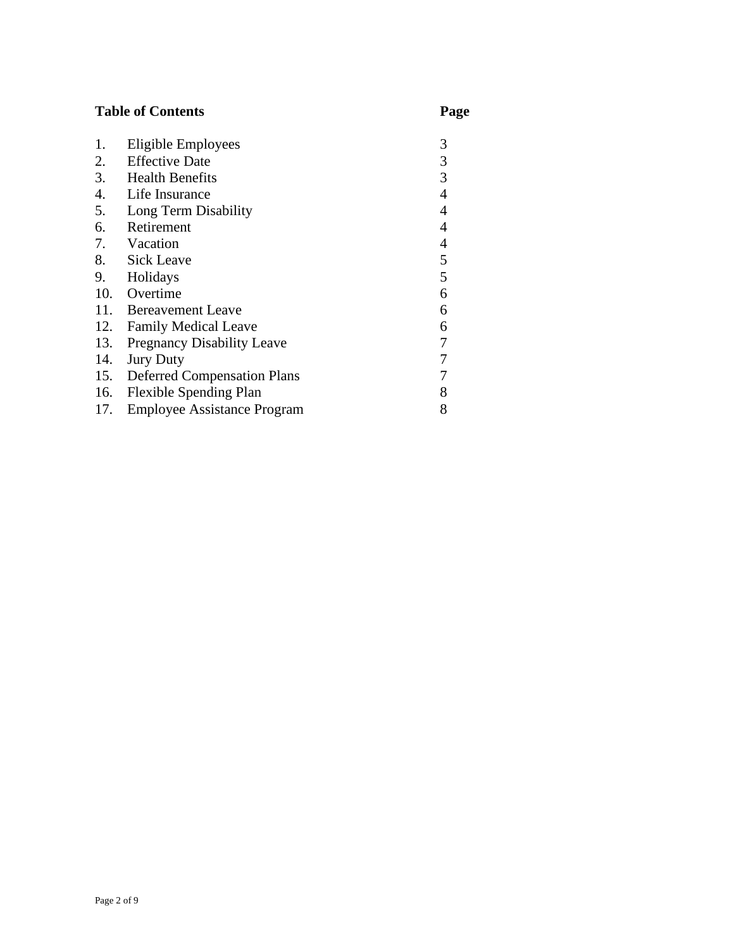# **Table of Contents Page**

| 1.  | Eligible Employees                 | 3                        |
|-----|------------------------------------|--------------------------|
| 2.  | <b>Effective Date</b>              | 3                        |
| 3.  | <b>Health Benefits</b>             | 3                        |
| 4.  | Life Insurance                     | 4                        |
| 5.  | Long Term Disability               | 4                        |
| 6.  | Retirement                         | $\overline{4}$           |
| 7.  | Vacation                           | $\overline{\mathcal{A}}$ |
| 8.  | <b>Sick Leave</b>                  | 5                        |
| 9.  | Holidays                           | 5                        |
| 10. | Overtime                           | 6                        |
| 11. | <b>Bereavement Leave</b>           | 6                        |
| 12. | <b>Family Medical Leave</b>        | 6                        |
| 13. | <b>Pregnancy Disability Leave</b>  | 7                        |
| 14. | <b>Jury Duty</b>                   | 7                        |
| 15. | <b>Deferred Compensation Plans</b> |                          |
| 16. | <b>Flexible Spending Plan</b>      | 8                        |
| 17. | <b>Employee Assistance Program</b> | 8                        |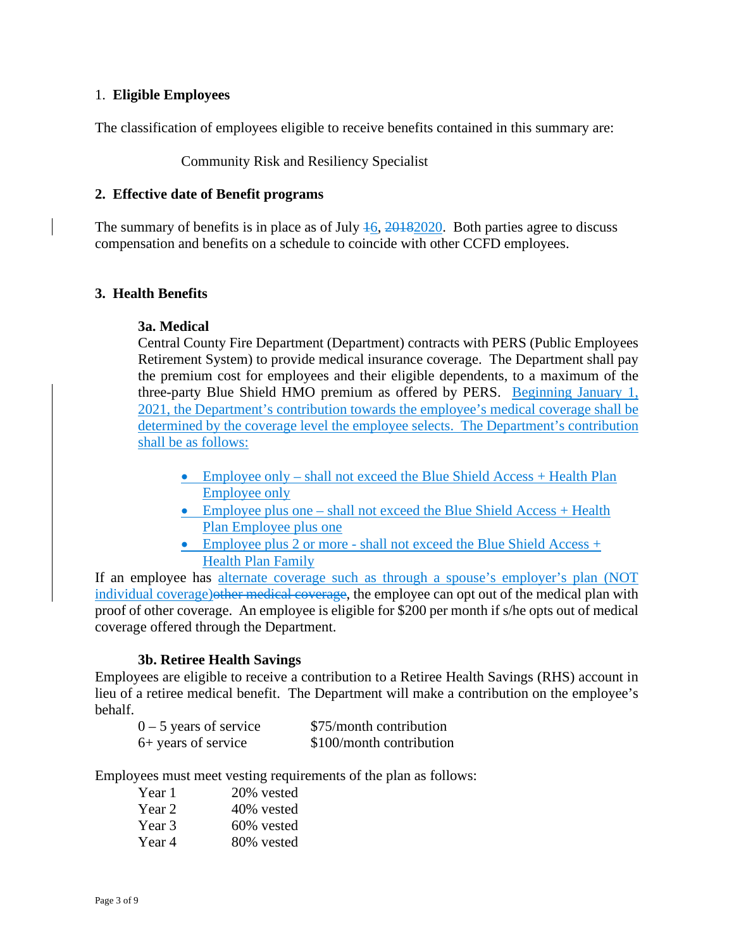#### 1. **Eligible Employees**

The classification of employees eligible to receive benefits contained in this summary are:

#### Community Risk and Resiliency Specialist

#### **2. Effective date of Benefit programs**

The summary of benefits is in place as of July  $\frac{16}{20182020}$ . Both parties agree to discuss compensation and benefits on a schedule to coincide with other CCFD employees.

#### **3. Health Benefits**

#### **3a. Medical**

Central County Fire Department (Department) contracts with PERS (Public Employees Retirement System) to provide medical insurance coverage. The Department shall pay the premium cost for employees and their eligible dependents, to a maximum of the three-party Blue Shield HMO premium as offered by PERS. Beginning January 1, 2021, the Department's contribution towards the employee's medical coverage shall be determined by the coverage level the employee selects. The Department's contribution shall be as follows:

- Employee only shall not exceed the Blue Shield Access + Health Plan Employee only
- Employee plus one shall not exceed the Blue Shield Access + Health Plan Employee plus one
- Employee plus 2 or more shall not exceed the Blue Shield Access  $+$ Health Plan Family

If an employee has alternate coverage such as through a spouse's employer's plan (NOT individual coverage) other medical coverage, the employee can opt out of the medical plan with proof of other coverage. An employee is eligible for \$200 per month if s/he opts out of medical coverage offered through the Department.

#### **3b. Retiree Health Savings**

Employees are eligible to receive a contribution to a Retiree Health Savings (RHS) account in lieu of a retiree medical benefit. The Department will make a contribution on the employee's behalf.

| $0 - 5$ years of service | \$75/month contribution  |
|--------------------------|--------------------------|
| 6+ years of service      | \$100/month contribution |

Employees must meet vesting requirements of the plan as follows:

| Year 1 | 20% vested |
|--------|------------|
| Year 2 | 40% vested |
| Year 3 | 60% vested |
| Year 4 | 80% vested |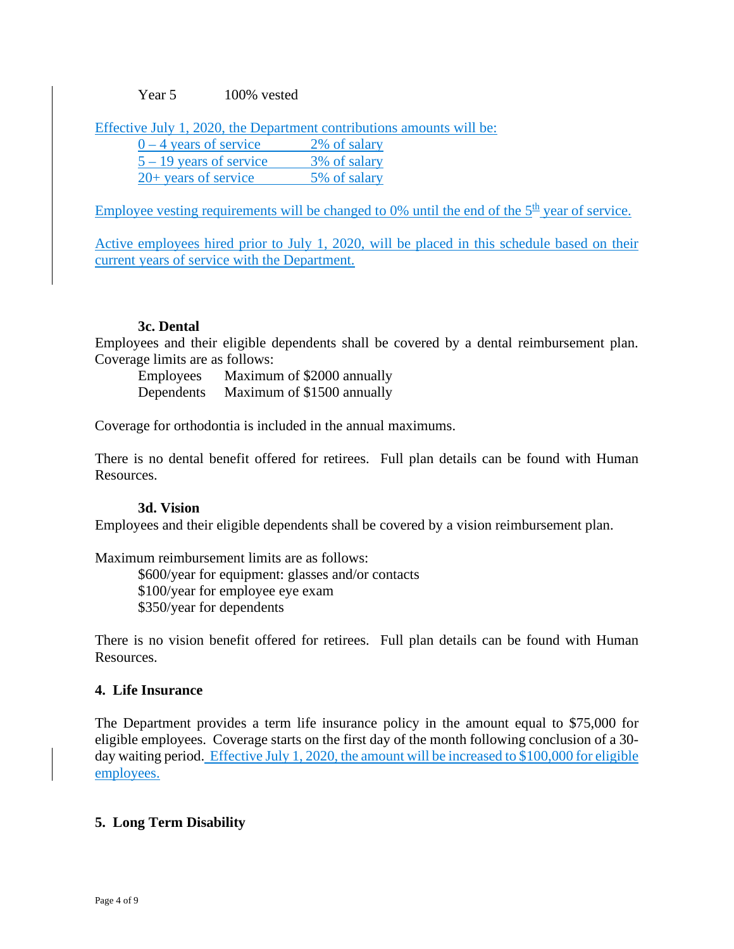Year 5 100% vested

Effective July 1, 2020, the Department contributions amounts will be:

| $0 - 4$ years of service  | 2% of salary |
|---------------------------|--------------|
| $5 - 19$ years of service | 3% of salary |
| $20+$ years of service    | 5% of salary |

Employee vesting requirements will be changed to  $0\%$  until the end of the  $5<sup>th</sup>$  year of service.

Active employees hired prior to July 1, 2020, will be placed in this schedule based on their current years of service with the Department.

#### **3c. Dental**

Employees and their eligible dependents shall be covered by a dental reimbursement plan. Coverage limits are as follows:

Employees Maximum of \$2000 annually Dependents Maximum of \$1500 annually

Coverage for orthodontia is included in the annual maximums.

There is no dental benefit offered for retirees. Full plan details can be found with Human Resources.

#### **3d. Vision**

Employees and their eligible dependents shall be covered by a vision reimbursement plan.

Maximum reimbursement limits are as follows:

\$600/year for equipment: glasses and/or contacts \$100/year for employee eye exam \$350/year for dependents

There is no vision benefit offered for retirees. Full plan details can be found with Human Resources.

#### **4. Life Insurance**

The Department provides a term life insurance policy in the amount equal to \$75,000 for eligible employees. Coverage starts on the first day of the month following conclusion of a 30 day waiting period. Effective July 1, 2020, the amount will be increased to \$100,000 for eligible employees.

### **5. Long Term Disability**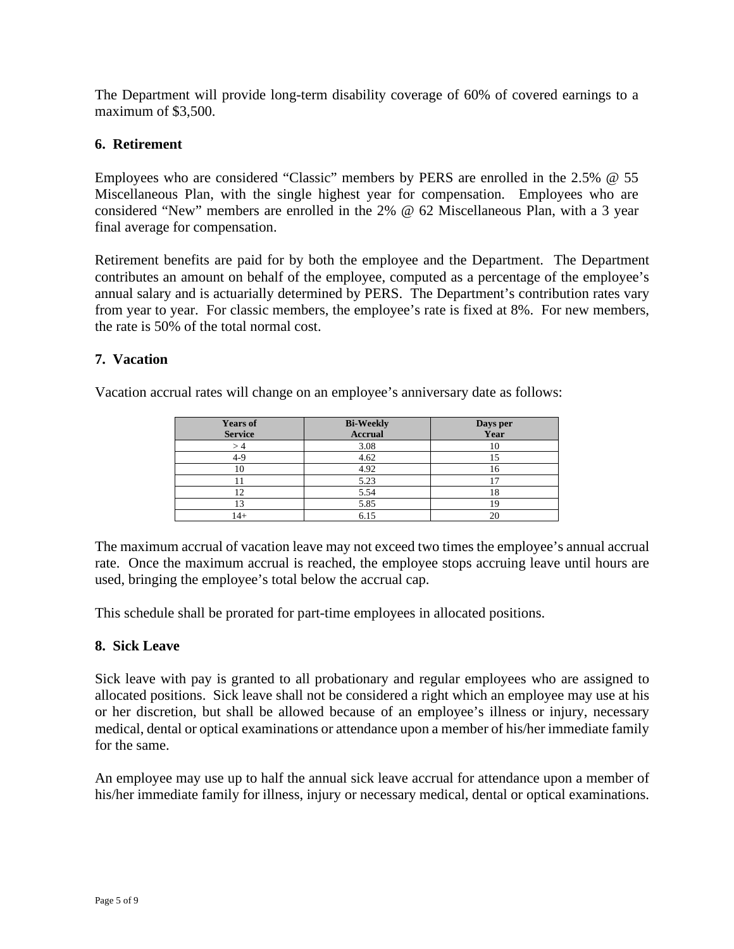The Department will provide long-term disability coverage of 60% of covered earnings to a maximum of \$3,500.

#### **6. Retirement**

Employees who are considered "Classic" members by PERS are enrolled in the 2.5% @ 55 Miscellaneous Plan, with the single highest year for compensation. Employees who are considered "New" members are enrolled in the 2% @ 62 Miscellaneous Plan, with a 3 year final average for compensation.

Retirement benefits are paid for by both the employee and the Department. The Department contributes an amount on behalf of the employee, computed as a percentage of the employee's annual salary and is actuarially determined by PERS. The Department's contribution rates vary from year to year. For classic members, the employee's rate is fixed at 8%. For new members, the rate is 50% of the total normal cost.

#### **7. Vacation**

Vacation accrual rates will change on an employee's anniversary date as follows:

| <b>Years of</b> | <b>Bi-Weekly</b> |                  |
|-----------------|------------------|------------------|
| <b>Service</b>  | <b>Accrual</b>   | Days per<br>Year |
|                 | 3.08             | 10               |
| 4-9             | 4.62             |                  |
|                 | 4.92             |                  |
|                 | 5.23             |                  |
| 12              | 5.54             |                  |
|                 | 5.85             |                  |
| $4+$            | 6.15             | 20               |

The maximum accrual of vacation leave may not exceed two times the employee's annual accrual rate. Once the maximum accrual is reached, the employee stops accruing leave until hours are used, bringing the employee's total below the accrual cap.

This schedule shall be prorated for part-time employees in allocated positions.

#### **8. Sick Leave**

Sick leave with pay is granted to all probationary and regular employees who are assigned to allocated positions. Sick leave shall not be considered a right which an employee may use at his or her discretion, but shall be allowed because of an employee's illness or injury, necessary medical, dental or optical examinations or attendance upon a member of his/her immediate family for the same.

An employee may use up to half the annual sick leave accrual for attendance upon a member of his/her immediate family for illness, injury or necessary medical, dental or optical examinations.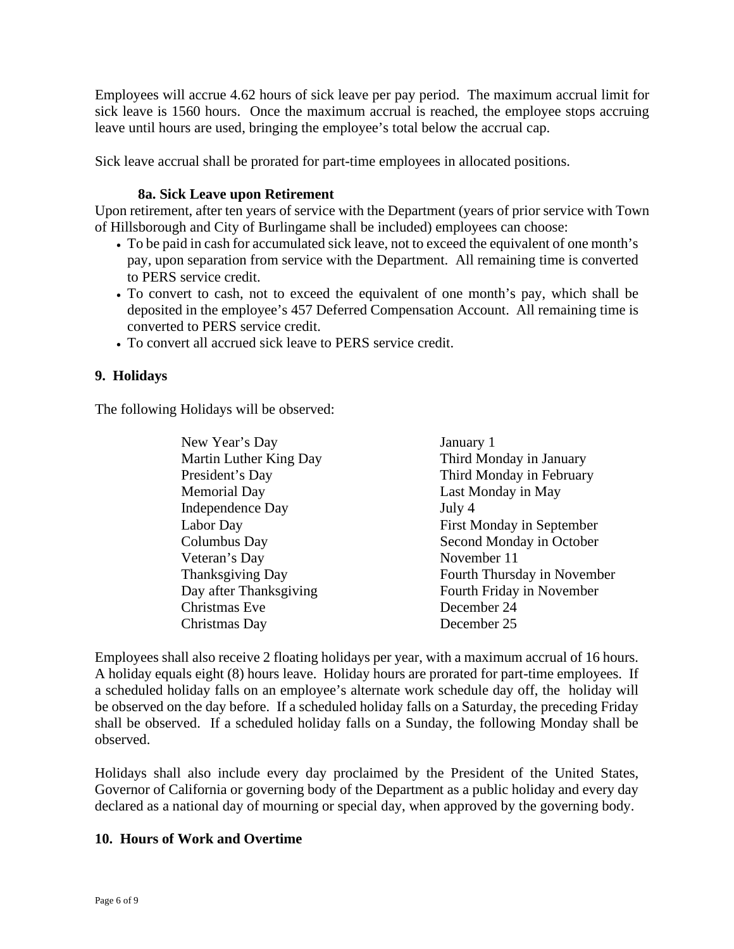Employees will accrue 4.62 hours of sick leave per pay period. The maximum accrual limit for sick leave is 1560 hours. Once the maximum accrual is reached, the employee stops accruing leave until hours are used, bringing the employee's total below the accrual cap.

Sick leave accrual shall be prorated for part-time employees in allocated positions.

#### **8a. Sick Leave upon Retirement**

Upon retirement, after ten years of service with the Department (years of prior service with Town of Hillsborough and City of Burlingame shall be included) employees can choose:

- To be paid in cash for accumulated sick leave, not to exceed the equivalent of one month's pay, upon separation from service with the Department. All remaining time is converted to PERS service credit.
- To convert to cash, not to exceed the equivalent of one month's pay, which shall be deposited in the employee's 457 Deferred Compensation Account. All remaining time is converted to PERS service credit.
- To convert all accrued sick leave to PERS service credit.

### **9. Holidays**

The following Holidays will be observed:

| New Year's Day          | January 1                        |
|-------------------------|----------------------------------|
| Martin Luther King Day  | Third Monday in January          |
| President's Day         | Third Monday in February         |
| <b>Memorial Day</b>     | Last Monday in May               |
| <b>Independence Day</b> | July 4                           |
| Labor Day               | <b>First Monday in September</b> |
| Columbus Day            | Second Monday in October         |
| Veteran's Day           | November 11                      |
| <b>Thanksgiving Day</b> | Fourth Thursday in November      |
| Day after Thanksgiving  | Fourth Friday in November        |
| Christmas Eve           | December 24                      |
| Christmas Day           | December 25                      |

Employees shall also receive 2 floating holidays per year, with a maximum accrual of 16 hours. A holiday equals eight (8) hours leave. Holiday hours are prorated for part-time employees. If a scheduled holiday falls on an employee's alternate work schedule day off, the holiday will be observed on the day before. If a scheduled holiday falls on a Saturday, the preceding Friday shall be observed. If a scheduled holiday falls on a Sunday, the following Monday shall be observed.

Holidays shall also include every day proclaimed by the President of the United States, Governor of California or governing body of the Department as a public holiday and every day declared as a national day of mourning or special day, when approved by the governing body.

#### **10. Hours of Work and Overtime**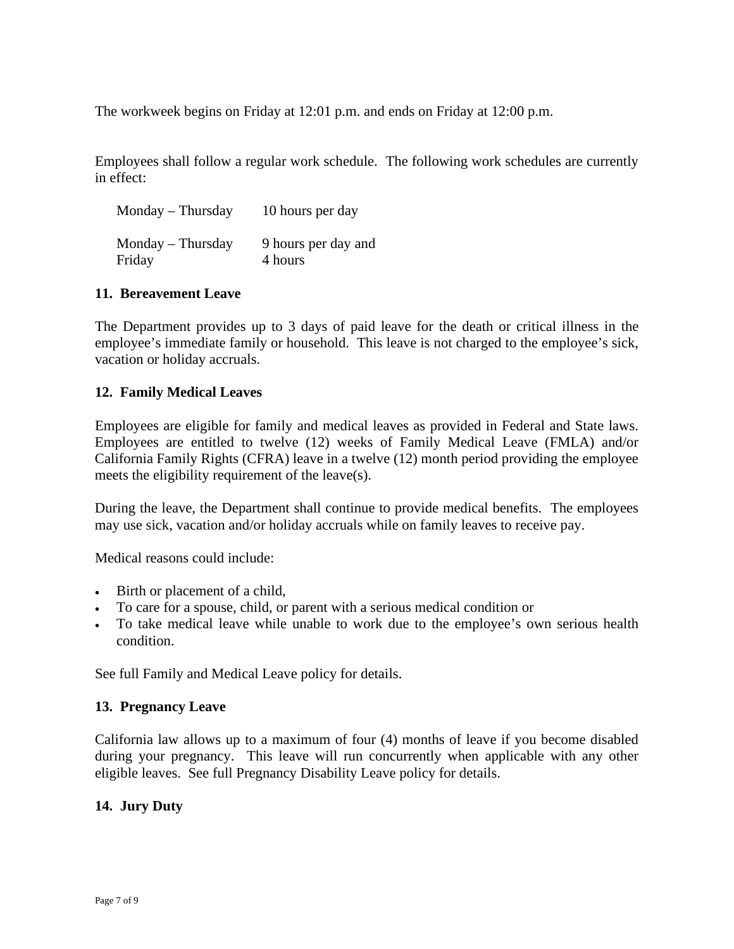The workweek begins on Friday at 12:01 p.m. and ends on Friday at 12:00 p.m.

Employees shall follow a regular work schedule. The following work schedules are currently in effect:

| 9 hours per day and<br>4 hours |
|--------------------------------|
|                                |

#### **11. Bereavement Leave**

The Department provides up to 3 days of paid leave for the death or critical illness in the employee's immediate family or household. This leave is not charged to the employee's sick, vacation or holiday accruals.

#### **12. Family Medical Leaves**

Employees are eligible for family and medical leaves as provided in Federal and State laws. Employees are entitled to twelve (12) weeks of Family Medical Leave (FMLA) and/or California Family Rights (CFRA) leave in a twelve (12) month period providing the employee meets the eligibility requirement of the leave(s).

During the leave, the Department shall continue to provide medical benefits. The employees may use sick, vacation and/or holiday accruals while on family leaves to receive pay.

Medical reasons could include:

- Birth or placement of a child,
- To care for a spouse, child, or parent with a serious medical condition or
- To take medical leave while unable to work due to the employee's own serious health condition.

See full Family and Medical Leave policy for details.

#### **13. Pregnancy Leave**

California law allows up to a maximum of four (4) months of leave if you become disabled during your pregnancy. This leave will run concurrently when applicable with any other eligible leaves. See full Pregnancy Disability Leave policy for details.

#### **14. Jury Duty**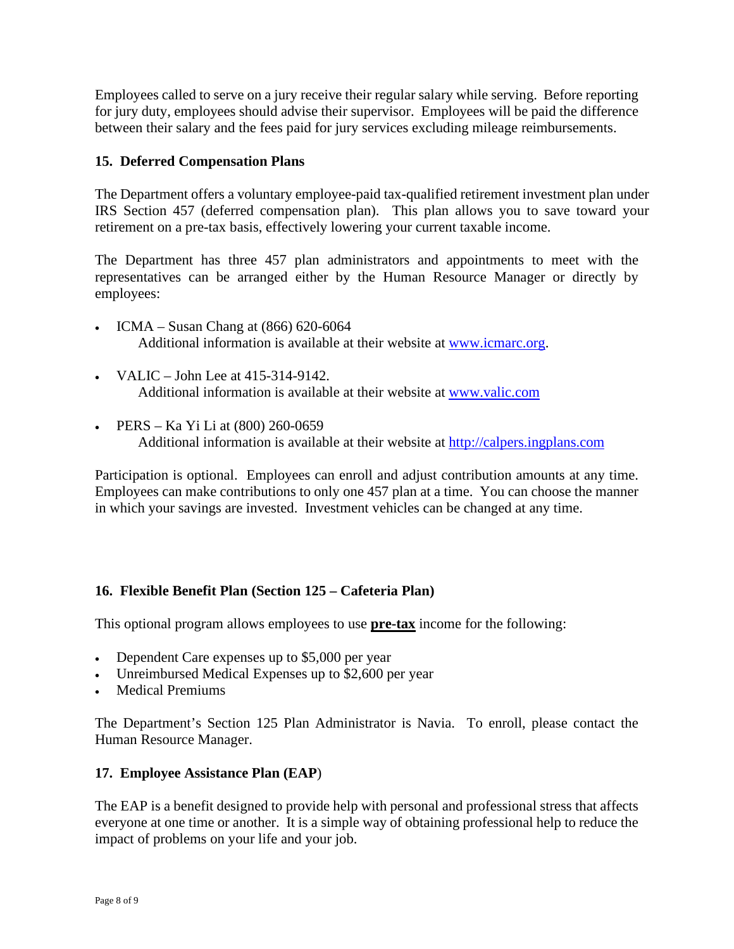Employees called to serve on a jury receive their regular salary while serving. Before reporting for jury duty, employees should advise their supervisor. Employees will be paid the difference between their salary and the fees paid for jury services excluding mileage reimbursements.

#### **15. Deferred Compensation Plans**

The Department offers a voluntary employee-paid tax-qualified retirement investment plan under IRS Section 457 (deferred compensation plan). This plan allows you to save toward your retirement on a pre-tax basis, effectively lowering your current taxable income.

The Department has three 457 plan administrators and appointments to meet with the representatives can be arranged either by the Human Resource Manager or directly by employees:

- ICMA Susan Chang at (866) 620-6064 Additional information is available at their website at [www.icmarc.org.](http://www.icmarc.org/)
- VALIC John Lee at 415-314-9142. Additional information is available at their website at [www.valic.com](http://www.valic.com/)
- PERS Ka Yi Li at (800) 260-0659 Additional information is available at their website at [http://calpers.ingplans.com](http://calpers.ingplans.com/)

Participation is optional. Employees can enroll and adjust contribution amounts at any time. Employees can make contributions to only one 457 plan at a time. You can choose the manner in which your savings are invested. Investment vehicles can be changed at any time.

### **16. Flexible Benefit Plan (Section 125 – Cafeteria Plan)**

This optional program allows employees to use **pre-tax** income for the following:

- Dependent Care expenses up to \$5,000 per year
- Unreimbursed Medical Expenses up to \$2,600 per year
- Medical Premiums

The Department's Section 125 Plan Administrator is Navia. To enroll, please contact the Human Resource Manager.

#### **17. Employee Assistance Plan (EAP**)

The EAP is a benefit designed to provide help with personal and professional stress that affects everyone at one time or another. It is a simple way of obtaining professional help to reduce the impact of problems on your life and your job.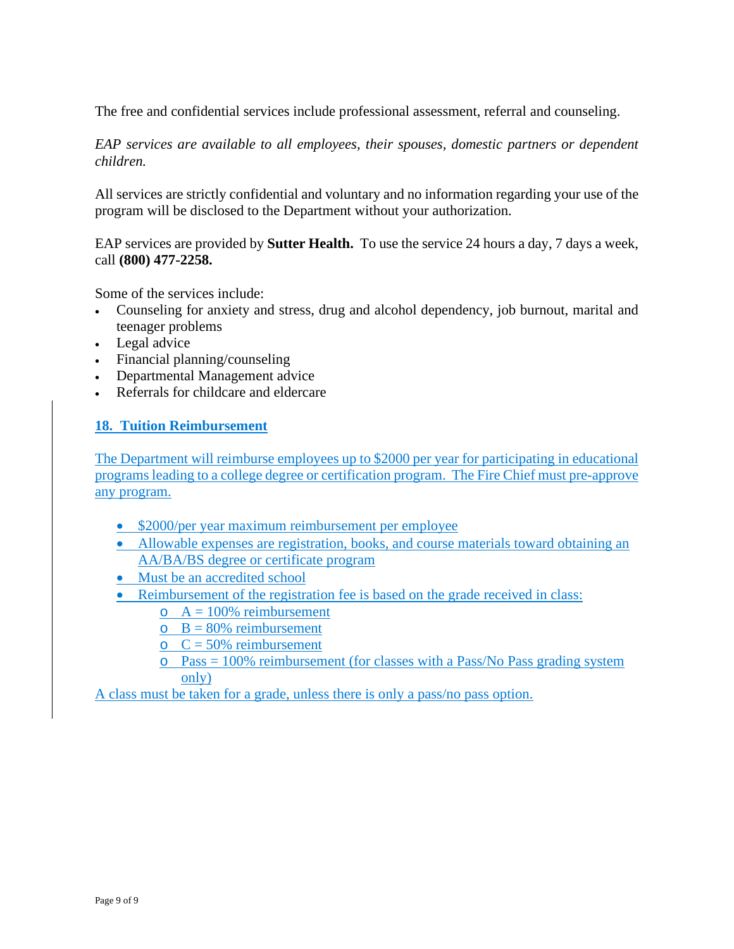The free and confidential services include professional assessment, referral and counseling.

*EAP services are available to all employees, their spouses, domestic partners or dependent children.*

All services are strictly confidential and voluntary and no information regarding your use of the program will be disclosed to the Department without your authorization.

EAP services are provided by **Sutter Health.** To use the service 24 hours a day, 7 days a week, call **(800) 477-2258.**

Some of the services include:

- Counseling for anxiety and stress, drug and alcohol dependency, job burnout, marital and teenager problems
- Legal advice
- Financial planning/counseling
- Departmental Management advice
- Referrals for childcare and eldercare

#### **18. Tuition Reimbursement**

The Department will reimburse employees up to \$2000 per year for participating in educational programs leading to a college degree or certification program. The Fire Chief must pre-approve any program.

- \$2000/per year maximum reimbursement per employee
- Allowable expenses are registration, books, and course materials toward obtaining an AA/BA/BS degree or certificate program
- Must be an accredited school
- Reimbursement of the registration fee is based on the grade received in class:
	- $\circ$  A = 100% reimbursement
	- $B = 80\%$  reimbursement
	- $C = 50\%$  reimbursement
	- $\circ$  Pass = 100% reimbursement (for classes with a Pass/No Pass grading system only)

A class must be taken for a grade, unless there is only a pass/no pass option.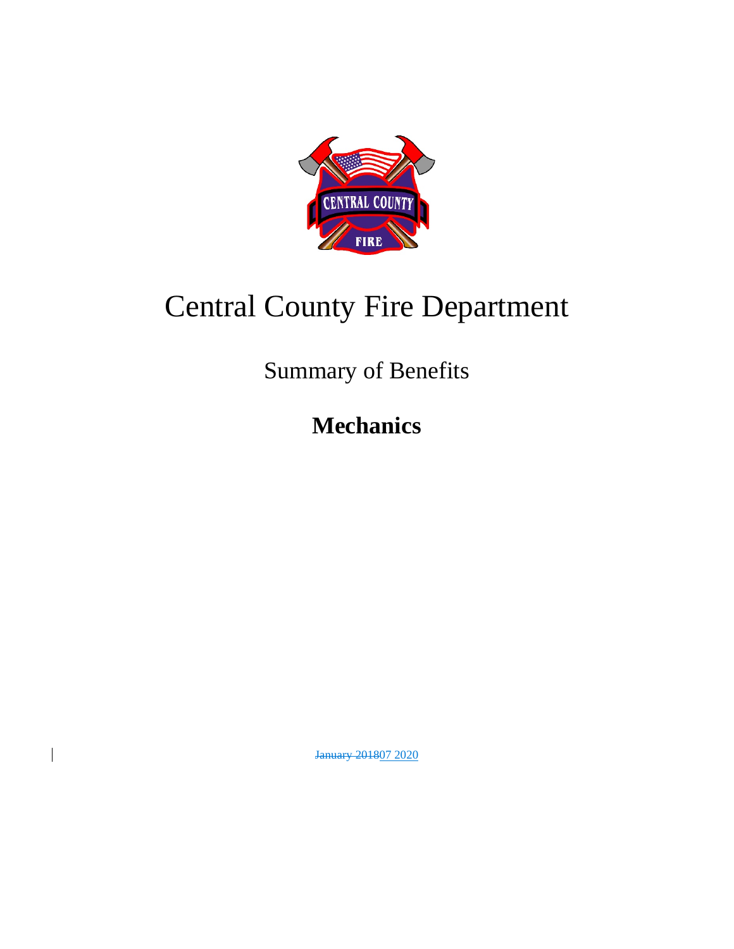

# Central County Fire Department

Summary of Benefits

**Mechanics**

January 201807 2020

 $\overline{\phantom{a}}$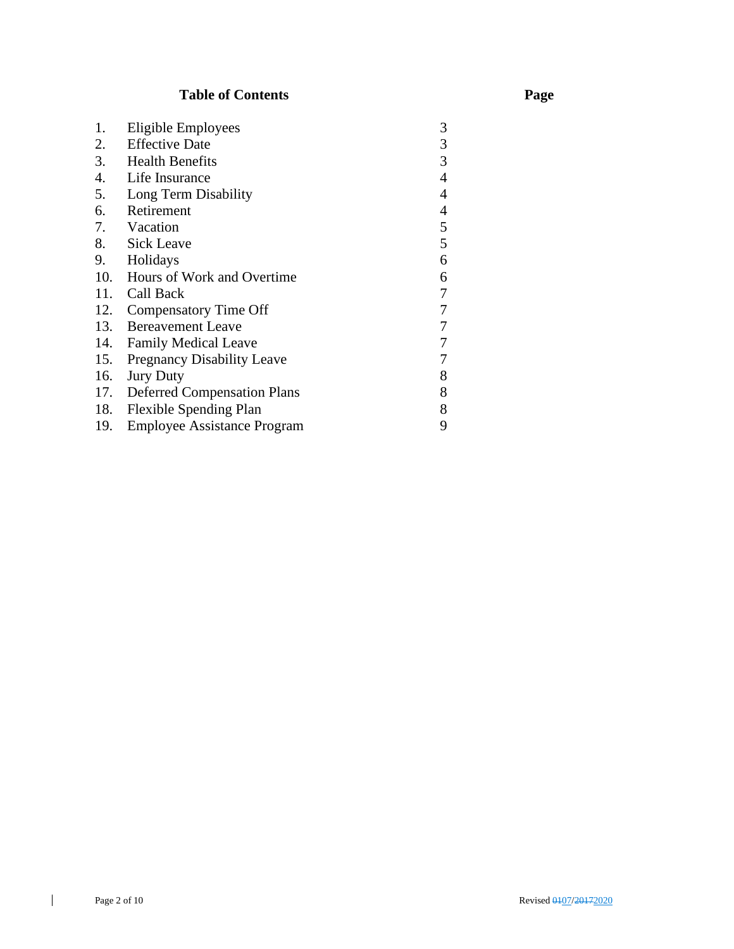# **Table of Contents Page**

| 1.  | Eligible Employees                 | 3 |
|-----|------------------------------------|---|
| 2.  | <b>Effective Date</b>              | 3 |
| 3.  | <b>Health Benefits</b>             | 3 |
| 4.  | Life Insurance                     | 4 |
| 5.  | Long Term Disability               | 4 |
| 6.  | Retirement                         | 4 |
| 7.  | Vacation                           | 5 |
| 8.  | <b>Sick Leave</b>                  | 5 |
| 9.  | Holidays                           | 6 |
|     | 10. Hours of Work and Overtime     | 6 |
| 11. | Call Back                          | 7 |
| 12. | Compensatory Time Off              | 7 |
| 13. | <b>Bereavement Leave</b>           | 7 |
| 14. | <b>Family Medical Leave</b>        | 7 |
| 15. | <b>Pregnancy Disability Leave</b>  | 7 |
| 16. | <b>Jury Duty</b>                   | 8 |
|     | 17. Deferred Compensation Plans    | 8 |
| 18. | <b>Flexible Spending Plan</b>      | 8 |
| 19. | <b>Employee Assistance Program</b> | 9 |

 $\mathbf{I}$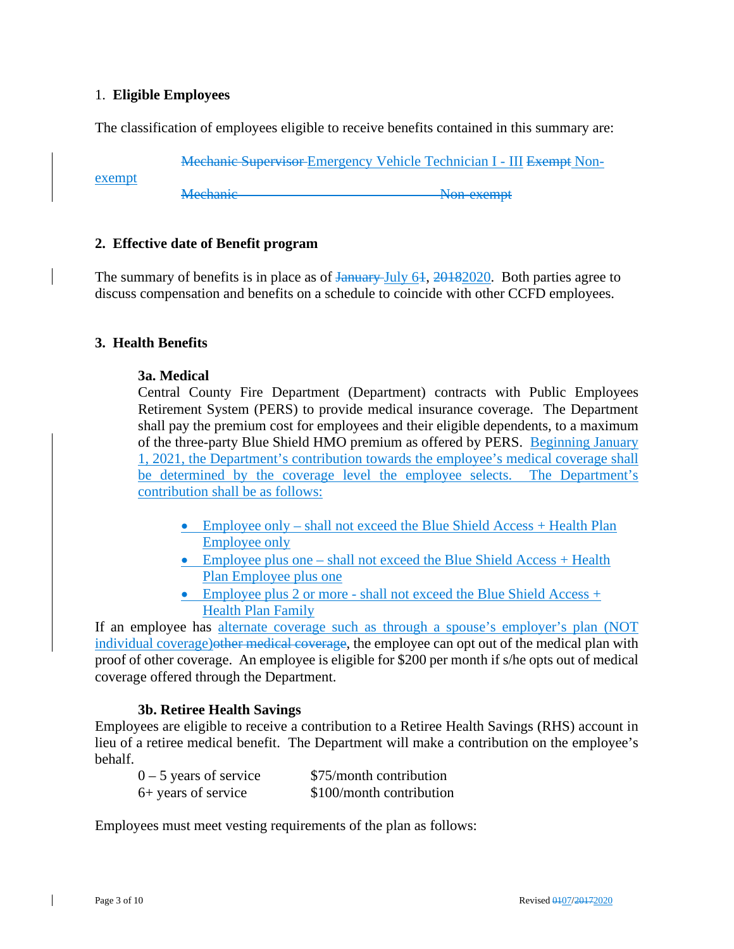#### 1. **Eligible Employees**

exempt

The classification of employees eligible to receive benefits contained in this summary are:

Mechanic Supervisor Emergency Vehicle Technician I - III Exempt Non-

Mechanic Non-exempt

#### **2. Effective date of Benefit program**

The summary of benefits is in place as of <del>January July 61, 2018</del>2020. Both parties agree to discuss compensation and benefits on a schedule to coincide with other CCFD employees.

#### **3. Health Benefits**

#### **3a. Medical**

Central County Fire Department (Department) contracts with Public Employees Retirement System (PERS) to provide medical insurance coverage. The Department shall pay the premium cost for employees and their eligible dependents, to a maximum of the three-party Blue Shield HMO premium as offered by PERS. Beginning January 1, 2021, the Department's contribution towards the employee's medical coverage shall be determined by the coverage level the employee selects. The Department's contribution shall be as follows:

- Employee only shall not exceed the Blue Shield Access + Health Plan Employee only
- Employee plus one shall not exceed the Blue Shield Access + Health Plan Employee plus one
- Employee plus 2 or more shall not exceed the Blue Shield Access + Health Plan Family

If an employee has alternate coverage such as through a spouse's employer's plan (NOT individual coverage) other medical coverage, the employee can opt out of the medical plan with proof of other coverage. An employee is eligible for \$200 per month if s/he opts out of medical coverage offered through the Department.

#### **3b. Retiree Health Savings**

Employees are eligible to receive a contribution to a Retiree Health Savings (RHS) account in lieu of a retiree medical benefit. The Department will make a contribution on the employee's behalf.

| $0 - 5$ years of service | \$75/month contribution  |
|--------------------------|--------------------------|
| 6+ years of service      | \$100/month contribution |

Employees must meet vesting requirements of the plan as follows: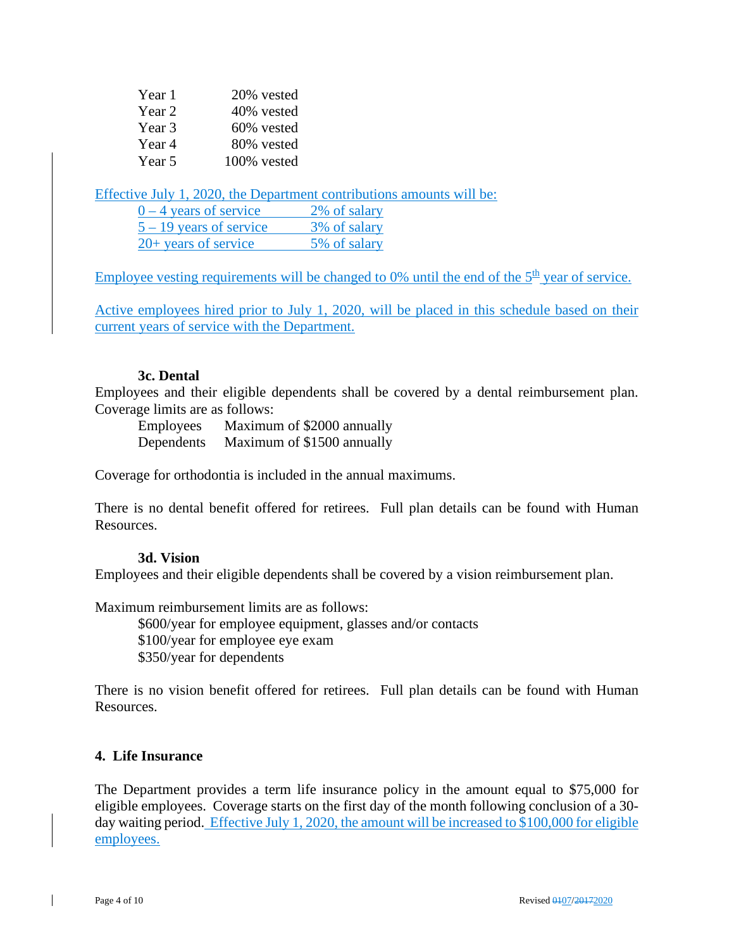| Year 1 | 20% vested  |
|--------|-------------|
| Year 2 | 40% vested  |
| Year 3 | 60% vested  |
| Year 4 | 80% vested  |
| Year 5 | 100% vested |

Effective July 1, 2020, the Department contributions amounts will be:

| $0 - 4$ years of service  | 2% of salary |
|---------------------------|--------------|
| $5 - 19$ years of service | 3% of salary |
| $20+$ years of service    | 5% of salary |

Employee vesting requirements will be changed to 0% until the end of the  $5<sup>th</sup>$  year of service.

Active employees hired prior to July 1, 2020, will be placed in this schedule based on their current years of service with the Department.

#### **3c. Dental**

Employees and their eligible dependents shall be covered by a dental reimbursement plan. Coverage limits are as follows:

Employees Maximum of \$2000 annually Dependents Maximum of \$1500 annually

Coverage for orthodontia is included in the annual maximums.

There is no dental benefit offered for retirees. Full plan details can be found with Human Resources.

#### **3d. Vision**

Employees and their eligible dependents shall be covered by a vision reimbursement plan.

Maximum reimbursement limits are as follows:

\$600/year for employee equipment, glasses and/or contacts \$100/year for employee eye exam \$350/year for dependents

There is no vision benefit offered for retirees. Full plan details can be found with Human Resources.

#### **4. Life Insurance**

The Department provides a term life insurance policy in the amount equal to \$75,000 for eligible employees. Coverage starts on the first day of the month following conclusion of a 30 day waiting period. Effective July 1, 2020, the amount will be increased to \$100,000 for eligible employees.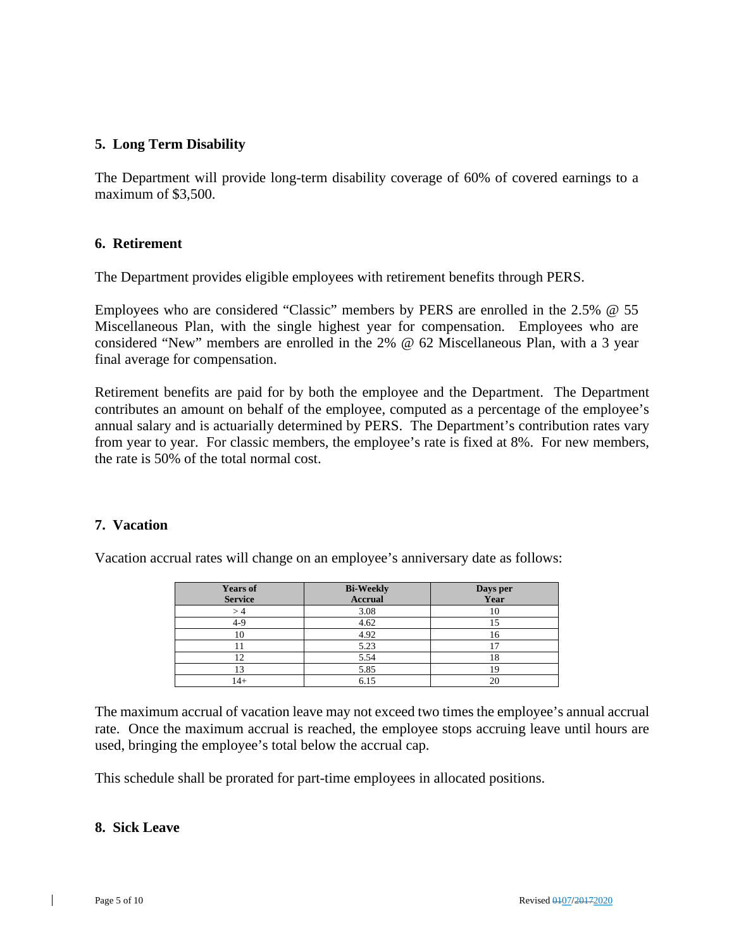#### **5. Long Term Disability**

The Department will provide long-term disability coverage of 60% of covered earnings to a maximum of \$3,500.

#### **6. Retirement**

The Department provides eligible employees with retirement benefits through PERS.

Employees who are considered "Classic" members by PERS are enrolled in the 2.5% @ 55 Miscellaneous Plan, with the single highest year for compensation. Employees who are considered "New" members are enrolled in the 2% @ 62 Miscellaneous Plan, with a 3 year final average for compensation.

Retirement benefits are paid for by both the employee and the Department. The Department contributes an amount on behalf of the employee, computed as a percentage of the employee's annual salary and is actuarially determined by PERS. The Department's contribution rates vary from year to year. For classic members, the employee's rate is fixed at 8%. For new members, the rate is 50% of the total normal cost.

#### **7. Vacation**

Vacation accrual rates will change on an employee's anniversary date as follows:

| <b>Years of</b> | <b>Bi-Weekly</b> | Days per<br>Year |
|-----------------|------------------|------------------|
| <b>Service</b>  | <b>Accrual</b>   |                  |
|                 | 3.08             |                  |
| 4-9             | 4.62             |                  |
|                 | 4.92             | I 6              |
|                 | 5.23             |                  |
|                 | 5.54             |                  |
|                 | 5.85             |                  |
| $^{4+}$         | 6.15             |                  |

The maximum accrual of vacation leave may not exceed two times the employee's annual accrual rate. Once the maximum accrual is reached, the employee stops accruing leave until hours are used, bringing the employee's total below the accrual cap.

This schedule shall be prorated for part-time employees in allocated positions.

#### **8. Sick Leave**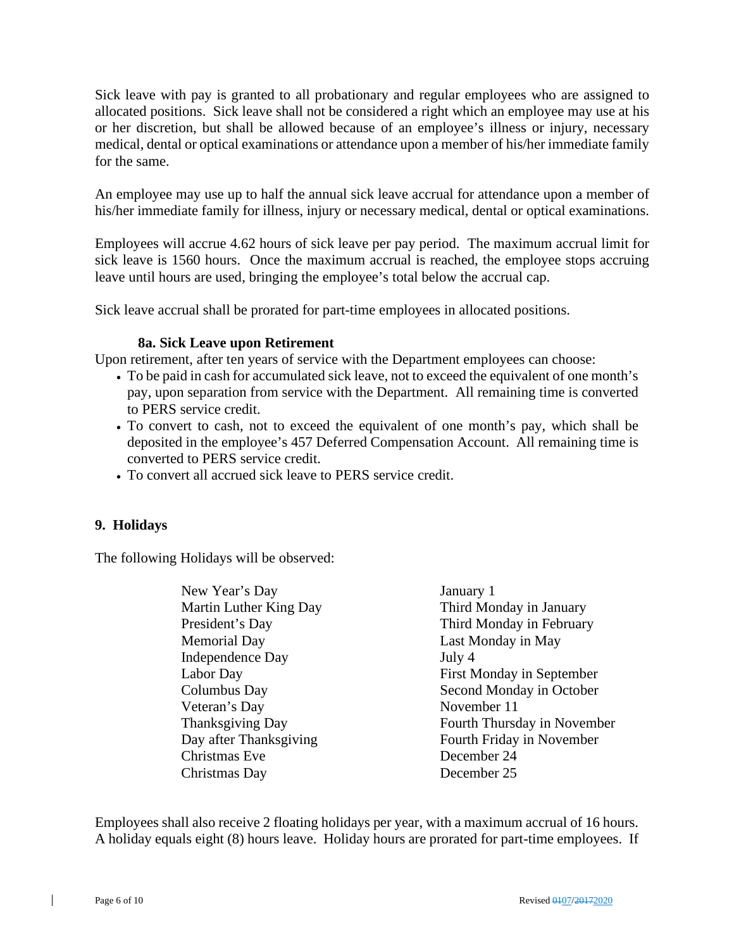Sick leave with pay is granted to all probationary and regular employees who are assigned to allocated positions. Sick leave shall not be considered a right which an employee may use at his or her discretion, but shall be allowed because of an employee's illness or injury, necessary medical, dental or optical examinations or attendance upon a member of his/her immediate family for the same.

An employee may use up to half the annual sick leave accrual for attendance upon a member of his/her immediate family for illness, injury or necessary medical, dental or optical examinations.

Employees will accrue 4.62 hours of sick leave per pay period. The maximum accrual limit for sick leave is 1560 hours. Once the maximum accrual is reached, the employee stops accruing leave until hours are used, bringing the employee's total below the accrual cap.

Sick leave accrual shall be prorated for part-time employees in allocated positions.

#### **8a. Sick Leave upon Retirement**

Upon retirement, after ten years of service with the Department employees can choose:

- To be paid in cash for accumulated sick leave, not to exceed the equivalent of one month's pay, upon separation from service with the Department. All remaining time is converted to PERS service credit.
- To convert to cash, not to exceed the equivalent of one month's pay, which shall be deposited in the employee's 457 Deferred Compensation Account. All remaining time is converted to PERS service credit.
- To convert all accrued sick leave to PERS service credit.

#### **9. Holidays**

The following Holidays will be observed:

New Year's Day January 1 Martin Luther King Day Third Monday in January President's Day Third Monday in February Memorial Day **Last Monday in May** Independence Day July 4 Labor Day First Monday in September Columbus Day Second Monday in October Veteran's Day November 11 Thanksgiving Day **Fourth Thursday in November** Day after Thanksgiving Fourth Friday in November Christmas Eve December 24 Christmas Day December 25

Employees shall also receive 2 floating holidays per year, with a maximum accrual of 16 hours. A holiday equals eight (8) hours leave. Holiday hours are prorated for part-time employees. If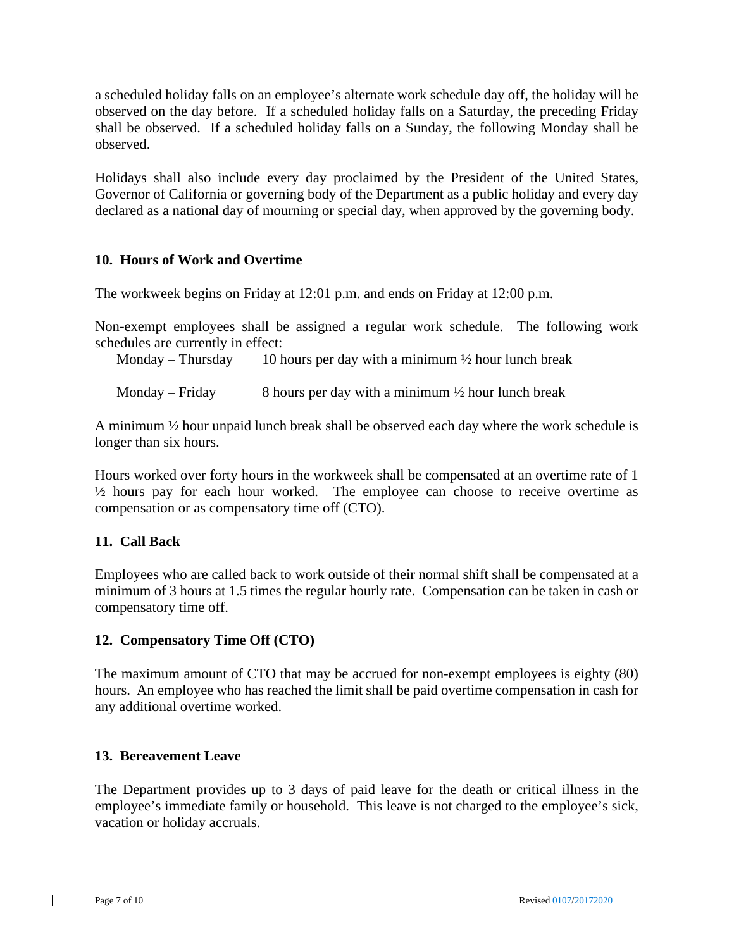a scheduled holiday falls on an employee's alternate work schedule day off, the holiday will be observed on the day before. If a scheduled holiday falls on a Saturday, the preceding Friday shall be observed. If a scheduled holiday falls on a Sunday, the following Monday shall be observed.

Holidays shall also include every day proclaimed by the President of the United States, Governor of California or governing body of the Department as a public holiday and every day declared as a national day of mourning or special day, when approved by the governing body.

#### **10. Hours of Work and Overtime**

The workweek begins on Friday at 12:01 p.m. and ends on Friday at 12:00 p.m.

Non-exempt employees shall be assigned a regular work schedule. The following work schedules are currently in effect:

Monday – Thursday 10 hours per day with a minimum  $\frac{1}{2}$  hour lunch break

Monday – Friday 8 hours per day with a minimum  $\frac{1}{2}$  hour lunch break

A minimum ½ hour unpaid lunch break shall be observed each day where the work schedule is longer than six hours.

Hours worked over forty hours in the workweek shall be compensated at an overtime rate of 1 ½ hours pay for each hour worked. The employee can choose to receive overtime as compensation or as compensatory time off (CTO).

#### **11. Call Back**

Employees who are called back to work outside of their normal shift shall be compensated at a minimum of 3 hours at 1.5 times the regular hourly rate. Compensation can be taken in cash or compensatory time off.

#### **12. Compensatory Time Off (CTO)**

The maximum amount of CTO that may be accrued for non-exempt employees is eighty (80) hours. An employee who has reached the limit shall be paid overtime compensation in cash for any additional overtime worked.

#### **13. Bereavement Leave**

The Department provides up to 3 days of paid leave for the death or critical illness in the employee's immediate family or household. This leave is not charged to the employee's sick, vacation or holiday accruals.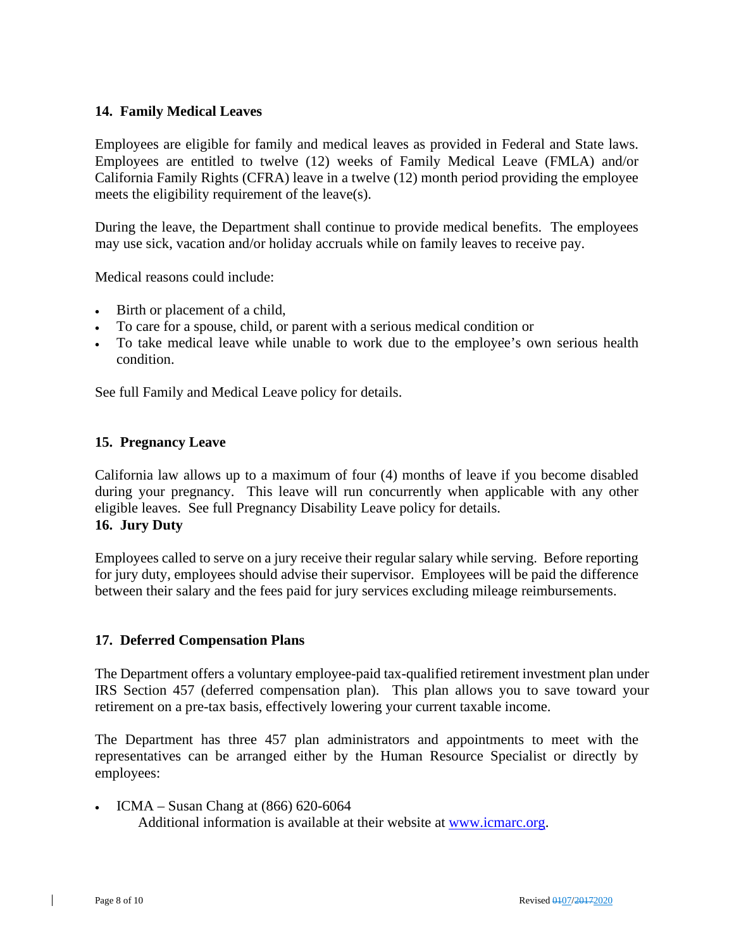#### **14. Family Medical Leaves**

Employees are eligible for family and medical leaves as provided in Federal and State laws. Employees are entitled to twelve (12) weeks of Family Medical Leave (FMLA) and/or California Family Rights (CFRA) leave in a twelve (12) month period providing the employee meets the eligibility requirement of the leave(s).

During the leave, the Department shall continue to provide medical benefits. The employees may use sick, vacation and/or holiday accruals while on family leaves to receive pay.

Medical reasons could include:

- Birth or placement of a child,
- To care for a spouse, child, or parent with a serious medical condition or
- To take medical leave while unable to work due to the employee's own serious health condition.

See full Family and Medical Leave policy for details.

#### **15. Pregnancy Leave**

California law allows up to a maximum of four (4) months of leave if you become disabled during your pregnancy. This leave will run concurrently when applicable with any other eligible leaves. See full Pregnancy Disability Leave policy for details. **16. Jury Duty**

Employees called to serve on a jury receive their regular salary while serving. Before reporting for jury duty, employees should advise their supervisor. Employees will be paid the difference between their salary and the fees paid for jury services excluding mileage reimbursements.

#### **17. Deferred Compensation Plans**

The Department offers a voluntary employee-paid tax-qualified retirement investment plan under IRS Section 457 (deferred compensation plan). This plan allows you to save toward your retirement on a pre-tax basis, effectively lowering your current taxable income.

The Department has three 457 plan administrators and appointments to meet with the representatives can be arranged either by the Human Resource Specialist or directly by employees:

• ICMA – Susan Chang at (866) 620-6064 Additional information is available at their website at [www.icmarc.org.](http://www.icmarc.org/)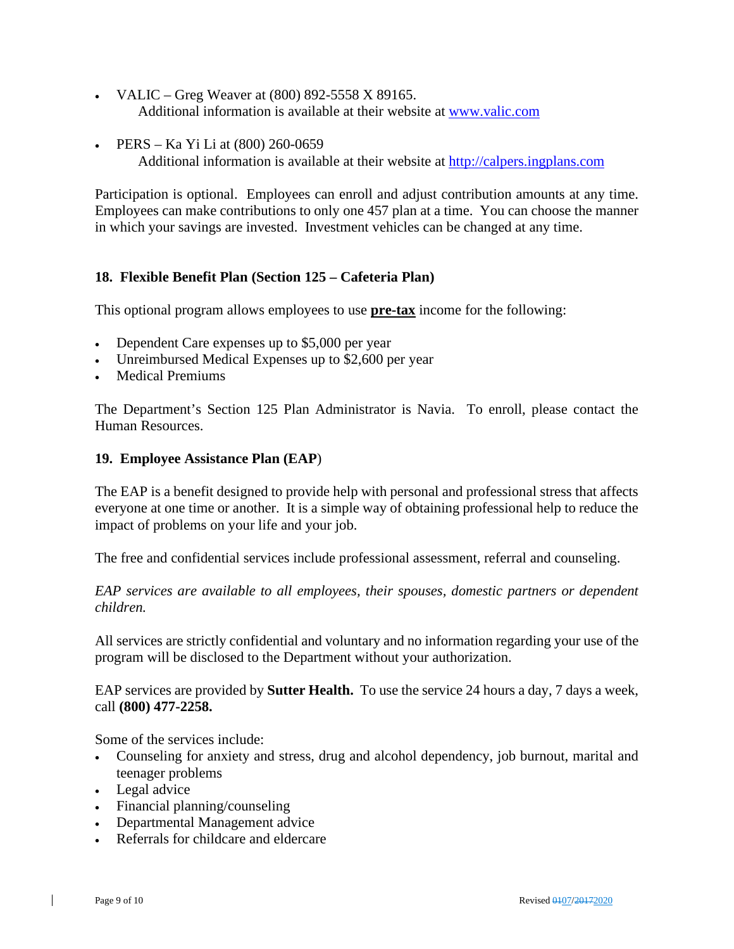- VALIC Greg Weaver at  $(800)$  892-5558 X 89165. Additional information is available at their website at [www.valic.com](http://www.valic.com/)
- PERS Ka Yi Li at (800) 260-0659 Additional information is available at their website at [http://calpers.ingplans.com](http://calpers.ingplans.com/)

Participation is optional. Employees can enroll and adjust contribution amounts at any time. Employees can make contributions to only one 457 plan at a time. You can choose the manner in which your savings are invested. Investment vehicles can be changed at any time.

#### **18. Flexible Benefit Plan (Section 125 – Cafeteria Plan)**

This optional program allows employees to use **pre-tax** income for the following:

- Dependent Care expenses up to \$5,000 per year
- Unreimbursed Medical Expenses up to \$2,600 per year
- **Medical Premiums**

The Department's Section 125 Plan Administrator is Navia. To enroll, please contact the Human Resources.

#### **19. Employee Assistance Plan (EAP**)

The EAP is a benefit designed to provide help with personal and professional stress that affects everyone at one time or another. It is a simple way of obtaining professional help to reduce the impact of problems on your life and your job.

The free and confidential services include professional assessment, referral and counseling.

*EAP services are available to all employees, their spouses, domestic partners or dependent children.*

All services are strictly confidential and voluntary and no information regarding your use of the program will be disclosed to the Department without your authorization.

EAP services are provided by **Sutter Health.** To use the service 24 hours a day, 7 days a week, call **(800) 477-2258.**

Some of the services include:

- Counseling for anxiety and stress, drug and alcohol dependency, job burnout, marital and teenager problems
- Legal advice
- Financial planning/counseling
- Departmental Management advice
- Referrals for childcare and eldercare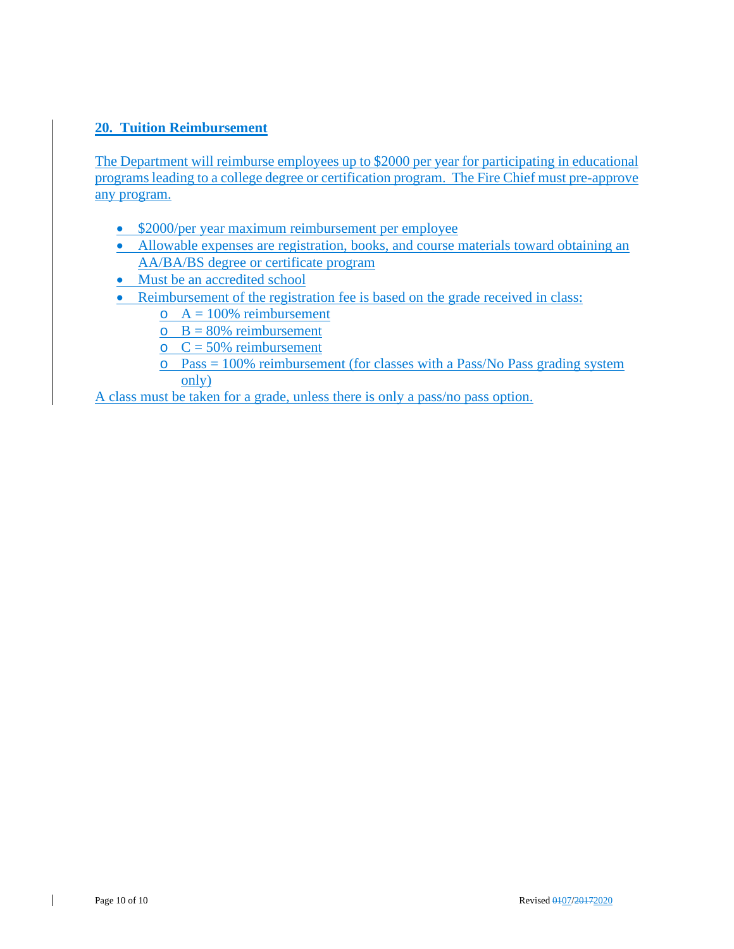### **20. Tuition Reimbursement**

The Department will reimburse employees up to \$2000 per year for participating in educational programs leading to a college degree or certification program. The Fire Chief must pre-approve any program.

- \$2000/per year maximum reimbursement per employee
- Allowable expenses are registration, books, and course materials toward obtaining an AA/BA/BS degree or certificate program
- Must be an accredited school
- Reimbursement of the registration fee is based on the grade received in class:
	- $\circ$  A = 100% reimbursement
	- $\circ$  B = 80% reimbursement
	- $C = 50\%$  reimbursement
	- $\circ$  Pass = 100% reimbursement (for classes with a Pass/No Pass grading system only)

A class must be taken for a grade, unless there is only a pass/no pass option.

 $\mathsf{l}$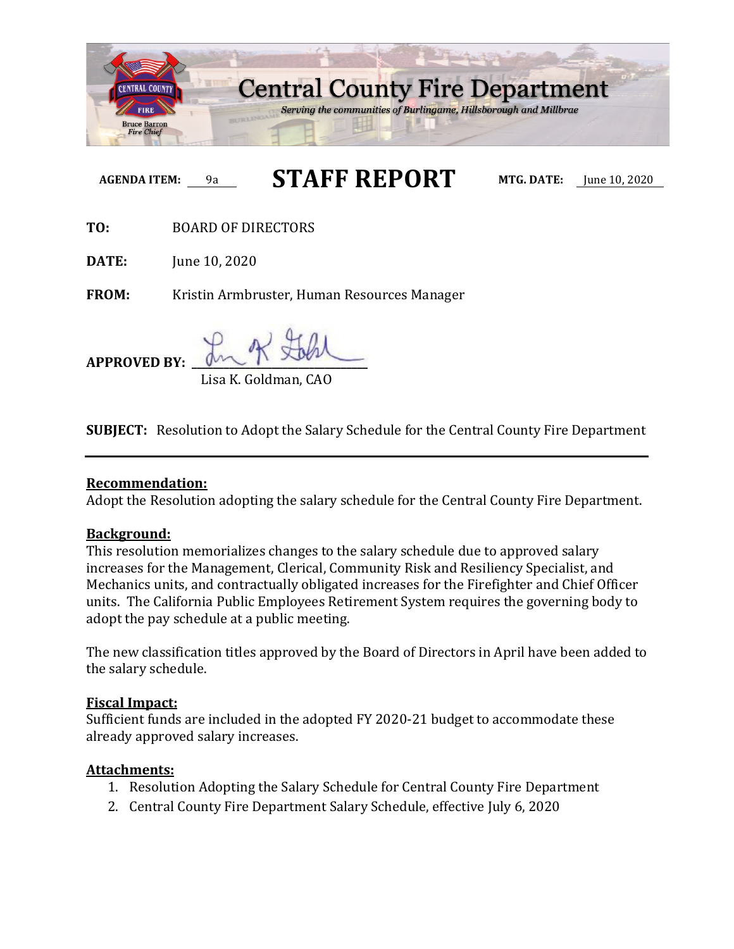

**AGENDA ITEM:** 9a **STAFF REPORT MTG. DATE:** June 10, 2020

**TO:** BOARD OF DIRECTORS

**DATE: June 10, 2020** 

**FROM:** Kristin Armbruster, Human Resources Manager

**APPROVED BY: \_\_\_\_\_\_\_\_\_\_\_\_\_\_\_\_\_\_\_\_\_\_\_\_\_\_\_\_\_\_\_\_\_** Lisa K. Goldman, CAO

**SUBJECT:** Resolution to Adopt the Salary Schedule for the Central County Fire Department

### **Recommendation:**

Adopt the Resolution adopting the salary schedule for the Central County Fire Department.

### **Background:**

This resolution memorializes changes to the salary schedule due to approved salary increases for the Management, Clerical, Community Risk and Resiliency Specialist, and Mechanics units, and contractually obligated increases for the Firefighter and Chief Officer units. The California Public Employees Retirement System requires the governing body to adopt the pay schedule at a public meeting.

The new classification titles approved by the Board of Directors in April have been added to the salary schedule.

### **Fiscal Impact:**

Sufficient funds are included in the adopted FY 2020-21 budget to accommodate these already approved salary increases.

### **Attachments:**

- 1. Resolution Adopting the Salary Schedule for Central County Fire Department
- 2. Central County Fire Department Salary Schedule, effective July 6, 2020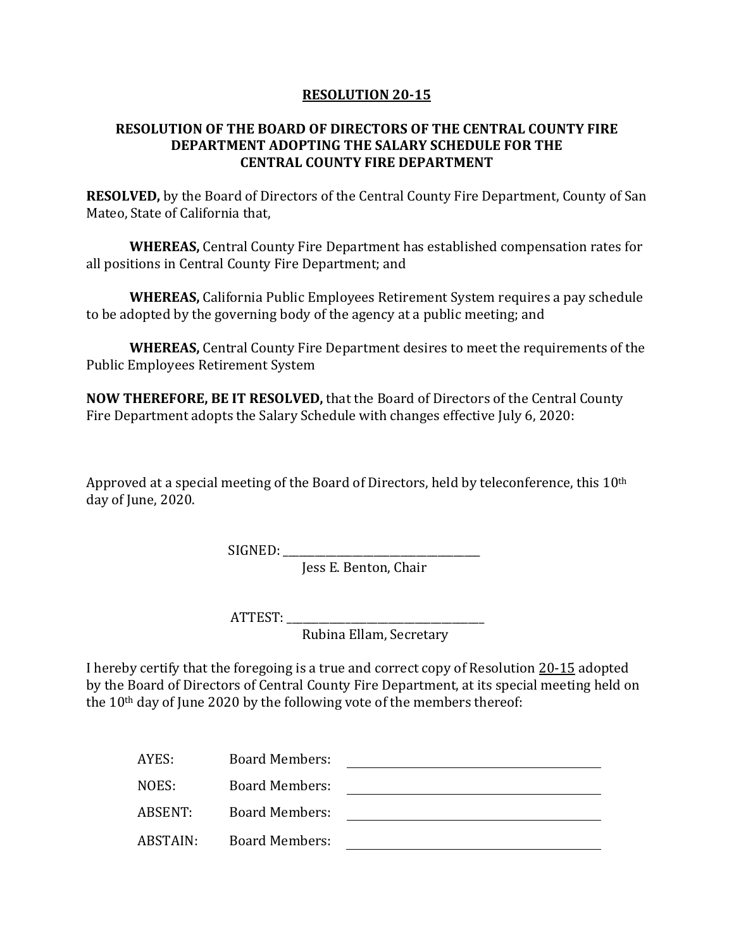#### **RESOLUTION 20-15**

#### **RESOLUTION OF THE BOARD OF DIRECTORS OF THE CENTRAL COUNTY FIRE DEPARTMENT ADOPTING THE SALARY SCHEDULE FOR THE CENTRAL COUNTY FIRE DEPARTMENT**

**RESOLVED,** by the Board of Directors of the Central County Fire Department, County of San Mateo, State of California that,

**WHEREAS,** Central County Fire Department has established compensation rates for all positions in Central County Fire Department; and

**WHEREAS,** California Public Employees Retirement System requires a pay schedule to be adopted by the governing body of the agency at a public meeting; and

**WHEREAS,** Central County Fire Department desires to meet the requirements of the Public Employees Retirement System

**NOW THEREFORE, BE IT RESOLVED,** that the Board of Directors of the Central County Fire Department adopts the Salary Schedule with changes effective July 6, 2020:

Approved at a special meeting of the Board of Directors, held by teleconference, this 10<sup>th</sup> day of June, 2020.

SIGNED: \_\_\_\_\_\_\_\_\_\_\_\_\_\_\_\_\_\_\_\_\_\_\_\_\_\_\_\_\_\_\_\_\_\_\_\_\_

Jess E. Benton, Chair

ATTEST: \_\_\_\_\_\_\_\_\_\_\_\_\_\_\_\_\_\_\_\_\_\_\_\_\_\_\_\_\_\_\_\_\_\_\_\_\_

Rubina Ellam, Secretary

I hereby certify that the foregoing is a true and correct copy of Resolution 20-15 adopted by the Board of Directors of Central County Fire Department, at its special meeting held on the 10th day of June 2020 by the following vote of the members thereof:

| AYES:    | <b>Board Members:</b> |  |
|----------|-----------------------|--|
| NOES:    | <b>Board Members:</b> |  |
| ABSENT:  | <b>Board Members:</b> |  |
| ABSTAIN: | <b>Board Members:</b> |  |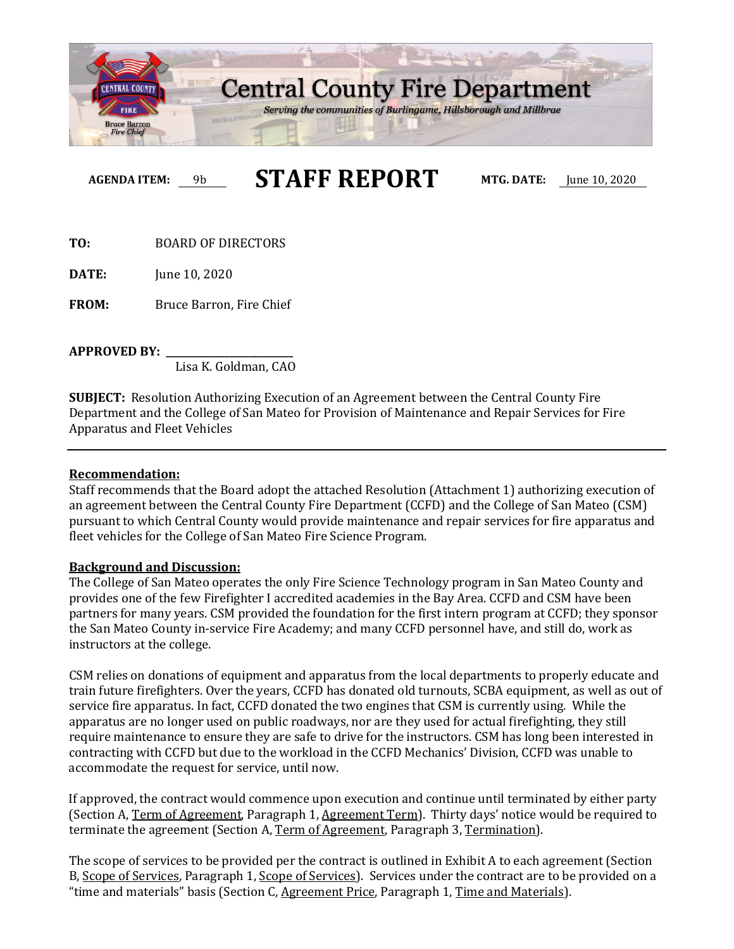

**AGENDA ITEM:** 9b **STAFF REPORT MTG. DATE:** June 10, 2020

**TO:** BOARD OF DIRECTORS

**DATE:** June 10, 2020

**FROM:** Bruce Barron, Fire Chief

**APPROVED BY: \_\_\_\_\_\_\_\_\_\_\_\_\_\_\_\_\_\_\_\_\_\_\_\_\_\_**

Lisa K. Goldman, CAO

**SUBJECT:** Resolution Authorizing Execution of an Agreement between the Central County Fire Department and the College of San Mateo for Provision of Maintenance and Repair Services for Fire Apparatus and Fleet Vehicles

#### **Recommendation:**

Staff recommends that the Board adopt the attached Resolution (Attachment 1) authorizing execution of an agreement between the Central County Fire Department (CCFD) and the College of San Mateo (CSM) pursuant to which Central County would provide maintenance and repair services for fire apparatus and fleet vehicles for the College of San Mateo Fire Science Program.

#### **Background and Discussion:**

The College of San Mateo operates the only Fire Science Technology program in San Mateo County and provides one of the few Firefighter I accredited academies in the Bay Area. CCFD and CSM have been partners for many years. CSM provided the foundation for the first intern program at CCFD; they sponsor the San Mateo County in-service Fire Academy; and many CCFD personnel have, and still do, work as instructors at the college.

CSM relies on donations of equipment and apparatus from the local departments to properly educate and train future firefighters. Over the years, CCFD has donated old turnouts, SCBA equipment, as well as out of service fire apparatus. In fact, CCFD donated the two engines that CSM is currently using. While the apparatus are no longer used on public roadways, nor are they used for actual firefighting, they still require maintenance to ensure they are safe to drive for the instructors. CSM has long been interested in contracting with CCFD but due to the workload in the CCFD Mechanics' Division, CCFD was unable to accommodate the request for service, until now.

If approved, the contract would commence upon execution and continue until terminated by either party (Section A, Term of Agreement, Paragraph 1, Agreement Term). Thirty days' notice would be required to terminate the agreement (Section A, Term of Agreement, Paragraph 3, Termination).

The scope of services to be provided per the contract is outlined in Exhibit A to each agreement (Section B, Scope of Services, Paragraph 1, Scope of Services). Services under the contract are to be provided on a "time and materials" basis (Section C, Agreement Price, Paragraph 1, Time and Materials).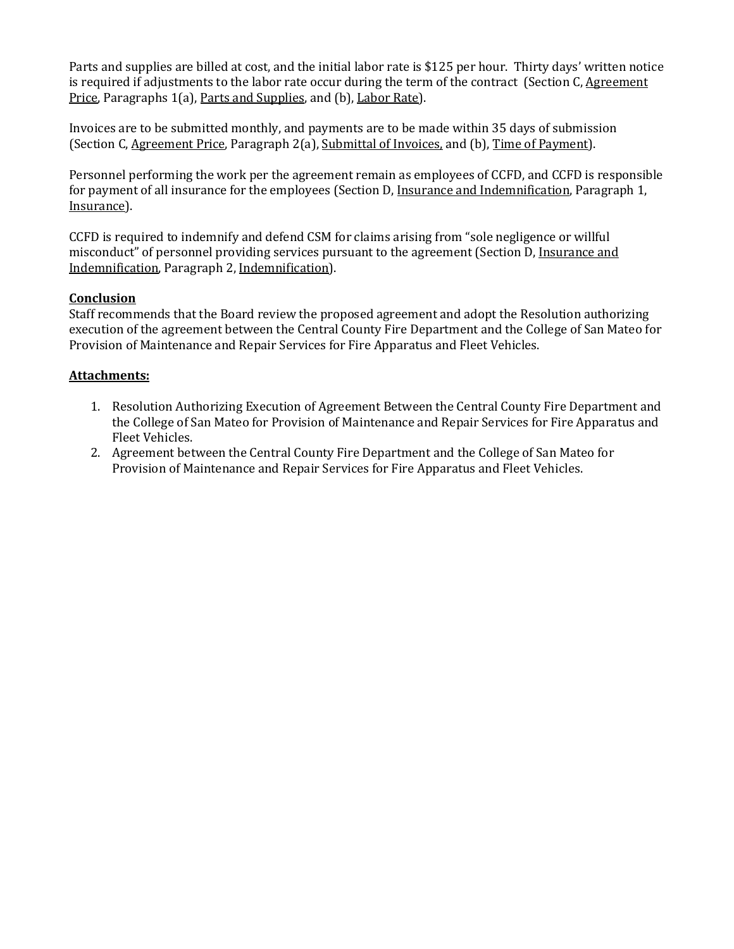Parts and supplies are billed at cost, and the initial labor rate is \$125 per hour. Thirty days' written notice is required if adjustments to the labor rate occur during the term of the contract (Section C, Agreement Price, Paragraphs 1(a), Parts and Supplies, and (b), Labor Rate).

Invoices are to be submitted monthly, and payments are to be made within 35 days of submission (Section C, Agreement Price, Paragraph 2(a), Submittal of Invoices, and (b), Time of Payment).

Personnel performing the work per the agreement remain as employees of CCFD, and CCFD is responsible for payment of all insurance for the employees (Section D, Insurance and Indemnification, Paragraph 1, Insurance).

CCFD is required to indemnify and defend CSM for claims arising from "sole negligence or willful misconduct" of personnel providing services pursuant to the agreement (Section D, Insurance and Indemnification, Paragraph 2, Indemnification).

#### **Conclusion**

Staff recommends that the Board review the proposed agreement and adopt the Resolution authorizing execution of the agreement between the Central County Fire Department and the College of San Mateo for Provision of Maintenance and Repair Services for Fire Apparatus and Fleet Vehicles.

#### **Attachments:**

- 1. Resolution Authorizing Execution of Agreement Between the Central County Fire Department and the College of San Mateo for Provision of Maintenance and Repair Services for Fire Apparatus and Fleet Vehicles.
- 2. Agreement between the Central County Fire Department and the College of San Mateo for Provision of Maintenance and Repair Services for Fire Apparatus and Fleet Vehicles.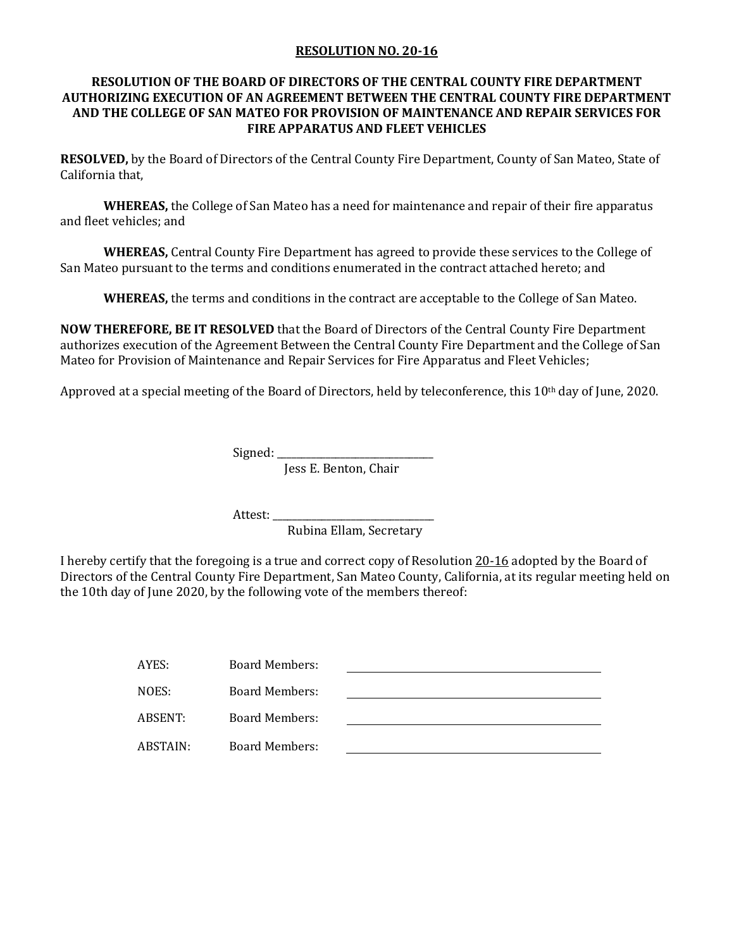#### **RESOLUTION NO. 20-16**

#### **RESOLUTION OF THE BOARD OF DIRECTORS OF THE CENTRAL COUNTY FIRE DEPARTMENT AUTHORIZING EXECUTION OF AN AGREEMENT BETWEEN THE CENTRAL COUNTY FIRE DEPARTMENT AND THE COLLEGE OF SAN MATEO FOR PROVISION OF MAINTENANCE AND REPAIR SERVICES FOR FIRE APPARATUS AND FLEET VEHICLES**

**RESOLVED,** by the Board of Directors of the Central County Fire Department, County of San Mateo, State of California that,

**WHEREAS,** the College of San Mateo has a need for maintenance and repair of their fire apparatus and fleet vehicles; and

**WHEREAS,** Central County Fire Department has agreed to provide these services to the College of San Mateo pursuant to the terms and conditions enumerated in the contract attached hereto; and

**WHEREAS,** the terms and conditions in the contract are acceptable to the College of San Mateo.

**NOW THEREFORE, BE IT RESOLVED** that the Board of Directors of the Central County Fire Department authorizes execution of the Agreement Between the Central County Fire Department and the College of San Mateo for Provision of Maintenance and Repair Services for Fire Apparatus and Fleet Vehicles;

Approved at a special meeting of the Board of Directors, held by teleconference, this 10th day of June, 2020.

Signed:

Jess E. Benton, Chair

Attest:

Rubina Ellam, Secretary

I hereby certify that the foregoing is a true and correct copy of Resolution 20-16 adopted by the Board of Directors of the Central County Fire Department, San Mateo County, California, at its regular meeting held on the 10th day of June 2020, by the following vote of the members thereof:

| AYES:    | <b>Board Members:</b> |  |
|----------|-----------------------|--|
| NOES:    | Board Members:        |  |
| ABSENT:  | Board Members:        |  |
| ABSTAIN: | <b>Board Members:</b> |  |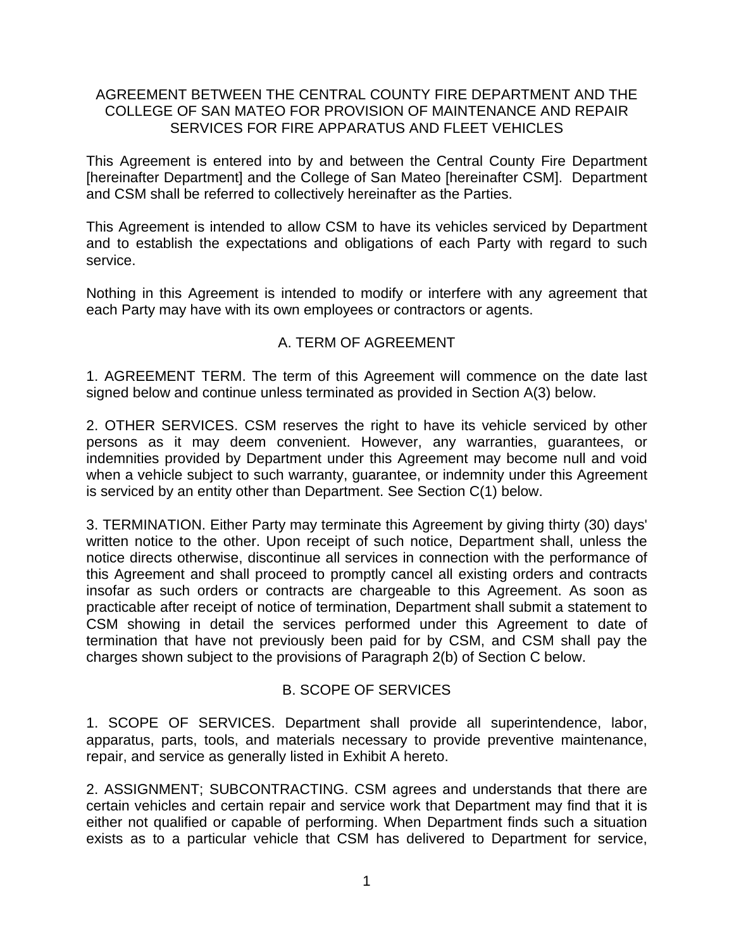### AGREEMENT BETWEEN THE CENTRAL COUNTY FIRE DEPARTMENT AND THE COLLEGE OF SAN MATEO FOR PROVISION OF MAINTENANCE AND REPAIR SERVICES FOR FIRE APPARATUS AND FLEET VEHICLES

This Agreement is entered into by and between the Central County Fire Department [hereinafter Department] and the College of San Mateo [hereinafter CSM]. Department and CSM shall be referred to collectively hereinafter as the Parties.

This Agreement is intended to allow CSM to have its vehicles serviced by Department and to establish the expectations and obligations of each Party with regard to such service.

Nothing in this Agreement is intended to modify or interfere with any agreement that each Party may have with its own employees or contractors or agents.

# A. TERM OF AGREEMENT

1. AGREEMENT TERM. The term of this Agreement will commence on the date last signed below and continue unless terminated as provided in Section A(3) below.

2. OTHER SERVICES. CSM reserves the right to have its vehicle serviced by other persons as it may deem convenient. However, any warranties, guarantees, or indemnities provided by Department under this Agreement may become null and void when a vehicle subject to such warranty, quarantee, or indemnity under this Agreement is serviced by an entity other than Department. See Section C(1) below.

3. TERMINATION. Either Party may terminate this Agreement by giving thirty (30) days' written notice to the other. Upon receipt of such notice, Department shall, unless the notice directs otherwise, discontinue all services in connection with the performance of this Agreement and shall proceed to promptly cancel all existing orders and contracts insofar as such orders or contracts are chargeable to this Agreement. As soon as practicable after receipt of notice of termination, Department shall submit a statement to CSM showing in detail the services performed under this Agreement to date of termination that have not previously been paid for by CSM, and CSM shall pay the charges shown subject to the provisions of Paragraph 2(b) of Section C below.

# B. SCOPE OF SERVICES

1. SCOPE OF SERVICES. Department shall provide all superintendence, labor, apparatus, parts, tools, and materials necessary to provide preventive maintenance, repair, and service as generally listed in Exhibit A hereto.

2. ASSIGNMENT; SUBCONTRACTING. CSM agrees and understands that there are certain vehicles and certain repair and service work that Department may find that it is either not qualified or capable of performing. When Department finds such a situation exists as to a particular vehicle that CSM has delivered to Department for service,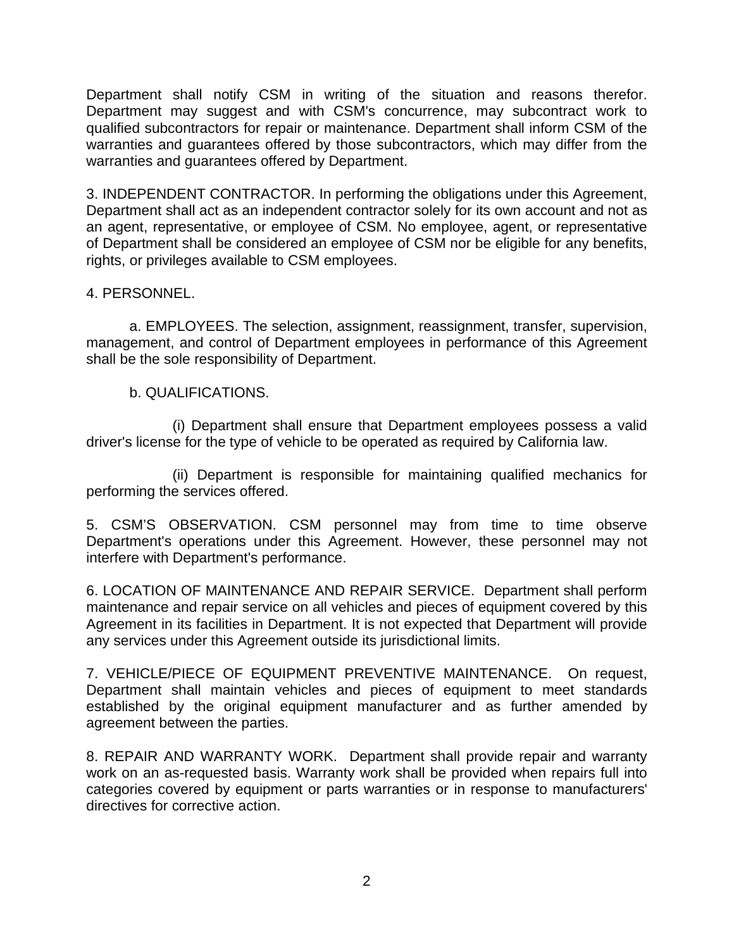Department shall notify CSM in writing of the situation and reasons therefor. Department may suggest and with CSM's concurrence, may subcontract work to qualified subcontractors for repair or maintenance. Department shall inform CSM of the warranties and guarantees offered by those subcontractors, which may differ from the warranties and guarantees offered by Department.

3. INDEPENDENT CONTRACTOR. In performing the obligations under this Agreement, Department shall act as an independent contractor solely for its own account and not as an agent, representative, or employee of CSM. No employee, agent, or representative of Department shall be considered an employee of CSM nor be eligible for any benefits, rights, or privileges available to CSM employees.

### 4. PERSONNEL.

a. EMPLOYEES. The selection, assignment, reassignment, transfer, supervision, management, and control of Department employees in performance of this Agreement shall be the sole responsibility of Department.

### b. QUALIFICATIONS.

(i) Department shall ensure that Department employees possess a valid driver's license for the type of vehicle to be operated as required by California law.

(ii) Department is responsible for maintaining qualified mechanics for performing the services offered.

5. CSM'S OBSERVATION. CSM personnel may from time to time observe Department's operations under this Agreement. However, these personnel may not interfere with Department's performance.

6. LOCATION OF MAINTENANCE AND REPAIR SERVICE. Department shall perform maintenance and repair service on all vehicles and pieces of equipment covered by this Agreement in its facilities in Department. It is not expected that Department will provide any services under this Agreement outside its jurisdictional limits.

7. VEHICLE/PIECE OF EQUIPMENT PREVENTIVE MAINTENANCE. On request, Department shall maintain vehicles and pieces of equipment to meet standards established by the original equipment manufacturer and as further amended by agreement between the parties.

8. REPAIR AND WARRANTY WORK. Department shall provide repair and warranty work on an as-requested basis. Warranty work shall be provided when repairs full into categories covered by equipment or parts warranties or in response to manufacturers' directives for corrective action.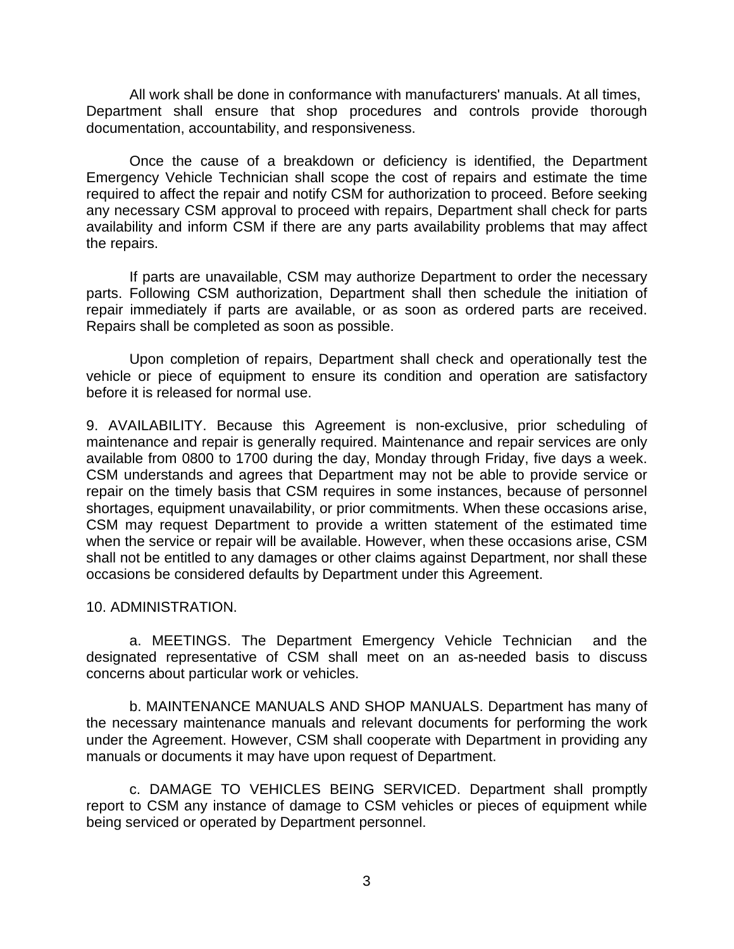All work shall be done in conformance with manufacturers' manuals. At all times, Department shall ensure that shop procedures and controls provide thorough documentation, accountability, and responsiveness.

Once the cause of a breakdown or deficiency is identified, the Department Emergency Vehicle Technician shall scope the cost of repairs and estimate the time required to affect the repair and notify CSM for authorization to proceed. Before seeking any necessary CSM approval to proceed with repairs, Department shall check for parts availability and inform CSM if there are any parts availability problems that may affect the repairs.

If parts are unavailable, CSM may authorize Department to order the necessary parts. Following CSM authorization, Department shall then schedule the initiation of repair immediately if parts are available, or as soon as ordered parts are received. Repairs shall be completed as soon as possible.

Upon completion of repairs, Department shall check and operationally test the vehicle or piece of equipment to ensure its condition and operation are satisfactory before it is released for normal use.

9. AVAILABILITY. Because this Agreement is non-exclusive, prior scheduling of maintenance and repair is generally required. Maintenance and repair services are only available from 0800 to 1700 during the day, Monday through Friday, five days a week. CSM understands and agrees that Department may not be able to provide service or repair on the timely basis that CSM requires in some instances, because of personnel shortages, equipment unavailability, or prior commitments. When these occasions arise, CSM may request Department to provide a written statement of the estimated time when the service or repair will be available. However, when these occasions arise, CSM shall not be entitled to any damages or other claims against Department, nor shall these occasions be considered defaults by Department under this Agreement.

#### 10. ADMINISTRATION.

a. MEETINGS. The Department Emergency Vehicle Technician and the designated representative of CSM shall meet on an as-needed basis to discuss concerns about particular work or vehicles.

b. MAINTENANCE MANUALS AND SHOP MANUALS. Department has many of the necessary maintenance manuals and relevant documents for performing the work under the Agreement. However, CSM shall cooperate with Department in providing any manuals or documents it may have upon request of Department.

c. DAMAGE TO VEHICLES BEING SERVICED. Department shall promptly report to CSM any instance of damage to CSM vehicles or pieces of equipment while being serviced or operated by Department personnel.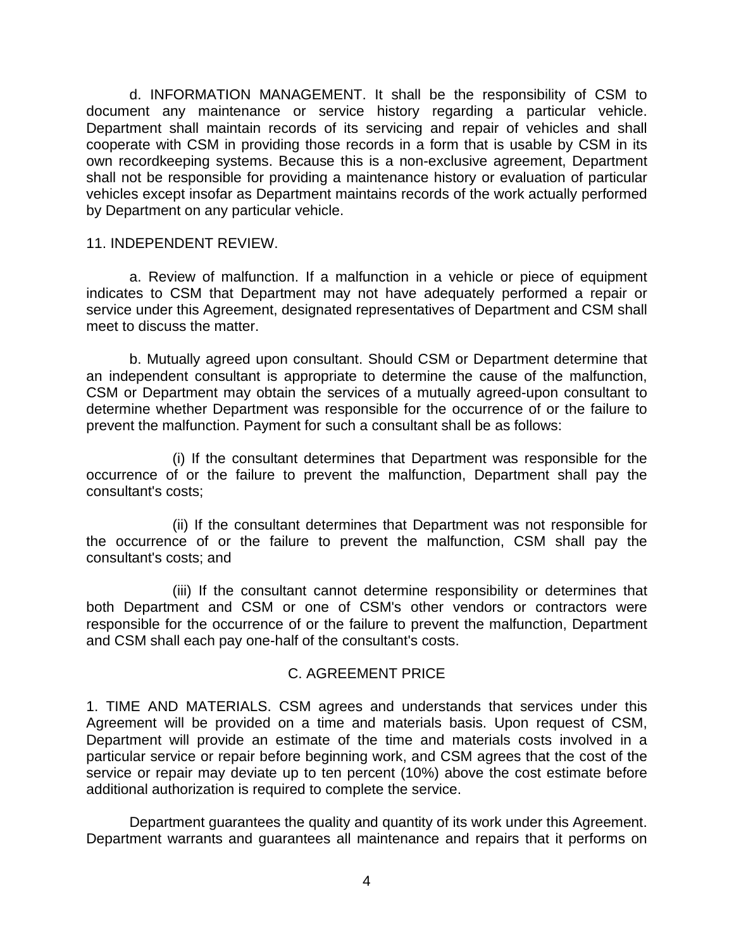d. INFORMATION MANAGEMENT. It shall be the responsibility of CSM to document any maintenance or service history regarding a particular vehicle. Department shall maintain records of its servicing and repair of vehicles and shall cooperate with CSM in providing those records in a form that is usable by CSM in its own recordkeeping systems. Because this is a non-exclusive agreement, Department shall not be responsible for providing a maintenance history or evaluation of particular vehicles except insofar as Department maintains records of the work actually performed by Department on any particular vehicle.

#### 11. INDEPENDENT REVIEW.

a. Review of malfunction. If a malfunction in a vehicle or piece of equipment indicates to CSM that Department may not have adequately performed a repair or service under this Agreement, designated representatives of Department and CSM shall meet to discuss the matter.

b. Mutually agreed upon consultant. Should CSM or Department determine that an independent consultant is appropriate to determine the cause of the malfunction, CSM or Department may obtain the services of a mutually agreed-upon consultant to determine whether Department was responsible for the occurrence of or the failure to prevent the malfunction. Payment for such a consultant shall be as follows:

(i) If the consultant determines that Department was responsible for the occurrence of or the failure to prevent the malfunction, Department shall pay the consultant's costs;

(ii) If the consultant determines that Department was not responsible for the occurrence of or the failure to prevent the malfunction, CSM shall pay the consultant's costs; and

(iii) If the consultant cannot determine responsibility or determines that both Department and CSM or one of CSM's other vendors or contractors were responsible for the occurrence of or the failure to prevent the malfunction, Department and CSM shall each pay one-half of the consultant's costs.

#### C. AGREEMENT PRICE

1. TIME AND MATERIALS. CSM agrees and understands that services under this Agreement will be provided on a time and materials basis. Upon request of CSM, Department will provide an estimate of the time and materials costs involved in a particular service or repair before beginning work, and CSM agrees that the cost of the service or repair may deviate up to ten percent (10%) above the cost estimate before additional authorization is required to complete the service.

Department guarantees the quality and quantity of its work under this Agreement. Department warrants and guarantees all maintenance and repairs that it performs on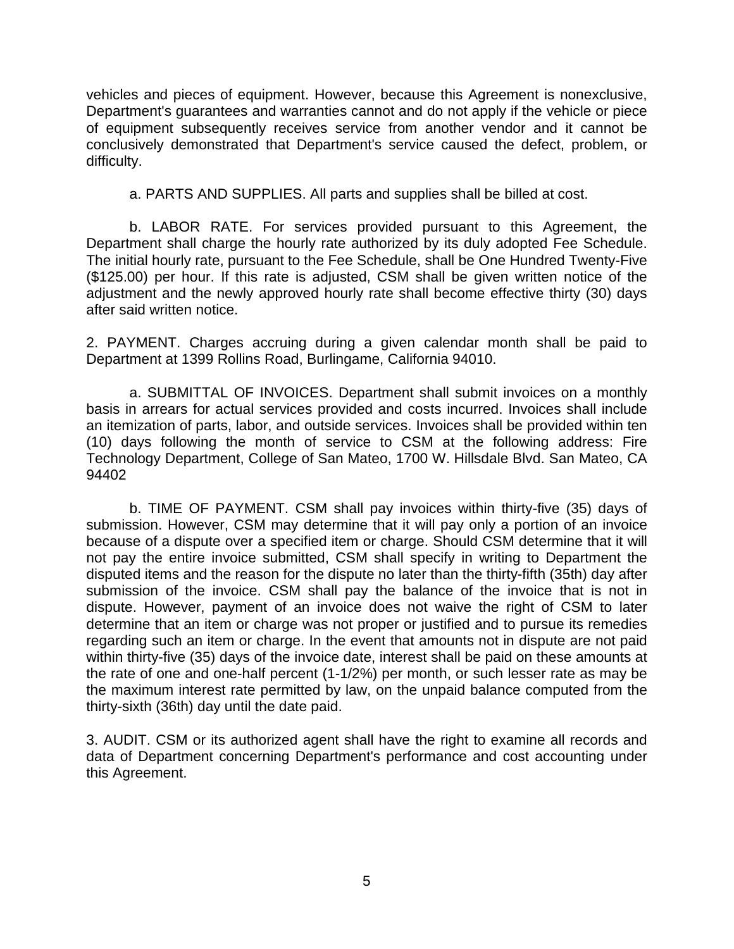vehicles and pieces of equipment. However, because this Agreement is nonexclusive, Department's guarantees and warranties cannot and do not apply if the vehicle or piece of equipment subsequently receives service from another vendor and it cannot be conclusively demonstrated that Department's service caused the defect, problem, or difficulty.

a. PARTS AND SUPPLIES. All parts and supplies shall be billed at cost.

b. LABOR RATE. For services provided pursuant to this Agreement, the Department shall charge the hourly rate authorized by its duly adopted Fee Schedule. The initial hourly rate, pursuant to the Fee Schedule, shall be One Hundred Twenty-Five (\$125.00) per hour. If this rate is adjusted, CSM shall be given written notice of the adjustment and the newly approved hourly rate shall become effective thirty (30) days after said written notice.

2. PAYMENT. Charges accruing during a given calendar month shall be paid to Department at 1399 Rollins Road, Burlingame, California 94010.

a. SUBMITTAL OF INVOICES. Department shall submit invoices on a monthly basis in arrears for actual services provided and costs incurred. Invoices shall include an itemization of parts, labor, and outside services. Invoices shall be provided within ten (10) days following the month of service to CSM at the following address: Fire Technology Department, College of San Mateo, 1700 W. Hillsdale Blvd. San Mateo, CA 94402

b. TIME OF PAYMENT. CSM shall pay invoices within thirty-five (35) days of submission. However, CSM may determine that it will pay only a portion of an invoice because of a dispute over a specified item or charge. Should CSM determine that it will not pay the entire invoice submitted, CSM shall specify in writing to Department the disputed items and the reason for the dispute no later than the thirty-fifth (35th) day after submission of the invoice. CSM shall pay the balance of the invoice that is not in dispute. However, payment of an invoice does not waive the right of CSM to later determine that an item or charge was not proper or justified and to pursue its remedies regarding such an item or charge. In the event that amounts not in dispute are not paid within thirty-five (35) days of the invoice date, interest shall be paid on these amounts at the rate of one and one-half percent (1-1/2%) per month, or such lesser rate as may be the maximum interest rate permitted by law, on the unpaid balance computed from the thirty-sixth (36th) day until the date paid.

3. AUDIT. CSM or its authorized agent shall have the right to examine all records and data of Department concerning Department's performance and cost accounting under this Agreement.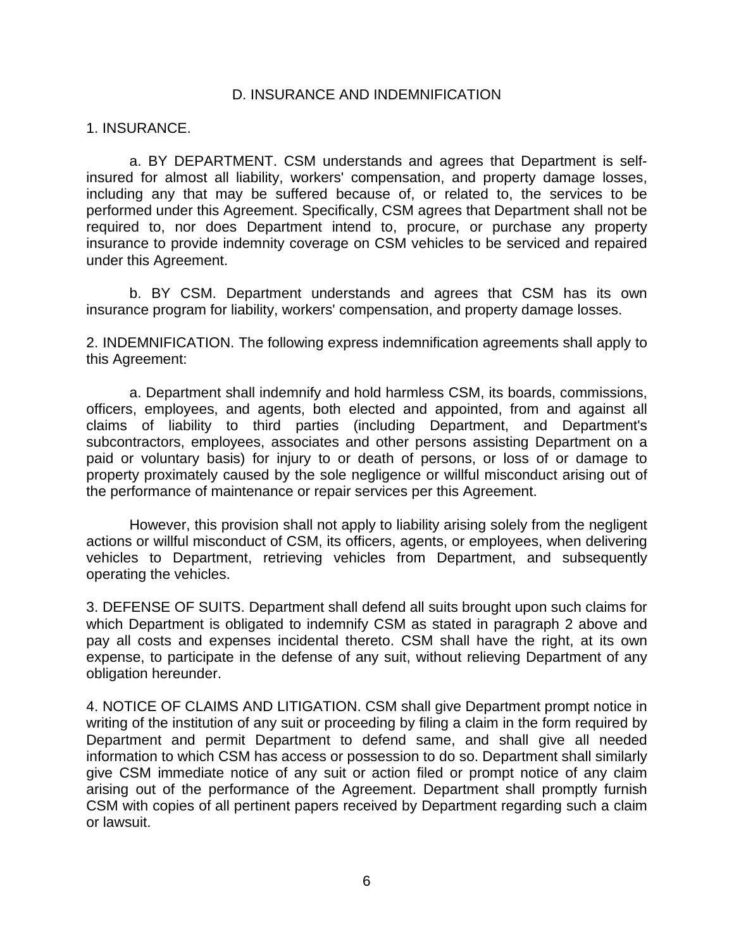#### D. INSURANCE AND INDEMNIFICATION

#### 1. INSURANCE.

a. BY DEPARTMENT. CSM understands and agrees that Department is selfinsured for almost all liability, workers' compensation, and property damage losses, including any that may be suffered because of, or related to, the services to be performed under this Agreement. Specifically, CSM agrees that Department shall not be required to, nor does Department intend to, procure, or purchase any property insurance to provide indemnity coverage on CSM vehicles to be serviced and repaired under this Agreement.

b. BY CSM. Department understands and agrees that CSM has its own insurance program for liability, workers' compensation, and property damage losses.

2. INDEMNIFICATION. The following express indemnification agreements shall apply to this Agreement:

a. Department shall indemnify and hold harmless CSM, its boards, commissions, officers, employees, and agents, both elected and appointed, from and against all claims of liability to third parties (including Department, and Department's subcontractors, employees, associates and other persons assisting Department on a paid or voluntary basis) for injury to or death of persons, or loss of or damage to property proximately caused by the sole negligence or willful misconduct arising out of the performance of maintenance or repair services per this Agreement.

However, this provision shall not apply to liability arising solely from the negligent actions or willful misconduct of CSM, its officers, agents, or employees, when delivering vehicles to Department, retrieving vehicles from Department, and subsequently operating the vehicles.

3. DEFENSE OF SUITS. Department shall defend all suits brought upon such claims for which Department is obligated to indemnify CSM as stated in paragraph 2 above and pay all costs and expenses incidental thereto. CSM shall have the right, at its own expense, to participate in the defense of any suit, without relieving Department of any obligation hereunder.

4. NOTICE OF CLAIMS AND LITIGATION. CSM shall give Department prompt notice in writing of the institution of any suit or proceeding by filing a claim in the form required by Department and permit Department to defend same, and shall give all needed information to which CSM has access or possession to do so. Department shall similarly give CSM immediate notice of any suit or action filed or prompt notice of any claim arising out of the performance of the Agreement. Department shall promptly furnish CSM with copies of all pertinent papers received by Department regarding such a claim or lawsuit.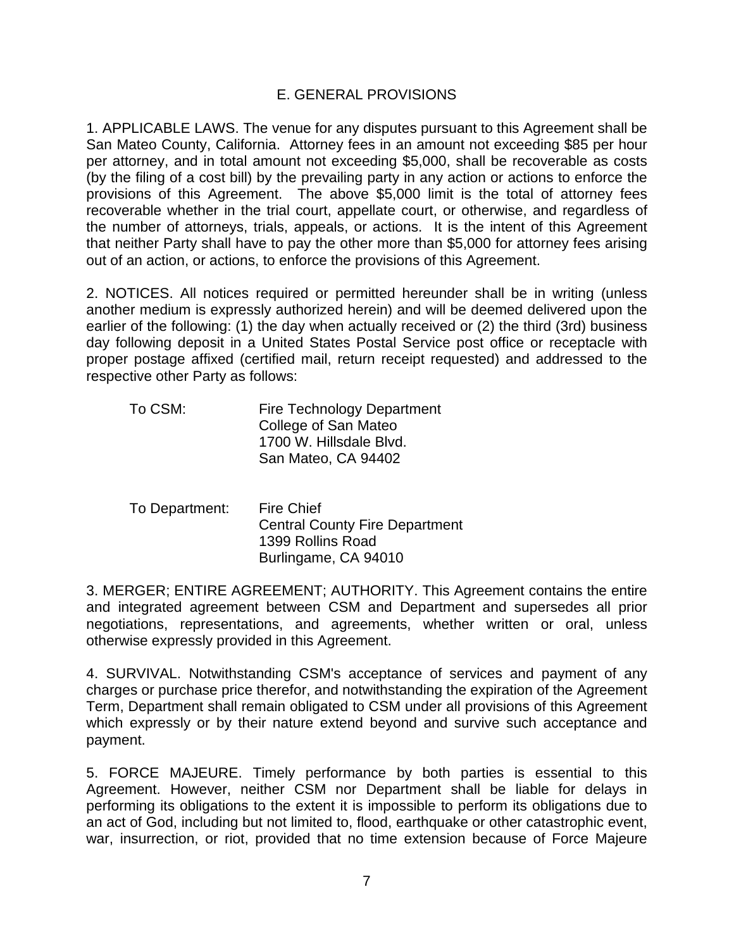### E. GENERAL PROVISIONS

1. APPLICABLE LAWS. The venue for any disputes pursuant to this Agreement shall be San Mateo County, California. Attorney fees in an amount not exceeding \$85 per hour per attorney, and in total amount not exceeding \$5,000, shall be recoverable as costs (by the filing of a cost bill) by the prevailing party in any action or actions to enforce the provisions of this Agreement. The above \$5,000 limit is the total of attorney fees recoverable whether in the trial court, appellate court, or otherwise, and regardless of the number of attorneys, trials, appeals, or actions. It is the intent of this Agreement that neither Party shall have to pay the other more than \$5,000 for attorney fees arising out of an action, or actions, to enforce the provisions of this Agreement.

2. NOTICES. All notices required or permitted hereunder shall be in writing (unless another medium is expressly authorized herein) and will be deemed delivered upon the earlier of the following: (1) the day when actually received or (2) the third (3rd) business day following deposit in a United States Postal Service post office or receptacle with proper postage affixed (certified mail, return receipt requested) and addressed to the respective other Party as follows:

| <b>Fire Technology Department</b> |
|-----------------------------------|
| College of San Mateo              |
| 1700 W. Hillsdale Blvd.           |
| San Mateo, CA 94402               |
|                                   |

To Department: Fire Chief Central County Fire Department 1399 Rollins Road Burlingame, CA 94010

3. MERGER; ENTIRE AGREEMENT; AUTHORITY. This Agreement contains the entire and integrated agreement between CSM and Department and supersedes all prior negotiations, representations, and agreements, whether written or oral, unless otherwise expressly provided in this Agreement.

4. SURVIVAL. Notwithstanding CSM's acceptance of services and payment of any charges or purchase price therefor, and notwithstanding the expiration of the Agreement Term, Department shall remain obligated to CSM under all provisions of this Agreement which expressly or by their nature extend beyond and survive such acceptance and payment.

5. FORCE MAJEURE. Timely performance by both parties is essential to this Agreement. However, neither CSM nor Department shall be liable for delays in performing its obligations to the extent it is impossible to perform its obligations due to an act of God, including but not limited to, flood, earthquake or other catastrophic event, war, insurrection, or riot, provided that no time extension because of Force Majeure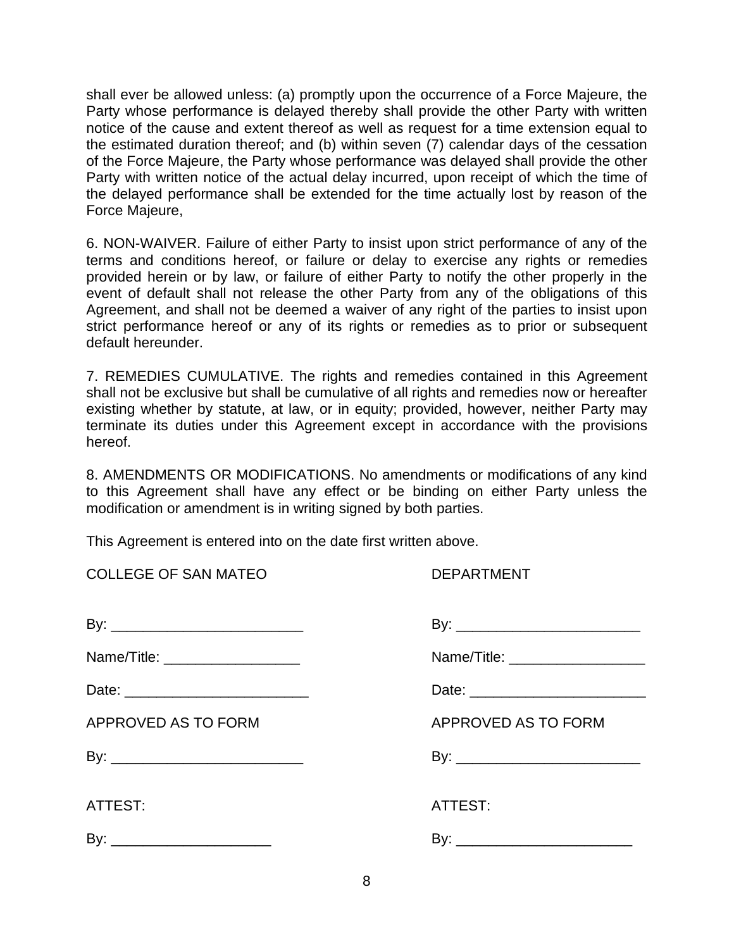shall ever be allowed unless: (a) promptly upon the occurrence of a Force Majeure, the Party whose performance is delayed thereby shall provide the other Party with written notice of the cause and extent thereof as well as request for a time extension equal to the estimated duration thereof; and (b) within seven (7) calendar days of the cessation of the Force Majeure, the Party whose performance was delayed shall provide the other Party with written notice of the actual delay incurred, upon receipt of which the time of the delayed performance shall be extended for the time actually lost by reason of the Force Majeure,

6. NON-WAIVER. Failure of either Party to insist upon strict performance of any of the terms and conditions hereof, or failure or delay to exercise any rights or remedies provided herein or by law, or failure of either Party to notify the other properly in the event of default shall not release the other Party from any of the obligations of this Agreement, and shall not be deemed a waiver of any right of the parties to insist upon strict performance hereof or any of its rights or remedies as to prior or subsequent default hereunder.

7. REMEDIES CUMULATIVE. The rights and remedies contained in this Agreement shall not be exclusive but shall be cumulative of all rights and remedies now or hereafter existing whether by statute, at law, or in equity; provided, however, neither Party may terminate its duties under this Agreement except in accordance with the provisions hereof.

8. AMENDMENTS OR MODIFICATIONS. No amendments or modifications of any kind to this Agreement shall have any effect or be binding on either Party unless the modification or amendment is in writing signed by both parties.

This Agreement is entered into on the date first written above.

DEPARTMENT

| Name/Title: ___________________     | Name/Title: ____________________ |
|-------------------------------------|----------------------------------|
| Date: _____________________________ |                                  |
| <b>APPROVED AS TO FORM</b>          | APPROVED AS TO FORM              |
| By: ______________________________  |                                  |
|                                     |                                  |
| ATTEST:                             | ATTEST:                          |
|                                     |                                  |
|                                     |                                  |